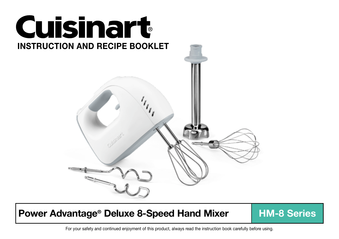

# Power Advantage<sup>®</sup> Deluxe 8-Speed Hand Mixer | HM-8 Series

For your safety and continued enjoyment of this product, always read the instruction book carefully before using.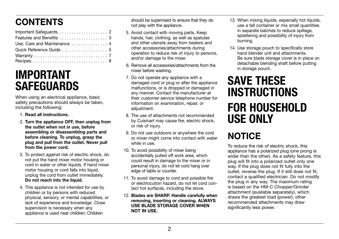# **CONTENTS**

| Use, Care and Maintenance 4 |  |
|-----------------------------|--|
| Quick Reference Guide  5    |  |
|                             |  |
|                             |  |

# IMPORTANT **SAFEGUARDS**

When using an electrical appliance, basic safety precautions should always be taken, including the following:

- 1. Read all instructions.
- 2. Turn the appliance OFF, then unplug from the outlet when not in use, before assembling or disassembling parts and before cleaning. To unplug, grasp the plug and pull from the outlet. Never pull from the power cord.
- 3. To protect against risk of electric shock, do not put the hand mixer motor housing or cord in water or other liquids. If hand mixer motor housing or cord falls into liquid, unplug the cord from outlet immediately. Do not reach into the liquid.
- 4. This appliance is not intended for use by children or by persons with reduced physical, sensory, or mental capabilities, or lack of experience and knowledge. Close supervision is necessary when any appliance is used near children. Children

should be supervised to ensure that they do not play with the appliance.

- 5. Avoid contact with moving parts. Keep hands, hair, clothing, as well as spatulas and other utensils away from beaters and other accessories/attachments during operation to reduce risk of injury to persons, and/or damage to the mixer.
- 6. Remove all accessories/attachments from the mixer before washing.
- 7. Do not operate any appliance with a damaged cord or plug or after the appliance malfunctions, or is dropped or damaged in any manner. Contact the manufacturer at their customer service telephone number for information on examination, repair, or adiustment.
- 8. The use of attachments not recommended by Cuisinart may cause fire, electric shock, or risk of injury.
- 9. Do not use outdoors or anywhere the cord or mixer might come into contact with water while in use.
- 10. To avoid possibility of mixer being accidentally pulled off work area, which could result in damage to the mixer or in personal injury, do not let cord hang over edge of table or counter.
- 11. To avoid damage to cord and possible fire or electrocution hazard, do not let cord contact hot surfaces, including the stove.
- 12. Blades are SHARP. Handle carefully when removing, inserting or cleaning. ALWAYS USE BLADE STORAGE COVER WHEN NOT IN USE.
- 13. When mixing liquids, especially hot liquids, use a tall container or mix small quantities in separate batches to reduce spillage, splattering and possibility of injury from burning.
- 14. Use storage pouch to specifically store hand blender unit and attachments. Be sure blade storage cover is in place on detachable blending shaft before putting in storage pouch.

# SAVE THESE INSTRUCTIONS FOR HOUSEHOLD USE ONLY

# **NOTICE**

To reduce the risk of electric shock, this appliance has a polarized plug (one prong is wider than the other). As a safety feature, this plug will fit into a polarized outlet only one way. If the plug does not fit fully into the outlet, reverse the plug. If it still does not fit, contact a qualified electrician. Do not modify the plug in any way. The maximum rating is based on the HM-C Chopper/Grinder attachment (available separately), which draws the greatest load (power); other recommended attachments may draw significantly less power.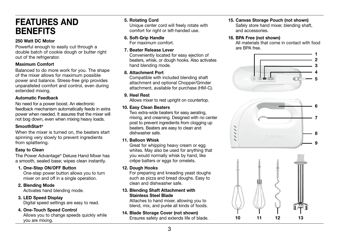## FEATURES AND **BENEFITS**

#### 250 Watt DC Motor

Powerful enough to easily cut through a double batch of cookie dough or butter right out of the refrigerator.

#### Maximum Comfort

Balanced to do more work for you. The shape of the mixer allows for maximum possible power and balance. Stress-free grip provides unparalleled comfort and control, even during extended mixing.

#### Automatic Feedback

No need for a power boost. An electronic feedback mechanism automatically feeds in extra power when needed. It assures that the mixer will not bog down, even when mixing heavy loads.

#### SmoothStart®

When the mixer is turned on, the beaters start spinning very slowly to prevent ingredients from splattering.

#### Easy to Clean

The Power Advantage® Deluxe Hand Mixer has a smooth, sealed base; wipes clean instantly.

## 1. One-Step ON/OFF Button

One-step power button allows you to turn mixer on and off in a single operation.

## 2. Blending Mode

Activates hand blending mode.

#### 3. LED Speed Display

Digital speed settings are easy to read.

## 4. One-Touch Speed Control

Allows you to change speeds quickly while you are mixing.

#### 5. Rotating Cord

Unique center cord will freely rotate with comfort for right or left-handed use.

#### 6. Soft-Grip Handle

For maximum comfort.

#### 7. Beater Release Lever

Conveniently located for easy ejection of beaters, whisk, or dough hooks. Also activates hand blending mode.

#### 8. Attachment Port

Compatible with included blending shaft attachment and optional Chopper/Grinder attachment, available for purchase (HM-C).

## 9. Heel Rest

Allows mixer to rest upright on countertop.

#### 10. Easy Clean Beaters

Two extra-wide beaters for easy aerating, mixing, and creaming. Designed with no center post to prevent ingredients from clogging up beaters. Beaters are easy to clean and dishwasher safe.

#### 11. Balloon Whisk

Great for whipping heavy cream or egg whites. May also be used for anything that you would normally whisk by hand, like crêpe batters or eggs for omelets.

#### 12. Dough Hooks

For preparing and kneading yeast doughs such as pizza and bread doughs. Easy to clean and dishwasher safe.

#### 13. Blending Shaft Attachment with Stainless Steel Blade

Attaches to hand mixer, allowing you to blend, mix, and purée all kinds of foods.

## 14. Blade Storage Cover (not shown)

Ensures safety and extends life of blade.

## 15. Canvas Storage Pouch (not shown)

Safely store hand mixer, blending shaft. and accessories.

#### 16. BPA Free (not shown)

All materials that come in contact with food are BPA free.





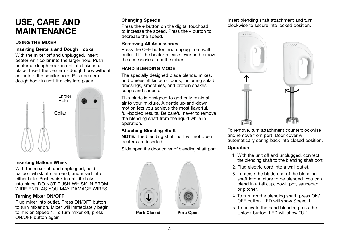## USE, CARE AND MAINTENANCE

#### USING THE MIXER

#### Inserting Beaters and Dough Hooks

With the mixer off and unplugged, insert beater with collar into the larger hole. Push beater or dough hook in until it clicks into place. Insert the beater or dough hook without collar into the smaller hole. Push beater or dough hook in until it clicks into place.



#### Inserting Balloon Whisk

With the mixer off and unplugged, hold balloon whisk at stem end, and insert into either hole. Push whisk in until it clicks into place. DO NOT PUSH WHISK IN FROM WIRE END, AS YOU MAY DAMAGE WIRES.

#### Turning Mixer ON/OFF

Plug mixer into outlet. Press ON/OFF button to turn mixer on. Mixer will immediately begin to mix on Speed 1. To turn mixer off, press ON/OFF button again.

#### Changing Speeds

Press the + button on the digital touchpad to increase the speed. Press the – button to decrease the speed.

#### Removing All Accessories

Press the OFF button and unplug from wall outlet. Lift the beater release lever and remove the accessories from the mixer.

#### HAND BLENDING MODE

The specially designed blade blends, mixes, and purées all kinds of foods, including salad dressings, smoothies, and protein shakes, soups and sauces.

This blade is designed to add only minimal air to your mixture. A gentle up-and-down motion lets you achieve the most flavorful, full-bodied results. Be careful never to remove the blending shaft from the liquid while in operation.

#### Attaching Blending Shaft

NOTE: The blending shaft port will not open if beaters are inserted.

Slide open the door cover of blending shaft port.



Insert blending shaft attachment and turn clockwise to secure into locked position.



To remove, turn attachment counterclockwise and remove from port. Door cover will automatically spring back into closed position.

#### **Operation**

- 1. With the unit off and unplugged, connect the blending shaft to the blending shaft port.
- 2. Plug electric cord into a wall outlet.
- 3. Immerse the blade end of the blending shaft into mixture to be blended. You can blend in a tall cup, bowl, pot, saucepan or pitcher.
- 4. To turn on the blending shaft, press ON/ OFF button. LED will show Speed 1.
- 5. To activate the hand blender, press the Unlock button. LED will show "U."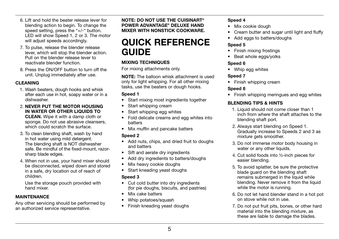- 6. Lift and hold the beater release lever for blending action to begin. To change the speed setting, press the "+/-" button. LED will show Speed 1, 2 or 3. The motor will adjust speeds accordingly.
- 7. To pulse, release the blender release lever, which will stop the blender action. Pull on the blender release lever to reactivate blender function.
- 8. Press the ON/OFF button to turn off the unit. Unplug immediately after use.

#### CLEANING

- 1. Wash beaters, dough hooks and whisk after each use in hot, soapy water or in a dishwasher.
- 2. NEVER PUT THE MOTOR HOUSING IN WATER OR OTHER LIQUIDS TO CLEAN. Wipe it with a damp cloth or sponge. Do not use abrasive cleansers, which could scratch the surface
- 3. To clean blending shaft, wash by hand in hot water using mild detergent. The blending shaft is NOT dishwasher safe. Be mindful of the fixed-mount, razorsharp blade edges.
- 4. When not in use, your hand mixer should be disconnected, wiped down and stored in a safe, dry location out of reach of children.

Use the storage pouch provided with hand mixer.

#### MAINTENANCE

Any other servicing should be performed by an authorized service representative.

NOTE: DO NOT USE THE CUISINART® POWER ADVANTAGE® DELUXE HAND MIXER WITH NONSTICK COOKWARE.

## QUICK REFERENCE GUIDE

#### MIXING TECHNIQUES

For mixing attachments only.

NOTE: The balloon whisk attachment is used only for light whipping. For all other mixing tasks, use the beaters or dough hooks.

#### Speed 1

- Start mixing most ingredients together
- Start whipping cream
- Start whipping egg whites
- Fold delicate creams and egg whites into batters
- Mix muffin and pancake batters

#### Speed 2

- Add nuts, chips, and dried fruit to doughs and batters
- Sift and aerate dry ingredients
- Add dry ingredients to batters/doughs
- Mix heavy cookie doughs
- Start kneading yeast doughs

## Speed 3

- Cut cold butter into dry ingredients (for pie doughs, biscuits, and pastries)
- Mix cake batters
- Whip potatoes/squash
- Finish kneading yeast doughs

## Speed 4

- Mix cookie dough
- Cream butter and sugar until light and fluffy
- Add eggs to batters/doughs

## Speed 5

- Finish mixing frostings
- Beat whole eggs/yolks

#### Speed 6

• Whip egg whites

## Speed 7

• Finish whipping cream

## Speed 8

• Finish whipping meringues and egg whites

## BLENDING TIPS & HINTS

- 1. Liquid should not come closer than 1 inch from where the shaft attaches to the blending shaft port.
- 2. Always start blending on Speed 1. Gradually increase to Speeds 2 and 3 as mixture gets smoother.
- 3. Do not immerse motor body housing in water or any other liquids.
- 4. Cut solid foods into ½-inch pieces for easier blending.
- 5. To avoid splatter, be sure the protective blade guard on the blending shaft remains submerged in the liquid while blending. Never remove it from the liquid while the motor is running.
- 6. Do not let hand blender stand in a hot pot on stove while not in use.
- 7. Do not put fruit pits, bones, or other hard material into the blending mixture, as these are liable to damage the blades.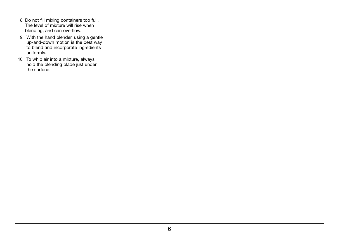- 8. Do not fill mixing containers too full. The level of mixture will rise when blending, and can overflow.
- 9. With the hand blender, using a gentle up-and-down motion is the best way to blend and incorporate ingredients uniformly.
- 10. To whip air into a mixture, always hold the blending blade just under the surface.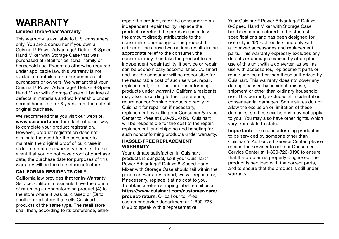# WARRANTY

#### Limited Three-Year Warranty

This warranty is available to U.S. consumers only. You are a consumer if you own a Cuisinart® Power Advantage® Deluxe 8-Speed Hand Mixer with Storage Case that was purchased at retail for personal, family or household use. Except as otherwise required under applicable law, this warranty is not available to retailers or other commercial purchasers or owners. We warrant that your Cuisinart® Power Advantage® Deluxe 8-Speed Hand Mixer with Storage Case will be free of defects in materials and workmanship under normal home use for 3 years from the date of original purchase.

We recommend that you visit our website, www.cuisinart.com for a fast, efficient way to complete your product registration. However, product registration does not eliminate the need for the consumer to maintain the original proof of purchase in order to obtain the warranty benefits. In the event that you do not have proof of purchase date, the purchase date for purposes of this warranty will be the date of manufacture.

#### CALIFORNIA RESIDENTS ONLY

California law provides that for In-Warranty Service, California residents have the option of returning a nonconforming product (A) to the store where it was purchased or (B) to another retail store that sells Cuisinart products of the same type. The retail store shall then, according to its preference, either repair the product, refer the consumer to an independent repair facility, replace the product, or refund the purchase price less the amount directly attributable to the consumer's prior usage of the product. If neither of the above two options results in the appropriate relief to the consumer, the consumer may then take the product to an independent repair facility, if service or repair can be economically accomplished. Cuisinart and not the consumer will be responsible for the reasonable cost of such service, repair, replacement, or refund for nonconforming products under warranty. California residents may also, according to their preference, return nonconforming products directly to Cuisinart for repair or, if necessary, replacement by calling our Consumer Service Center toll-free at 800-726-0190. Cuisinart will be responsible for the cost of the repair. replacement, and shipping and handling for such nonconforming products under warranty.

#### HASSLE-FREE REPLACEMENT WARRANTY

Your ultimate satisfaction in Cuisinart products is our goal, so if your Cuisinart® Power Advantage® Deluxe 8-Speed Hand Mixer with Storage Case should fail within the generous warranty period, we will repair it or, if necessary, replace it at no cost to you. To obtain a return shipping label, email us at https://www.cuisinart.com/customer-care/ product-return. Or call our toll-free customer service department at 1-800-726- 0190 to speak with a representative.

Your Cuisinart® Power Advantage® Deluxe 8-Speed Hand Mixer with Storage Case has been manufactured to the strictest specifications and has been designed for use only in 120-volt outlets and only with authorized accessories and replacement parts. This warranty expressly excludes any defects or damages caused by attempted use of this unit with a converter, as well as use with accessories, replacement parts or repair service other than those authorized by Cuisinart. This warranty does not cover any damage caused by accident, misuse, shipment or other than ordinary household use. This warranty excludes all incidental or consequential damages. Some states do not allow the exclusion or limitation of these damages, so these exclusions may not apply to you. You may also have other rights, which vary from state to state.

Important: If the nonconforming product is to be serviced by someone other than Cuisinart's Authorized Service Center, please remind the servicer to call our Consumer Service Center at 1-800-726-0190 to ensure that the problem is properly diagnosed, the product is serviced with the correct parts, and to ensure that the product is still under warranty.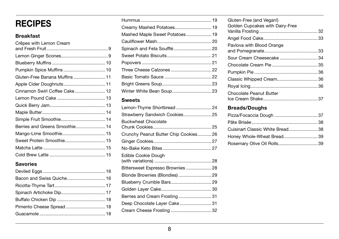## **RECIPES**

## Breakfast

| Crêpes with Lemon Cream        |  |
|--------------------------------|--|
|                                |  |
|                                |  |
|                                |  |
|                                |  |
| Gluten-Free Banana Muffins11   |  |
|                                |  |
| Cinnamon Swirl Coffee Cake 12  |  |
|                                |  |
|                                |  |
|                                |  |
|                                |  |
| Berries and Greens Smoothie 14 |  |
| Mango-Lime Smoothie 15         |  |
|                                |  |
|                                |  |
|                                |  |
|                                |  |

## Savories

| Mashed Maple Sweet Potatoes 19 |  |
|--------------------------------|--|
|                                |  |
| Spinach and Feta Soufflé 20    |  |
|                                |  |
|                                |  |
| Three Cheese Calzones  22      |  |
|                                |  |
|                                |  |
|                                |  |

## Sweets

| Lemon-Thyme Shortbread 24            |  |
|--------------------------------------|--|
| Strawberry Sandwich Cookies 25       |  |
| <b>Buckwheat Chocolate</b>           |  |
| Crunchy Peanut Butter Chip Cookies26 |  |
|                                      |  |
|                                      |  |
| <b>Edible Cookie Dough</b>           |  |
| Bittersweet Espresso Brownies  28    |  |
| Blonde Brownies (Blondies)  29       |  |
| Blueberry Crumble Bars 29            |  |
|                                      |  |
| Berries and Cream Frosting31         |  |
| Deep Chocolate Layer Cake 31         |  |
|                                      |  |
|                                      |  |

| Gluten-Free (and Vegan!)<br>Golden Cupcakes with Dairy-Free |  |
|-------------------------------------------------------------|--|
|                                                             |  |
| Pavlova with Blood Orange                                   |  |
| Sour Cream Cheesecake34                                     |  |
|                                                             |  |
|                                                             |  |
|                                                             |  |
|                                                             |  |
| Chocolate Peanut Butter                                     |  |

## Breads/Doughs

| Pizza/Focaccia Dough  37         |  |
|----------------------------------|--|
|                                  |  |
| Cuisinart Classic White Bread 38 |  |
| Honey Whole-Wheat Bread39        |  |
| Rosemary Olive Oil Rolls 39      |  |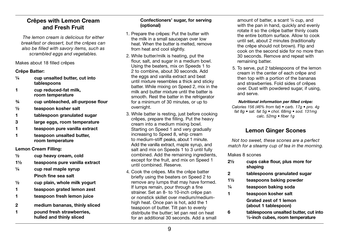## Crêpes with Lemon Cream and Fresh Fruit

*The lemon cream is delicious for either breakfast or dessert, but the crêpes can also be filled with savory items, such as scrambled eggs and vegetables.* 

Makes about 18 filled crêpes

#### Crêpe Batter:

- ¼ cup unsalted butter, cut into tablespoons
- 1 cup reduced-fat milk, room temperature
- ¾ cup unbleached, all-purpose flour
- ½ teaspoon kosher salt
- 1 tablespoon granulated sugar
- 3 large eggs, room temperature
- 1 teaspoon pure vanilla extract
- 1 teaspoon unsalted butter, room temperature

#### Lemon Cream Filling:

- ½ cup heavy cream, cold
- 1½ teaspoons pure vanilla extract
- $\frac{1}{4}$  cup real maple syrup Pinch fine sea salt
- ½ cup plain, whole milk yogurt
- 1 teaspoon grated lemon zest
- 1 teaspoon fresh lemon juice
- 2 medium bananas, thinly sliced
- 1 pound fresh strawberries, hulled and thinly sliced

#### Confectioners' sugar, for serving (optional)

- 1. Prepare the crêpes: Put the butter with the milk in a small saucepan over low heat. When the butter is melted, remove from heat and cool slightly.
- 2. While butter/milk is heating, put the flour, salt, and sugar in a medium bowl. Using the beaters, mix on Speeds 1 to 2 to combine, about 30 seconds. Add the eggs and vanilla extract and beat until mixture resembles a thick and sticky batter. While mixing on Speed 2, mix in the milk and butter mixture until the batter is smooth. Rest the batter in the refrigerator for a minimum of 30 minutes, or up to overnight.
- 3. While batter is resting, just before cooking crêpes, prepare the filling. Put the heavy cream into a medium mixing bowl. Starting on Speed 1 and very gradually increasing to Speed 8, whip cream to medium-stiff peaks, about 1 minute. Add the vanilla extract, maple syrup, and salt and mix on Speeds 1 to 3 until fully combined. Add the remaining ingredients, except for the fruit, and mix on Speed 1 until combined. Reserve.
- 4. Cook the crêpes. Mix the crêpe batter briefly using the beaters on Speed 2 to remove any lumps that may have formed. If lumps remain, pour through a fine strainer. Set an 8- to 10-inch crêpe pan or nonstick skillet over medium/mediumhigh heat. Once pan is hot, add the 1 teaspoon of butter. Tilt pan to evenly distribute the butter; let pan rest on heat for an additional 30 seconds. Add a small

amount of batter, a scant ¼ cup, and with the pan in hand, quickly and evenly rotate it so the crêpe batter thinly coats the entire bottom surface. Allow to cook until set, about 2 minutes (traditionally the crêpe should not brown). Flip and cook on the second side for no more than 30 seconds. Remove and repeat with remaining batter.

5. To serve, put 2 tablespoons of the lemon cream in the center of each crêpe and then top with a portion of the bananas and strawberries. Fold sides of crêpes over. Dust with powdered sugar, if using, and serve.

#### *Nutritional information per filled crêpe:*

*Calories 156 (46% from fat) • carb. 17g • pro. 4g fat 8g • sat. fat 5g • chol. 68mg • sod. 131mg calc. 52mg • fiber 1g*

## Lemon Ginger Scones

*Not too sweet, these scones are a perfect match for a steamy cup of tea in the morning.* 

Makes 8 scones

- 2½ cups cake flour, plus more for shaping
- 2 tablespoons granulated sugar
- 1½ teaspoons baking powder
- ¼ teaspoon baking soda
- 1 teaspoon kosher salt Grated zest of 1 lemon (about 1 tablespoon)
- 6 tablespoons unsalted butter, cut into ½-inch cubes, room temperature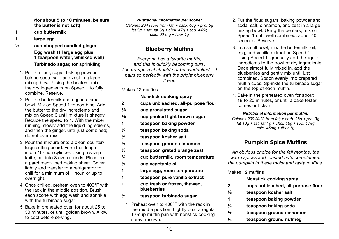(for about 5 to 10 minutes, be sure the butter is not soft)

- 1 cup buttermilk
- 1 large egg
- ¼ cup chopped candied ginger Egg wash (1 large egg plus 1 teaspoon water, whisked well) Turbinado sugar, for sprinkling
	- 1. Put the flour, sugar, baking powder, baking soda, salt, and zest in a large mixing bowl. Using the beaters, mix the dry ingredients on Speed 1 to fully combine. Reserve.
	- 2. Put the buttermilk and egg in a small bowl. Mix on Speed 1 to combine. Add the butter to the dry ingredients and mix on Speed 3 until mixture is shaggy. Reduce the speed to 1. With the mixer running, slowly add the liquid ingredients, and then the ginger, until just combined: do not over-mix.
	- 3. Pour the mixture onto a clean counter/ large cutting board. Form the dough into a 10-inch cylinder. Using a sharp knife, cut into 8 even rounds. Place on a parchment-lined baking sheet. Cover lightly and transfer to a refrigerator to chill for a minimum of 1 hour, or up to overnight.
	- 4. Once chilled, preheat oven to 400°F with the rack in the middle position. Brush each scone with egg wash and sprinkle with the turbinado sugar.
	- 5. Bake in preheated oven for about 25 to 30 minutes, or until golden brown. Allow to cool before serving.

*Nutritional information per scone:*

*Calories 264 (35% from fat) • carb. 40g • pro. 5g fat 9g • sat. fat 6g • chol. 47g • sod. 440g calc. 99 mg • fiber 1g*

## Blueberry Muffins

*Everyone has a favorite muffin, and this is quickly becoming ours. The orange zest should not be overlooked – it pairs so perfectly with the bright blueberry flavor.*

Makes 12 muffins

|               | Nonstick cooking spray                                                                   |
|---------------|------------------------------------------------------------------------------------------|
| 2             | cups unbleached, all-purpose flour                                                       |
| $\frac{1}{3}$ | cup granulated sugar                                                                     |
| $\frac{1}{3}$ | cup packed light brown sugar                                                             |
| 1             | teaspoon baking powder                                                                   |
| $\frac{1}{4}$ | teaspoon baking soda                                                                     |
| $\frac{1}{2}$ | teaspoon kosher salt                                                                     |
| $\frac{1}{2}$ | teaspoon ground cinnamon                                                                 |
| $\frac{1}{2}$ | teaspoon grated orange zest                                                              |
| $\frac{3}{4}$ | cup buttermilk, room temperature                                                         |
| $\frac{1}{2}$ | cup vegetable oil                                                                        |
| 1             | large egg, room temperature                                                              |
| 1             | teaspoon pure vanilla extract                                                            |
| 1             | cup fresh or frozen, thawed,<br>blueberries                                              |
| $\frac{1}{2}$ | teaspoon turbinado sugar                                                                 |
|               | 1. Preheat oven to 400°F with the rack in<br>the middle position. Lightly coat a regular |

- 2. Put the flour, sugars, baking powder and soda, salt, cinnamon, and zest in a large mixing bowl. Using the beaters, mix on Speed 1 until well combined, about 40 seconds. Reserve.
- 3. In a small bowl, mix the buttermilk, oil, egg, and vanilla extract on Speed 1. Using Speed 1, gradually add the liquid ingredients to the bowl of dry ingredients. Once almost fully mixed in, add the blueberries and gently mix until just combined. Spoon evenly into prepared muffin cups. Sprinkle the turbinado sugar on the top of each muffin.
- 4. Bake in the preheated oven for about 18 to 20 minutes, or until a cake tester comes out clean.

#### *Nutritional information per muffin:*

*Calories 209 (41% from fat) • carb. 28g • pro. 3g fat 10g • sat. fat 1g • chol. 16g • sod. 178g calc. 45mg • fiber 1g*

## Pumpkin Spice Muffins

*An obvious choice for the fall months, the warm spices and toasted nuts complement the pumpkin in these moist and tasty muffins.*

Makes 12 muffins

|               | Nonstick cooking spray             |
|---------------|------------------------------------|
| 2             | cups unbleached, all-purpose flour |
| $\frac{1}{2}$ | teaspoon kosher salt               |
| 1             | teaspoon baking powder             |
| 1/4           | teaspoon baking soda               |
| $\frac{1}{2}$ | teaspoon ground cinnamon           |
| $\frac{1}{4}$ | teaspoon ground nutmeg             |

spray; reserve.

12-cup muffin pan with nonstick cooking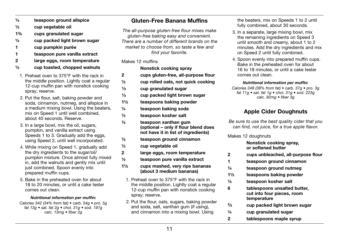- $\frac{1}{4}$  teaspoon ground allspice
- ½ cup vegetable oil
- 1¾ cups granulated sugar
- $\frac{1}{4}$  cup packed light brown sugar
- 1 cup pumpkin purée
- 1 teaspoon pure vanilla extract
- 2 large eggs, room temperature
- $\frac{1}{2}$  cup toasted, chopped walnuts
- 1. Preheat oven to 375°F with the rack in the middle position. Lightly coat a regular 12-cup muffin pan with nonstick cooking spray; reserve.
- 2. Put the flour, salt, baking powder and soda, cinnamon, nutmeg, and allspice in a medium mixing bowl. Using the beaters, mix on Speed 1 until well combined, about 40 seconds. Reserve.
- 3. In a large bowl, mix the oil, sugars, pumpkin, and vanilla extract using Speeds 1 to 3. Gradually add the eggs. using Speed 2, until well incorporated.
- 4. While mixing on Speed 1, gradually add the dry ingredients to the sugar/oil/ pumpkin mixture. Once almost fully mixed in, add the walnuts and gently mix until just combined. Spoon evenly into prepared muffin cups.
- 5. Bake in the preheated oven for about 18 to 20 minutes, or until a cake tester comes out clean.

#### *Nutritional information per muffin:*

*Calories 342 (34% from fat) • carb. 54g • pro. 5g fat 13g • sat. fat 2g • chol. 31g • sod. 197g calc. 13mg • fiber 2g*

## Gluten-Free Banana Muffins

*The all-purpose gluten-free flour mixes make gluten-free baking easy and convenient. There are a number of different brands on the market to choose from, so taste a few and find your favorite.*

#### Makes 12 muffins

#### Nonstick cooking spray

- 2 cups gluten-free, all-purpose flour
- $\frac{1}{2}$  cup rolled oats, not quick cooking
- $\frac{1}{3}$  cup granulated sugar
- $\frac{1}{3}$  cup packed light brown sugar
- 1½ teaspoons baking powder
- ¼ teaspoon baking soda
- ½ teaspoon kosher salt
- ½ teaspoon xanthan gum (optional – only if flour blend does not have it in list of ingredients)
- ½ teaspoon ground cinnamon
- ½ cup vegetable oil
- 2 large eggs, room temperature
- ½ teaspoon pure vanilla extract
- 1½ cups mashed, very ripe bananas (about 3 medium bananas)
	- 1. Preheat oven to 375°F with the rack in the middle position. Lightly coat a regular 12-cup muffin pan with nonstick cooking spray; reserve.
	- 2. Put the flour, oats, sugars, baking powder and soda, salt, xanthan gum (if using), and cinnamon into a mixing bowl. Using

the beaters, mix on Speeds 1 to 2 until fully combined, about 30 seconds.

- 3. In a separate, large mixing bowl, mix the remaining ingredients on Speed 3 until smooth and creamy, about 1 to 2 minutes. Add the dry ingredients and mix on Speed 2 until fully combined.
- 4. Spoon evenly into prepared muffin cups. Bake in the preheated oven for about 16 to 18 minutes, or until a cake tester comes out clean.

#### *Nutritional information per muffin:*

*Calories 248 (38% from fat) • carb. 37g • pro. 3g fat 11g • sat. fat 1g • chol. 31g • sod. 223g calc. 92mg • fiber 3g*

## Apple Cider Doughnuts

*Be sure to use the best quality cider that you can find, not juice, for a true apple flavor.* 

Makes 12 doughnuts

 $^{2}/_{3}$ 

 Nonstick cooking spray, or softened butter

- 2 cups unbleached, all-purpose flour
- 1 teaspoon ground cinnamon
- ¼ teaspoon ground nutmeg
- 1½ teaspoons baking powder
- ½ teaspoon kosher salt
- 6 tablespoons unsalted butter, cut into four pieces, room temperature
	- cup packed light brown sugar
- $\frac{1}{4}$  cup granulated sugar
- 2 tablespoons maple syrup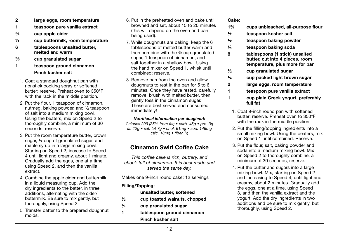- 2 large eggs, room temperature
- 1 teaspoon pure vanilla extract
- ¾ cup apple cider
- ¼ cup buttermilk, room temperature
- 6 tablespoons unsalted butter, melted and warm
- $2/2$ cup granulated sugar
- 1 teaspoon ground cinnamon Pinch kosher salt
- 1. Coat a standard doughnut pan with nonstick cooking spray or softened butter; reserve. Preheat oven to 350°F with the rack in the middle position.
- 2. Put the flour, 1 teaspoon of cinnamon, nutmeg, baking powder, and ½ teaspoon of salt into a medium mixing bowl. Using the beaters, mix on Speed 2 to thoroughly combine, a minimum of 30 seconds; reserve.
- 3. Put the room temperature butter, brown sugar, 1/4 cup of granulated sugar, and maple syrup in a large mixing bowl. Starting on Speed 2, increase to Speed 4 until light and creamy, about 1 minute. Gradually add the eggs, one at a time. using Speed 2, and then the vanilla extract.
- 4. Combine the apple cider and buttermilk in a liquid measuring cup. Add the dry ingredients to the batter, in three additions, alternating with the cider/ buttermilk. Be sure to mix gently, but thoroughly, using Speed 2.
- 5. Transfer batter to the prepared doughnut molds.
- 6. Put in the preheated oven and bake until browned and set, about 15 to 20 minutes (this will depend on the oven and pan being used).
- 7. While doughnuts are baking, keep the 6 tablespoons of melted butter warm and then combine with the ²⁄ ³ cup granulated sugar, 1 teaspoon of cinnamon, and salt together in a shallow bowl. Using the hand mixer on Speed 1, whisk until combined; reserve.
- 8. Remove pan from the oven and allow doughnuts to rest in the pan for 5 to 6 minutes. Once they have rested, carefully remove, brush with melted butter, then gently toss in the cinnamon sugar. These are best served and consumed immediately!

#### *Nutritional information per doughnut:*

*Calories 299 (35% from fat) • carb. 45g • pro. 3g fat 12g • sat. fat 7g • chol. 61mg • sod. 146mg calc. 18mg • fiber 1g*

## Cinnamon Swirl Coffee Cake

*This coffee cake is rich, buttery, and chock-full of cinnamon. It is best made and served the same day.*

Makes one 9-inch round cake; 12 servings

#### Filling/Topping:

#### unsalted butter, softened

- ½ cup toasted walnuts, chopped
- ¼ cup granulated sugar
- 1 tablespoon ground cinnamon Pinch kosher salt

#### Cake:

- 1¾ cups unbleached, all-purpose flour
- ½ teaspoon kosher salt
- ½ teaspoon baking powder
- ¼ teaspoon baking soda
- 8 tablespoons (1 stick) unsalted butter, cut into 4 pieces, room temperature, plus more for pan
- ½ cup granulated sugar
- ¼ cup packed light brown sugar
- 2 large eggs, room temperature
- 1 teaspoon pure vanilla extract
- 1 cup plain Greek yogurt, preferably full fat
	- 1. Coat 9-inch round pan with softened butter; reserve. Preheat oven to 350°F with the rack in the middle position.
	- 2. Put the filling/topping ingredients into a small mixing bowl. Using the beaters, mix on Speed 1 until combined. Reserve.
	- 3. Put the flour, salt, baking powder and soda into a medium mixing bowl. Mix on Speed 2 to thoroughly combine, a minimum of 30 seconds; reserve.
	- 4. Put the butter and sugars into a large mixing bowl. Mix, starting on Speed 2 and increasing to Speed 4, until light and creamy, about 2 minutes. Gradually add the eggs, one at a time, using Speed 3, and then the vanilla extract and the yogurt. Add the dry ingredients in two additions and be sure to mix gently, but thoroughly, using Speed 2.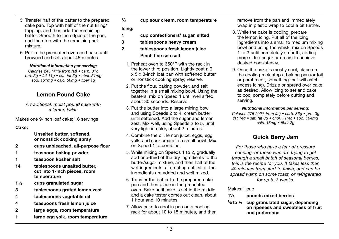- 5. Transfer half of the batter to the prepared cake pan. Top with half of the nut filling/ topping, and then add the remaining batter. Smooth to the edges of the pan. and then top with the remaining nut mixture.
- 6. Put in the preheated oven and bake until browned and set, about 45 minutes.

#### *Nutritional information per serving:*

*Calories 245 (41% from fat) • carb. 31g pro. 5g • fat 11g • sat. fat 5g • chol. 51mg sod. 161mg • calc. 50mg • fiber 1g*

## Lemon Pound Cake

*A traditional, moist pound cake with a lemon twist.*

Makes one 9-inch loaf cake; 16 servings

#### Cake:

 Unsalted butter, softened, or nonstick cooking spray

- 2 cups unbleached, all-purpose flour
- 1 teaspoon baking powder
- 1 teaspoon kosher salt
- 14 tablespoons unsalted butter. cut into 1-inch pieces, room temperature
- $1\frac{1}{3}$  cups granulated sugar
- 3 tablespoons grated lemon zest
- 4 tablespoons vegetable oil
- 4 teaspoons fresh lemon juice
- 2 large eggs, room temperature
- 1 large egg yolk, room temperature

 $2/2$ cup sour cream, room temperature

#### Icing:

- 1 cup confectioners' sugar, sifted
- 3 tablespoons heavy cream
- 2 tablespoons fresh lemon juice Pinch fine sea salt
	- 1. Preheat oven to 350°F with the rack in the lower third position. Lightly coat a 9 x 5 x 3-inch loaf pan with softened butter or nonstick cooking spray; reserve.
	- 2. Put the flour, baking powder, and salt together in a small mixing bowl. Using the beaters, mix on Speed 1 until well sifted, about 30 seconds. Reserve.
	- 3. Put the butter into a large mixing bowl and using Speeds 2 to 4, cream butter until softened. Add the sugar and lemon zest. Mix well, using Speeds 2 to 5, until very light in color, about 2 minutes.
	- 4. Combine the oil, lemon juice, eggs, egg yolk, and sour cream in a small bowl. Mix on Speed 1 to combine.
	- 5. While mixing on Speeds 1 to 2, gradually add one-third of the dry ingredients to the butter/sugar mixture, and then half of the wet ingredients, alternating until all of the ingredients are added and well mixed.
	- 6. Transfer the batter to the prepared cake pan and then place in the preheated oven. Bake until cake is set in the middle and a cake tester comes out clean, about 1 hour and 10 minutes.
	- 7. Allow cake to cool in pan on a cooling rack for about 10 to 15 minutes, and then

remove from the pan and immediately wrap in plastic wrap to cool a bit further.

- 8. While the cake is cooling, prepare the lemon icing. Put all of the icing ingredients into a small to medium mixing bowl and using the whisk, mix on Speeds 1 to 3 until completely smooth, adding more sifted sugar or cream to achieve desired consistency.
- 9. Once the cake is mostly cool, place on the cooling rack atop a baking pan (or foil or parchment, something that will catch excess icing). Drizzle or spread over cake as desired. Allow icing to set and cake to cool completely before cutting and serving.

#### *Nutritional information per serving:*

*Calories 275 (44% from fat) • carb. 36g • pro. 3g fat 14g • sat. fat 8g • chol. 71mg • sod. 164mg calc. 13mg • fiber 2g*

## Quick Berry Jam

*For those who have a fear of pressure canning, or those who are trying to get through a small batch of seasonal berries, this is the recipe for you. It takes less than 40 minutes from start to finish, and can be spread warm on some toast, or refrigerated for up to 3 weeks.*

Makes 1 cup

- 1½ pounds mixed berries
- $^{2}/_{3}$  to  $^{3}/_{4}$ cup granulated sugar, depending on ripeness and sweetness of fruit and preference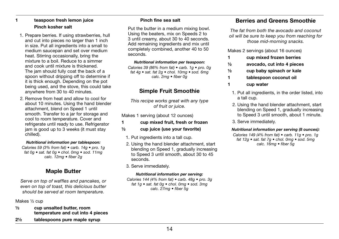#### 1 teaspoon fresh lemon juice Pinch kosher salt

- 1. Prepare berries. If using strawberries, hull and cut into pieces no larger than 1 inch in size. Put all ingredients into a small to medium saucepan and set over medium heat. Stirring occasionally, bring the mixture to a boil. Reduce to a simmer and cook until mixture is thickened. The jam should fully coat the back of a spoon without dripping off to determine if it is thick enough. Depending on the pot being used, and the stove, this could take anywhere from 30 to 40 minutes.
- 2. Remove from heat and allow to cool for about 10 minutes. Using the hand blender attachment, blend on Speed 1 until smooth. Transfer to a jar for storage and cool to room temperature. Cover and refrigerate until ready to use. Refrigerator jam is good up to 3 weeks (it must stay chilled).

#### *Nutritional information per tablespoon:*

*Calories 59 (3% from fat) • carb. 14g • pro. 1g fat 0g • sat. fat 0g • chol. 0mg • sod. 11mg calc. 12mg • fiber 2g*

## Maple Butter

*Serve on top of waffles and pancakes, or even on top of toast, this delicious butter should be served at room temperature.*

Makes ½ cup

- ½ cup unsalted butter, room temperature and cut into 4 pieces
- 2½ tablespoons pure maple syrup

#### Pinch fine sea salt

Put the butter in a medium mixing bowl. Using the beaters, mix on Speeds 2 to 3 until creamy, about 30 to 40 seconds. Add remaining ingredients and mix until completely combined, another 40 to 50 seconds.

#### *Nutritional information per teaspoon:*

*Calories 39 (86% from fat) • carb. 1g • pro. 0g fat 4g • sat. fat 2g • chol. 10mg • sod. 6mg calc. 2mg • fiber 0g*

## Simple Fruit Smoothie

*This recipe works great with any type of fruit or juice.*

Makes 1 serving (about 12 ounces)

#### 1 cup mixed fruit, fresh or frozen

- ½ cup juice (use your favorite)
	- 1. Put ingredients into a tall cup.
	- 2. Using the hand blender attachment, start blending on Speed 1, gradually increasing to Speed 3 until smooth, about 30 to 45 seconds.
	- 3. Serve immediately.

#### *Nutritional information per serving:*

*Calories 144 (4% from fat) • carb. 48g • pro. 3g fat 1g • sat. fat 0g • chol. 0mg • sod. 3mg calc. 27mg • fiber 5g*

## Berries and Greens Smoothie

*The fat from both the avocado and coconut oil will be sure to keep you from reaching for those mid-morning snacks.*

Makes 2 servings (about 16 ounces)

- 1 cup mixed frozen berries
- ½ avocado, cut into 4 pieces
- ½ cup baby spinach or kale
- 1 tablespoon coconut oil
- 1 cup water
	- 1. Put all ingredients, in the order listed, into a tall cup.
	- 2. Using the hand blender attachment, start blending on Speed 1, gradually increasing to Speed 3 until smooth, about 1 minute.
	- 3. Serve immediately.

#### *Nutritional information per serving (8 ounces):*

*Calories 149 (4% from fat) • carb. 11g • pro. 1g fat 12g • sat. fat 7g • chol. 0mg • sod. 5mg calc. 16mg • fiber 5g*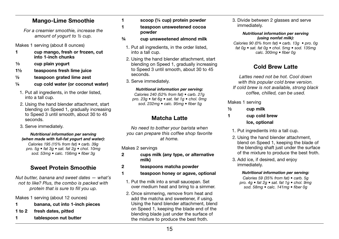## Mango-Lime Smoothie

*For a creamier smoothie, increase the amount of yogurt to ½ cup.*

Makes 1 serving (about 8 ounces)

- 1 cup mango, fresh or frozen, cut into 1-inch chunks
- $\frac{1}{3}$  cup plain yogurt
- 1½ teaspoons fresh lime juice
- ½ teaspoon grated lime zest
- ¼ cup cold water (or coconut water)
- 1. Put all ingredients, in the order listed, into a tall cup.
- 2. Using the hand blender attachment, start blending on Speed 1, gradually increasing to Speed 3 until smooth, about 30 to 45 seconds.
- 3. Serve immediately.

#### *Nutritional information per serving (when made with full-fat yogurt and water):*

*Calories 195 (15% from fat) • carb. 39g pro. 5g • fat 3g • sat. fat 2g • chol. 10mg sod. 53mg • calc. 156mg • fiber 3g*

## Sweet Protein Smoothie

*Nut butter, banana and sweet dates — what's not to like? Plus, the combo is packed with protein that is sure to fill you up.*

Makes 1 serving (about 12 ounces)

- 1 banana, cut into 1-inch pieces
- 1 to 2 fresh dates, pitted
- 1 tablespoon nut butter

1 scoop (¼ cup) protein powder

1 teaspoon unsweetened cocoa powder

- ¾ cup unsweetened almond milk
- 1. Put all ingredients, in the order listed, into a tall cup.
- 2. Using the hand blender attachment, start blending on Speed 1, gradually increasing to Speed 3 until smooth, about 30 to 45 seconds.
- 3. Serve immediately.

#### *Nutritional information per serving:*

*Calories 240 (52% from fat) • carb. 27g pro. 23g • fat 6g • sat. fat 1g • chol. 0mg sod. 232mg • calc. 95mg • fiber 5g*

## Matcha Latte

*No need to bother your barista when you can prepare this coffee shop favorite at home.*

Makes 2 servings

- 2 cups milk (any type, or alternative milk)
- 2 teaspoons matcha powder
- 1 teaspoon honey or agave, optional
	- 1. Put the milk into a small saucepan. Set over medium heat and bring to a simmer.
	- 2. Once simmering, remove from heat and add the matcha and sweetener, if using. Using the hand blender attachment, blend on Speed 1, keeping the blade end of the blending blade just under the surface of the mixture to produce the best froth.

3. Divide between 2 glasses and serve immediately.

> *Nutritional information per serving (using nonfat milk):*

*Calories 90 (0% from fat) • carb. 13g • pro. 0g fat 0g • sat. fat 0g • chol. 5mg • sod. 135mg calc. 300mg • fiber 0g*

## Cold Brew Latte

*Lattes need not be hot. Cool down with this popular cold brew version. If cold brew is not available, strong black coffee, chilled, can be used.*

#### Makes 1 serving

- $\frac{1}{2}$  cup milk
- 1 cup cold brew Ice, optional
	- 1. Put ingredients into a tall cup.
	- 2. Using the hand blender attachment, blend on Speed 1, keeping the blade of the blending shaft just under the surface of the mixture to produce the best froth.
	- 3. Add ice, if desired, and enjoy immediately.

#### *Nutritional information per serving:*

*Calories 59 (35% from fat) • carb. 5g pro. 4g • fat 2g • sat. fat 1g • chol. 9mg sod. 58mg • calc. 141mg • fiber 0g*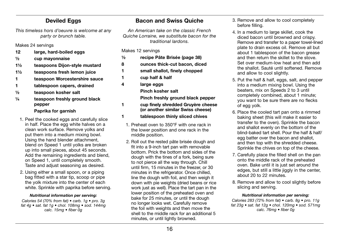## Deviled Eggs

*This timeless hors d'oeuvre is welcome at any party or brunch table.*

Makes 24 servings

- 12 large, hard-boiled eggs
- ½ cup mayonnaise
- 1½ teaspoons Dijon-style mustard
- 1½ teaspoons fresh lemon juice
- 1 teaspoon Worcestershire sauce
- 1 tablespoon capers, drained
- ½ teaspoon kosher salt
- $\frac{1}{4}$  teaspoon freshly ground black pepper

#### Paprika for garnish

- 1. Peel the cooked eggs and carefully slice in half. Place the egg white halves on a clean work surface. Remove yolks and put them into a medium mixing bowl. Using the hand blender attachment, blend on Speed 1 until yolks are broken up into small pieces, about 45 seconds. Add the remaining ingredients and blend, on Speed 1, until completely smooth. Taste and adjust seasoning as desired.
- 2. Using either a small spoon, or a piping bag fitted with a star tip, scoop or pipe the yolk mixture into the center of each white. Sprinkle with paprika before serving.

#### *Nutritional information per serving:*

*Calories 54 (70% from fat) • carb. 1g • pro. 3g fat 4g • sat. fat 1g • chol. 108mg • sod. 144mg calc. 15mg • fiber 0g*

## Bacon and Swiss Quiche

*An American take on the classic French Quiche Lorraine, we substitute bacon for the traditional lardons.*

Makes 12 servings

| 1/2 | recipe Pâte Brisée (page 38)       |
|-----|------------------------------------|
| 8   | ounces thick-cut bacon, diced      |
| 1   | small shallot, finely chopped      |
| 1   | cup half & half                    |
| 4   | large eggs                         |
|     | Pinch kosher salt                  |
|     | Pinch freshly ground black pepper  |
|     | cup finely shredded Gruyère cheese |

## (or another similar Swiss cheese)

- 1 tablespoon thinly sliced chives
	- 1. Preheat oven to 350°F with one rack in the lower position and one rack in the middle position.
	- 2. Roll out the rested pâte brisée dough and fit into a 9-inch tart pan with removable bottom. Prick the bottom and sides of the dough with the tines of a fork, being sure to not pierce all the way through. Chill until firm, 15 minutes in the freezer, or 30 minutes in the refrigerator. Once chilled, line the dough with foil, and then weigh it down with pie weights (dried beans or rice work just as well). Place the tart pan in the lower position of the preheated oven and bake for 25 minutes, or until the dough no longer looks wet. Carefully remove the foil with weights and then move the shell to the middle rack for an additional 5 minutes, or until lightly browned.
- 3. Remove and allow to cool completely before filling.
- 4. In a medium to large skillet, cook the diced bacon until browned and crispy. Remove and transfer to a paper towel-lined plate to drain excess oil. Remove all but about 1 tablespoon of the bacon grease and then return the skillet to the stove. Set over medium-low heat and then add the shallot. Sauté until softened. Remove and allow to cool slightly.
- 5. Put the half & half, eggs, salt, and pepper into a medium mixing bowl. Using the beaters, mix on Speeds 2 to 3 until completely combined, about 1 minute; you want to be sure there are no flecks of egg yolk.
- 6. Place the cooled tart pan onto a rimmed baking sheet (this will make it easier to transfer to the oven). Sprinkle the bacon and shallot evenly on the bottom of the blind-baked tart shell. Pour the half & half/ egg batter over the bacon and shallot, and then top with the shredded cheese. Sprinkle the chives on top of the cheese.
- 7. Carefully place the filled shell on the pan onto the middle rack of the preheated oven. Bake until it is just set around the edges, but still a little jiggly in the center, about 20 to 22 minutes.
- 8. Remove and allow to cool slightly before slicing and serving.

#### *Nutritional information per serving:*

*Calories 283 (72% from fat) • carb. 8g • pro. 11g fat 23g • sat. fat 12g • chol. 120mg • sod. 571mg calc. 76mg • fiber 0g*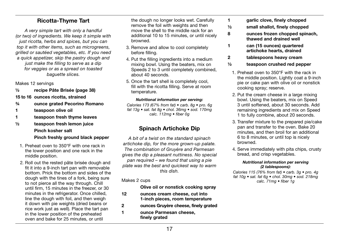## Ricotta-Thyme Tart

*A very simple tart with only a handful (or two) of ingredients. We keep it simple with just ricotta, herbs and spices, but you can top it with other items, such as microgreens, grilled or sautéed vegetables, etc. If you need a quick appetizer, skip the pastry dough and just make the filling to serve as a dip for veggies or as a spread on toasted baguette slices.*

Makes 12 servings

½ recipe Pâte Brisée (page 38)

15 to 16 ounces ricotta, strained

- ¾ ounce grated Pecorino Romano
- 1 teaspoon olive oil
- 1 teaspoon fresh thyme leaves
- ½ teaspoon fresh lemon juice Pinch kosher salt Pinch freshly ground black pepper
	- 1. Preheat oven to 350°F with one rack in the lower position and one rack in the middle position.
	- 2. Roll out the rested pâte brisée dough and fit it into a 9-inch tart pan with removable bottom. Prick the bottom and sides of the dough with the tines of a fork, being sure to not pierce all the way through. Chill until firm, 15 minutes in the freezer, or 30 minutes in the refrigerator. Once chilled, line the dough with foil, and then weigh it down with pie weights (dried beans or rice work just as well). Place the tart pan in the lower position of the preheated oven and bake for 25 minutes, or until

the dough no longer looks wet. Carefully remove the foil with weights and then move the shell to the middle rack for an additional 10 to 15 minutes, or until nicely browned.

- 3. Remove and allow to cool completely before filling.
- 4. Put the filling ingredients into a medium mixing bowl. Using the beaters, mix on Speeds 2 to 3 until completely combined, about 40 seconds.
- 5. Once the tart shell is completely cool, fill with the ricotta filling. Serve at room temperature.

#### *Nutritional information per serving:*

*Calories 173 (67% from fat) • carb. 8g • pro. 6g fat 13g • sat. fat 8g • chol. 36mg • sod. 170mg calc. 112mg • fiber 0g*

## Spinach Artichoke Dip

*A bit of a twist on the standard spinach artichoke dip, for the more grown-up palate. The combination of Gruyère and Parmesan gives the dip a pleasant nuttiness. No special pan required – we found that using a pie plate was the best and quickest way to warm this dish.*

#### Makes 2 cups

Olive oil or nonstick cooking spray

- 12 ounces cream cheese, cut into 1-inch pieces, room temperature
- 2 ounces Gruyère cheese, finely grated
- 1 ounce Parmesan cheese, finely grated
- 1 garlic clove, finely chopped
- ½ small shallot, finely chopped
- 8 ounces frozen chopped spinach, thawed and drained well
- 1 can (15 ounces) quartered artichoke hearts, drained
- 2 tablespoons heavy cream
- ½ teaspoon crushed red pepper
	- 1. Preheat oven to 350°F with the rack in the middle position. Lightly coat a 9-inch pie or cake pan with olive oil or nonstick cooking spray; reserve.
	- 2. Put the cream cheese in a large mixing bowl. Using the beaters, mix on Speed 3 until softened, about 30 seconds. Add remaining ingredients and mix on Speed 1 to fully combine, about 20 seconds.
	- 3. Transfer mixture to the prepared pie/cake pan and transfer to the oven. Bake 20 minutes, and then broil for an additional 6 to 8 minutes, or until top is nicely browned.
	- 4. Serve immediately with pita chips, crusty bread, and crisp vegetables.

#### *Nutritional information per serving (2 tablespoons):*

*Calories 115 (76% from fat) • carb. 3g • pro. 4g fat 10g • sat. fat 6g • chol. 30mg • sod. 218mg calc. 71mg • fiber 1g*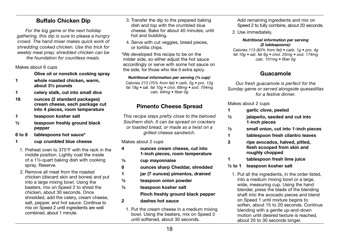## Buffalo Chicken Dip

*For the big game or the next holiday gathering, this dip is sure to please a hungry crowd. The hand mixer makes quick work of shredding cooked chicken. Use this trick for weekly meal prep; shredded chicken can be the foundation for countless meals.*

Makes about 6 cups

Olive oil or nonstick cooking spray

- 1 whole roasted chicken, warm, about 3½ pounds
- 1 celery stalk, cut into small dice
- 16 ounces (2 standard packages) cream cheese, each package cut into 4 pieces, room temperature
- 1 teaspoon kosher salt
- ½ teaspoon freshly ground black pepper
- 6 to 8 tablespoons hot sauce\*
- 1 cup crumbled blue cheese
- 1. Preheat oven to 375°F with the rack in the middle position. Lightly coat the inside of a 1½-quart baking dish with cooking spray. Reserve.
- 2. Remove all meat from the roasted chicken (discard skin and bones) and put into a large mixing bowl. Using the beaters, mix on Speed 2 to shred the chicken, about 30 seconds. Once shredded, add the celery, cream cheese, salt, pepper, and hot sauce. Continue to mix on Speed 2 until ingredients are well combined, about 1 minute.
- 3. Transfer the dip to the prepared baking dish and top with the crumbled blue cheese. Bake for about 40 minutes, until hot and bubbling.
- 4. Serve with cut veggies, bread pieces, or tortilla chips.

\*We developed this recipe to be on the milder side, so either adjust the hot sauce accordingly or serve with some hot sauce on the side, for those who like it extra spicy.

*Nutritional information per serving (½ cup):*

*Calories 213 (75% from fat) • carb. 2g • pro. 12g fat 18g • sat. fat 10g • chol. 69mg • sod. 704mg calc. 64mg • fiber 0g*

## Pimento Cheese Spread

*This recipe stays pretty close to the beloved Southern dish. It can be spread on crackers or toasted bread, or made as a twist on a grilled cheese sandwich.*

Makes about 2 cups

- 4 ounces cream cheese, cut into 1-inch pieces, room temperature
- ¼ cup mayonnaise
- 8 ounces sharp Cheddar, shredded
- 1 jar (7 ounces) pimentos, drained
- ½ teaspoon onion powder
- ¼ teaspoon kosher salt Pinch freshly ground black pepper
- 2 dashes hot sauce
	- 1. Put the cream cheese in a medium mixing bowl. Using the beaters, mix on Speed 3 until softened, about 30 seconds.

Add remaining ingredients and mix on Speed 2 to fully combine, about 20 seconds.

2. Use immediately.

#### *Nutritional information per serving (2 tablespoons):*

*Calories 113 (83% from fat) • carb. 1g • pro. 4g fat 10g • sat. fat 6g • chol. 25mg • sod. 174mg calc. 101mg • fiber 0g*

## Guacamole

*Our fresh guacamole is perfect for the Sunday game or served alongside quesadillas for a festive dinner.*

Makes about 2 cups

- 1 garlic clove, peeled
- $\frac{1}{2}$  jalapeño, seeded and cut into 1-inch pieces
- ½ small onion, cut into 1-inch pieces
- 1 tablespoon fresh cilantro leaves
- 3 ripe avocados, halved, pitted, flesh scooped from skin and roughly chopped
- 1 tablespoon fresh lime juice
- ½ to 1 teaspoon kosher salt
	- 1. Put all the ingredients, in the order listed, into a medium mixing bowl or a large, wide, measuring cup. Using the hand blender, press the blade of the blending shaft into the avocado pieces and blend on Speed 1 until mixture begins to soften, about 15 to 20 seconds. Continue blending with a gentle up-and-down motion until desired texture is reached, about 20 to 30 seconds longer.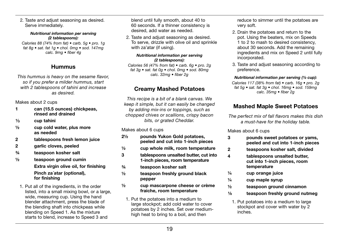2. Taste and adjust seasoning as desired. Serve immediately.

#### *Nutritional information per serving (2 tablespoons):*

*Calories 88 (74% from fat) • carb. 5g • pro. 1g fat 8g • sat. fat 1g • chol. 0mg • sod. 147mg calc. 9mg • fiber 4g*

## Hummus

*This hummus is heavy on the sesame flavor, so if you prefer a milder hummus, start with 2 tablespoons of tahini and increase as desired.*

#### Makes about 2 cups

- 1 can (15.5 ounces) chickpeas, rinsed and drained
- $\frac{1}{3}$  cup tahini
- $\frac{1}{2}$  cup cold water, plus more as needed
- 2 tablespoons fresh lemon juice
- 2 garlic cloves, peeled
- ¾ teaspoon kosher salt
- ½ teaspoon ground cumin Extra virgin olive oil, for finishing Pinch za´atar (optional), for finishing
- 1. Put all of the ingredients, in the order listed, into a small mixing bowl, or a large, wide, measuring cup. Using the hand blender attachment, press the blade of the blending shaft into chickpeas while blending on Speed 1. As the mixture starts to blend, increase to Speed 3 and

blend until fully smooth, about 40 to 60 seconds. If a thinner consistency is desired, add water as needed.

2. Taste and adjust seasoning as desired. To serve, drizzle with olive oil and sprinkle with za'atar (if using).

#### *Nutritional information per serving (2 tablespoons):*

*Calories 56 (47% from fat) • carb. 6g • pro. 2g fat 3g • sat. fat 0g • chol. 0mg • sod. 80mg calc. 32mg • fiber 2g*

## Creamy Mashed Potatoes

*This recipe is a bit of a blank canvas. We keep it simple, but it can easily be changed by adding mix-ins or toppings, such as chopped chives or scallions, crispy bacon bits, or grated Cheddar.*

#### Makes about 6 cups

- 2½ pounds Yukon Gold potatoes, peeled and cut into 1-inch pieces
- $\frac{1}{2}$  cup whole milk, room temperature
- 3 tablespoons unsalted butter, cut into 1-inch pieces, room temperature
- ¾ teaspoon kosher salt
- ½ teaspoon freshly ground black pepper

#### ½ cup mascarpone cheese or crème fraiche, room temperature

1. Put the potatoes into a medium to large stockpot; add cold water to cover potatoes by 2 inches. Set over mediumhigh heat to bring to a boil, and then

reduce to simmer until the potatoes are very soft.

- 2. Drain the potatoes and return to the pot. Using the beaters, mix on Speeds 1 to 2 to mash to desired consistency, about 30 seconds. Add the remaining ingredients and mix on Speed 2 until fully incorporated.
- 3. Taste and adjust seasoning according to preference.

#### *Nutritional information per serving (½ cup):*

*Calories 117 (38% from fat) • carb. 16g • pro. 2g fat 5g • sat. fat 3g • chol. 16mg • sod. 159mg calc. 35mg • fiber 2g*

## Mashed Maple Sweet Potatoes

*The perfect mix of fall flavors makes this dish a must-have for the holiday table.*

#### Makes about 6 cups

- 3 pounds sweet potatoes or yams, peeled and cut into 1-inch pieces
- 2 teaspoons kosher salt, divided
- 4 tablespoons unsalted butter, cut into 1-inch pieces, room temperature
- ¼ cup orange juice
- $\frac{1}{4}$  cup maple syrup
- ½ teaspoon ground cinnamon
- $\frac{1}{8}$  teaspoon freshly ground nutmeg
- 1. Put potatoes into a medium to large stockpot and cover with water by 2 inches.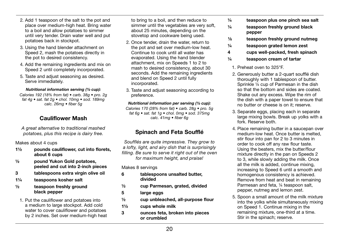- 2. Add 1 teaspoon of the salt to the pot and place over medium-high heat. Bring water to a boil and allow potatoes to simmer until very tender. Drain water well and put potatoes back in stockpot.
- 3. Using the hand blender attachment on Speed 2, mash the potatoes directly in the pot to desired consistency.
- 4. Add the remaining ingredients and mix on Speed 2 until completely incorporated.
- 5. Taste and adjust seasoning as desired. Serve immediately.

#### *Nutritional information serving (½ cup):*

*Calories 192 (18% from fat) • carb. 38g • pro. 2g fat 4g • sat. fat 2g • chol. 10mg • sod. 189mg calc. 26mg • fiber 5g*

## Cauliflower Mash

*A great alternative to traditional mashed potatoes, plus this recipe is dairy free.*

Makes about 4 cups

- 1½ pounds cauliflower, cut into florets, about 6 cups
- ½ pound Yukon Gold potatoes, peeled and cut into 2-inch pieces
- 3 tablespoons extra virgin olive oil
- 1¼ teaspoons kosher salt
- ½ teaspoon freshly ground black pepper
- 1. Put the cauliflower and potatoes into a medium to large stockpot. Add cold water to cover cauliflower and potatoes by 2 inches. Set over medium-high heat

to bring to a boil, and then reduce to simmer until the vegetables are very soft. about 25 minutes, depending on the stovetop and cookware being used.

- 2. Once tender, drain the water, return to the pot and set over medium-low heat. Continue to cook until all water has evaporated. Using the hand blender attachment, mix on Speeds 1 to 2 to mash to desired consistency, about 30 seconds. Add the remaining ingredients and blend on Speed 2 until fully incorporated.
- 3. Taste and adjust seasoning according to preference.

#### *Nutritional information per serving (½ cup):*

*Calories 170 (28% from fat) • carb. 28g • pro. 5g fat 6g • sat. fat 1g • chol. 0mg • sod. 375mg calc. 41mg • fiber 6g*

## Spinach and Feta Soufflé

*Soufflés are quite impressive. They grow to a lofty, light, and airy dish that is surprisingly filling. Be sure to serve it right out of the oven for maximum height, and praise!*

#### Makes 8 servings

- 6 tablespoons unsalted butter, divided
- ½ cup Parmesan, grated, divided
- 5 large eggs
- ½ cup unbleached, all-purpose flour
- 1½ cups whole milk
- 3 ounces feta, broken into pieces or crumbled
- $\frac{1}{4}$  teaspoon plus one pinch sea salt
- ¼ teaspoon freshly ground black pepper
- <sup>1</sup>/8 teaspoon freshly ground nutmeg
- ¼ teaspoon grated lemon zest
- 4 cups well-packed, fresh spinach
- ¼ teaspoon cream of tartar
- 1. Preheat oven to 325°F.
- 2. Generously butter a 2-quart soufflé dish thoroughly with 1 tablespoon of butter. Sprinkle ¼ cup of Parmesan in the dish so that the bottom and sides are coated. Shake out any excess. Wipe the rim of the dish with a paper towel to ensure that no butter or cheese is on it; reserve.
- 3. Separate eggs, placing each in separate large mixing bowls. Break up yolks with a fork. Reserve both.
- 4. Place remaining butter in a saucepan over medium-low heat. Once butter is melted stir flour into pan for 2 to 3 minutes in order to cook off any raw flour taste. Using the beaters, mix the butter/flour mixture directly in the pan on Speeds 2 to 3, while slowly adding the milk. Once all the milk is added, continue mixing, increasing to Speed 6 until a smooth and homogenous consistency is achieved. Remove from heat and beat in remaining Parmesan and feta, ¼ teaspoon salt, pepper, nutmeg and lemon zest.
- 5. Spoon a small amount of the milk mixture into the yolks while simultaneously mixing on Speed 1. Continue mixing in the remaining mixture, one-third at a time. Stir in the spinach: reserve.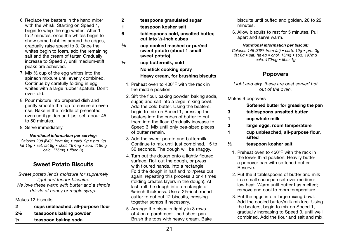- 6. Replace the beaters in the hand mixer with the whisk. Starting on Speed 1, begin to whip the egg whites. After 1 to 2 minutes, once the whites begin to show some bubbles around the edges. gradually raise speed to 3. Once the whites begin to foam, add the remaining salt and the cream of tartar. Gradually increase to Speed 7, until medium-stiff peaks are achieved.
- 7. Mix ½ cup of the egg whites into the spinach mixture until evenly combined. Continue by carefully folding in egg whites with a large rubber spatula. Don't over-fold.
- 8. Pour mixture into prepared dish and gently smooth the top to ensure an even rise. Bake in the middle of preheated oven until golden and just set, about 45 to 50 minutes.
- 9. Serve immediately.

#### *Nutritional information per serving:*

*Calories 208 (64% from fat) • carb. 9g • pro. 9g fat 15g • sat. fat 8g • chol. 167mg • sod. 416mg calc. 175mg • fiber 1g*

## Sweet Potato Biscuits

*Sweet potato lends moisture for supremely light and tender biscuits. We love these warm with butter and a simple drizzle of honey or maple syrup.*

#### Makes 12 biscuits

- 2 cups unbleached, all-purpose flour
- 2½ teaspoons baking powder
- ½ teaspoon baking soda
- 2 teaspoons granulated sugar
- 1 teaspoon kosher salt
- 6 tablespoons cold, unsalted butter, cut into ½-inch cubes
- $\frac{2}{3}$ cup cooked mashed or puréed sweet potato (about 1 small sweet potato)
- ½ cup buttermilk, cold Nonstick cooking spray Heavy cream, for brushing biscuits
	- 1. Preheat oven to 400°F with the rack in the middle position.
	- 2. Sift the flour, baking powder, baking soda, sugar, and salt into a large mixing bowl. Add the cold butter. Using the beaters, begin to mix on Speed 1, pressing the beaters into the cubes of butter to cut them into the flour. Gradually increase to Speed 3. Mix until only pea-sized pieces of butter remain.
	- 3. Add the sweet potato and buttermilk. Continue to mix until just combined, 15 to 30 seconds. The dough will be shaggy.
	- 4. Turn out the dough onto a lightly floured surface. Roll out the dough, or press with floured hands, into a rectangle. Fold the dough in half and roll/press out again, repeating this process 3 or 4 times (folding creates layers in the dough). At last, roll the dough into a rectangle of ¾-inch thickness. Use a 2½-inch round cutter to cut out 12 biscuits, pressing together scraps if necessary.
	- 5. Arrange the biscuits tightly in 3 rows of 4 on a parchment-lined sheet pan. Brush the tops with heavy cream. Bake

biscuits until puffed and golden, 20 to 22 minutes.

6. Allow biscuits to rest for 5 minutes. Pull apart and serve warm.

#### *Nutritional information per biscuit:*

*Calories 145 (36% from fat) • carb. 19g • pro. 3g fat 6g • sat. fat 4g • chol. 15mg • sod. 197mg calc. 470mg • fiber 1g*

## Popovers

*Light and airy, these are best served hot out of the oven.*

#### Makes 6 popovers

#### Softened butter for greasing the pan

- 3 tablespoons unsalted butter
- 1 cup whole milk
- 3 large eggs, room temperature
- 1 cup unbleached, all-purpose flour, sifted
- ½ teaspoon kosher salt
	- 1. Preheat oven to 450°F with the rack in the lower third position. Heavily butter a popover pan with softened butter. Reserve.
	- 2. Put the 3 tablespoons of butter and milk in a small saucepan set over mediumlow heat. Warm until butter has melted; remove and cool to room temperature.
	- 3. Put the eggs into a large mixing bowl. Add the cooled butter/milk mixture. Using the beaters, begin to mix on Speed 1, gradually increasing to Speed 3, until well combined. Add the flour and salt and mix,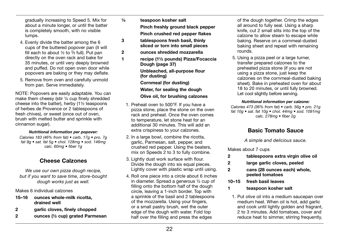gradually increasing to Speed 5. Mix for about a minute longer, or until the batter is completely smooth, with no visible lumps.

- 4. Evenly divide the batter among the 6 cups of the buttered popover pan (it will fill each to about 1/2 to <sup>2/3</sup> full). Put pan directly on the oven rack and bake for 35 minutes, or until very deeply browned and puffed. Do not open oven door while popovers are baking or they may deflate.
- 5. Remove from oven and carefully unmold from pan. Serve immediately.

NOTE: Popovers are easily adaptable. You can make them cheesy (stir ¼ cup finely shredded cheese into the batter), herby (1½ teaspoons of herbes de Provence or 2 tablespoons of fresh chives), or sweet (once out of oven, brush with melted butter and sprinkle with cinnamon sugar).

#### *Nutritional information per popover:*

*Calories 183 (46% from fat) • carb. 17g • pro. 7g fat 9g • sat. fat 5g • chol. 128mg • sod. 146mg calc. 60mg • fiber 1g*

## Cheese Calzones

*We use our own pizza dough recipe, but if you want to save time, store-bought dough works just as well.*

Makes 6 individual calzones

- 15–16 ounces whole-milk ricotta, drained well
- 2 garlic cloves, finely chopped
- 2 ounces (½ cup) grated Parmesan
- ¼ teaspoon kosher salt Pinch freshly ground black pepper Pinch crushed red pepper flakes
- 3 tablespoons fresh basil, thinly sliced or torn into small pieces
- 2 ounces shredded mozzarella
- 1 recipe (1½ pounds) Pizza/Focaccia Dough (page 37) Unbleached, all-purpose flour (for dusting) Cornmeal (for dusting) Water, for sealing the dough Olive oil, for brushing calzones
	- 1. Preheat oven to 500°F. If you have a pizza stone, place the stone on the oven rack and preheat. Once the oven comes to temperature, let stone heat for an additional 30 minutes. This will add an extra crispiness to your calzones.
	- 2. In a large bowl, combine the ricotta, garlic, Parmesan, salt, pepper, and crushed red pepper. Using the beaters, mix on Speeds 2 to 3 to fully combine.
	- 3. Lightly dust work surface with flour. Divide the dough into six equal pieces. Lightly cover with plastic wrap until using.
	- 4. Roll one piece into a circle about 6 inches in diameter. Spread a generous ½ cup of filling onto the bottom half of the dough circle, leaving a 1-inch border. Top with a sprinkle of the basil and 2 tablespoons of the mozzarella. Using your fingers, or a small pastry brush, wet the outer edge of the dough with water. Fold top half over the filling and press the edges

of the dough together. Crimp the edges all around to fully seal. Using a sharp knife, cut 2 small slits into the top of the calzone to allow steam to escape while baking. Reserve on a cornmeal-dusted baking sheet and repeat with remaining rounds.

5. Using a pizza peel or a large turner, transfer prepared calzones to the preheated pizza stone (if you are not using a pizza stone, just keep the calzones on the cornmeal-dusted baking sheet). Bake in preheated oven for about 18 to 20 minutes, or until fully browned. Let cool slightly before serving.

#### *Nutritional information per calzone:*

*Calories 473 (36% from fat) • carb. 56g • pro. 21g fat 10g • sat. fat 10g • chol. 44mg • sod. 1091mg calc. 278mg • fiber 2g*

## Basic Tomato Sauce

*A simple and delicious sauce.*

Makes about 7 cups

- 2 tablespoons extra virgin olive oil
- 2 large garlic cloves, peeled
- 2 cans (28 ounces each) whole, peeled tomatoes
- 10–15 fresh basil leaves
- 1 teaspoon kosher salt
	- 1. Put olive oil into a medium saucepan over medium heat. When oil is hot, add garlic and cook until lightly golden and fragrant, 2 to 3 minutes. Add tomatoes, cover and reduce heat to simmer, stirring frequently.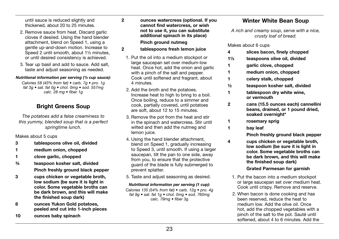until sauce is reduced slightly and thickened, about 20 to 25 minutes.

- 2. Remove sauce from heat. Discard garlic cloves if desired. Using the hand blender attachment, blend on Speed 1, using a gentle up-and-down motion. Increase to Speed 2 until smooth, about 1½ minutes, or until desired consistency is achieved.
- 3. Tear up basil and add to sauce. Add salt, taste and adjust seasoning as needed.

#### *Nutritional information per serving (½ cup sauce):*

*Calories 58 (43% from fat) • carb. 7g • pro. 1g fat 3g • sat. fat 0g • chol. 0mg • sod. 557mg calc. 28 mg • fiber 1g*

## Bright Greens Soup

*The potatoes add a false creaminess to this yummy, blended soup that is a perfect springtime lunch.*

Makes about 5 cups

- 3 tablespoons olive oil, divided
- 1 medium onion, chopped
- 1 clove garlic, chopped
- ¾ teaspoon kosher salt, divided Pinch freshly ground black pepper
- 3 cups chicken or vegetable broth, low sodium (be sure it is light in color. Some vegetable broths can be dark brown, and this will make the finished soup dark)
- 8 ounces Yukon Gold potatoes, peeled and cut into 1-inch pieces
- 10 ounces baby spinach

2 ounces watercress (optional. If you

#### cannot find watercress, or wish not to use it, you can substitute additional spinach in its place) Pinch ground nutmeg

- 2 tablespoons fresh lemon juice
- 1. Put the oil into a medium stockpot or large saucepan set over medium-low heat. Once hot, add the onion and garlic with a pinch of the salt and pepper. Cook until softened and fragrant, about 4 minutes.
- 2. Add the broth and the potatoes. Increase heat to high to bring to a boil. Once boiling, reduce to a simmer and cook, partially covered, until potatoes are soft, about 12 to 15 minutes.
- 3. Remove the pot from the heat and stir in the spinach and watercress. Stir until wilted and then add the nutmeg and lemon juice.
- 4. Using the hand blender attachment, blend on Speed 1, gradually increasing to Speed 3, until smooth. If using a larger saucepan, tilt the pan to one side, away from you, to ensure that the protective guard of the blade is fully submerged to prevent splatter.
- 5. Taste and adjust seasoning as desired.

#### *Nutritional information per serving (1 cup):*

*Calories 135 (54% from fat) • carb. 12g • pro. 4g fat 9g • sat. fat 1g • chol. 0mg • sod. 760mg calc. 79mg • fiber 3g*

## Winter White Bean Soup

*A rich and creamy soup, serve with a nice, crusty loaf of bread.* 

#### Makes about 6 cups

- 4 slices bacon, finely chopped
- 1½ teaspoons olive oil, divided
- 1 garlic clove, chopped
- 1 medium onion, chopped
- 1 celery stalk, chopped
- ½ teaspoon kosher salt, divided
- 1 tablespoon dry white wine, or vermouth
- 2 cans (15.5 ounces each) cannellini beans, drained, or 1 pound dried, soaked overnight\*
- 1 rosemary sprig
- 1 bay leaf

Pinch freshly ground black pepper

4 cups chicken or vegetable broth, low sodium (be sure it is light in color. Some vegetable broths can be dark brown, and this will make the finished soup dark)

#### Grated Parmesan for garnish

- 1. Put the bacon into a medium stockpot or large saucepan set over medium heat. Cook until crispy. Remove and reserve.
- 2. When bacon is done cooking and has been reserved, reduce the heat to medium low. Add the olive oil. Once hot, add the chopped vegetables with a pinch of the salt to the pot. Sauté until softened, about 4 to 6 minutes. Add the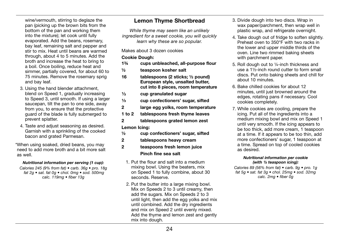wine/vermouth, stirring to deglaze the pan (picking up the brown bits from the bottom of the pan and working them into the mixture); let cook until fully evaporated. Add the beans, rosemary, bay leaf, remaining salt and pepper and stir to mix. Heat until beans are warmed through, about 4 to 5 minutes. Add the broth and increase the heat to bring to a boil. Once boiling, reduce heat and simmer, partially covered, for about 60 to 75 minutes. Remove the rosemary sprig and bay leaf.

- 3. Using the hand blender attachment, blend on Speed 1, gradually increasing to Speed 3, until smooth. If using a larger saucepan, tilt the pan to one side, away from you, to ensure that the protective guard of the blade is fully submerged to prevent splatter.
- 4. Taste and adjust seasoning as desired. Garnish with a sprinkling of the cooked bacon and grated Parmesan.

\*When using soaked, dried beans, you may need to add more broth and a bit more salt as well.

#### *Nutritional information per serving (1 cup):*

*Calories 245 (9% from fat) • carb. 36g • pro. 18g fat 2g • sat. fat 0g • chol. 0mg • sod. 500mg calc. 119mg • fiber 13g*

## Lemon Thyme Shortbread

*While thyme may seem like an unlikely ingredient for a sweet cookie, you will quickly learn why these are so popular.* 

#### Makes about 3 dozen cookies

#### Cookie Dough:

- 1¾ cups unbleached, all-purpose flour
- ½ teaspoon kosher salt
- 16 tablespoons (2 sticks; ½ pound) European style, unsalted butter, cut into 8 pieces, room temperature
- $\frac{1}{3}$  cup granulated sugar<br> $\frac{1}{3}$  cup confectioners' su
- <sup>1</sup>/<sub>3</sub> cup confectioners' sugar, sifted<br>2 large egg volks, room temperati
- large egg yolks, room temperature
- 1 to 2 tablespoons fresh thyme leaves
- 2 tablespoons grated lemon zest

#### Lemon Icing:

- ½ cup confectioners' sugar, sifted
- 2 tablespoons heavy cream

#### 2 teaspoons fresh lemon juice Pinch fine sea salt

- 1. Put the flour and salt into a medium mixing bowl. Using the beaters, mix on Speed 1 to fully combine, about 30 seconds. Reserve.
- 2. Put the butter into a large mixing bowl. Mix on Speeds 2 to 3 until creamy, then add the sugars. Mix on Speeds 2 to 3 until light, then add the egg yolks and mix until combined. Add the dry ingredients and mix on Speed 2 until evenly mixed. Add the thyme and lemon zest and gently mix into dough.
- 3. Divide dough into two discs. Wrap in wax paper/parchment, then wrap well in plastic wrap, and refrigerate overnight.
- 4. Take dough out of fridge to soften slightly. Preheat oven to 350°F with two racks in the lower and upper middle thirds of the oven. Line two rimmed baking sheets with parchment paper.
- 5. Roll dough out to ¼-inch thickness and use a 1½-inch round cutter to form small discs. Put onto baking sheets and chill for about 10 minutes.
- 6. Bake chilled cookies for about 12 minutes, until just browned around the edges, rotating pans if necessary. Cool cookies completely.
- 7. While cookies are cooling, prepare the icing. Put all of the ingredients into a medium mixing bowl and mix on Speed 1 until very smooth. If the icing appears to be too thick, add more cream, 1 teaspoon at a time. If it appears to be too thin, add more confectioners' sugar, 1 teaspoon at a time. Spread on top of cooled cookies as desired.

#### *Nutritional information per cookie (with ½ teaspoon icing):*

*Calories 89 (56% from fat) • carb. 9g • pro. 1g fat 5g • sat. fat 3g • chol. 25mg • sod. 32mg calc. 2mg • fiber 0g*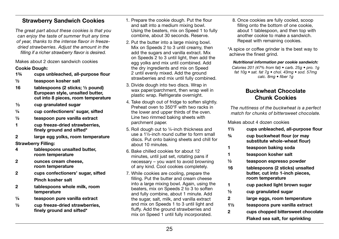## Strawberry Sandwich Cookies

*The great part about these cookies is that you can enjoy the taste of summer fruit any time of year, thanks to the intense flavor in freezedried strawberries. Adjust the amount in the filling if a richer strawberry flavor is desired.*

Makes about 2 dozen sandwich cookies

#### Cookie Dough:

- 1¾ cups unbleached, all-purpose flour
- ½ teaspoon kosher salt
- 16 tablespoons (2 sticks; ½ pound) European style, unsalted butter, cut into 8 pieces, room temperature
- $\frac{1}{3}$  cup granulated sugar
- ¼ cup confectioners' sugar, sifted
- ½ teaspoon pure vanilla extract
- 1 cup freeze-dried strawberries, finely ground and sifted\*
- 2 large egg yolks, room temperature Strawberry Filling:
- 4 tablespoons unsalted butter, room temperature
- 2 ounces cream cheese, room temperature
- 2 cups confectioners' sugar, sifted Pinch kosher salt
- 2 tablespoons whole milk, room temperature
- $\frac{1}{4}$  teaspoon pure vanilla extract
- $\frac{1}{2}$  cup freeze-dried strawberries. finely ground and sifted\*
- 1. Prepare the cookie dough. Put the flour and salt into a medium mixing bowl. Using the beaters, mix on Speed 1 to fully combine, about 30 seconds. Reserve.
- 2. Put the butter into a large mixing bowl. Mix on Speeds 2 to 3 until creamy, then add the sugars and vanilla extract. Mix on Speeds 2 to 3 until light, then add the egg yolks and mix until combined. Add the dry ingredients and mix on Speed 2 until evenly mixed. Add the ground strawberries and mix until fully combined.
- 3. Divide dough into two discs. Wrap in wax paper/parchment, then wrap well in plastic wrap. Refrigerate overnight.
- 4. Take dough out of fridge to soften slightly. Preheat oven to 350°F with two racks in the lower and upper thirds of the oven. Line two rimmed baking sheets with parchment paper.
- 5. Roll dough out to ¼-inch thickness and use a 1½-inch round cutter to form small discs. Put onto baking sheets and chill for about 10 minutes.
- 6. Bake chilled cookies for about 12 minutes, until just set, rotating pans if necessary – you want to avoid browning of any kind. Cool cookies completely.
- 7. While cookies are cooling, prepare the filling. Put the butter and cream cheese into a large mixing bowl. Again, using the beaters, mix on Speeds 2 to 3 to soften and fully combine, about 1 minute. Add the sugar, salt, milk, and vanilla extract and mix on Speeds 1 to 3 until light and fluffy. Add the ground strawberries and mix on Speed 1 until fully incorporated.

8. Once cookies are fully cooled, scoop filling onto the bottom of one cookie, about 1 tablespoon, and then top with another cookie to make a sandwich. Repeat with remaining cookies.

\*A spice or coffee grinder is the best way to achieve the finest grind.

*Nutritional information per cookie sandwich:* 

*Calories 201 (47% from fat) • carb. 25g • pro. 1g fat 10g • sat. fat 7g • chol. 43mg • sod. 57mg calc. 8mg • fiber 1g*

## Buckwheat Chocolate Chunk Cookies

*The nuttiness of the buckwheat is a perfect match for chunks of bittersweet chocolate.*

Makes about 4 dozen cookies

| $1\frac{1}{2}$ | cups unbleached, all-purpose flour                                                     |
|----------------|----------------------------------------------------------------------------------------|
| $\frac{3}{4}$  | cup buckwheat flour (or may<br>substitute whole-wheat flour)                           |
| 1              | teaspoon baking soda                                                                   |
| 1              | teaspoon kosher salt                                                                   |
| 1⁄2            | teaspoon espresso powder                                                               |
| 16             | tablespoons (2 sticks) unsalted<br>butter, cut into 1-inch pieces,<br>room temperature |
| 1              | cup packed light brown sugar                                                           |
| $\frac{1}{2}$  | cup granulated sugar                                                                   |
| 2              | large eggs, room temperature                                                           |
| $1\frac{1}{2}$ | teaspoons pure vanilla extract                                                         |
| 2              | cups chopped bittersweet chocolate                                                     |
|                | Flaked sea salt, for sprinkling                                                        |
|                |                                                                                        |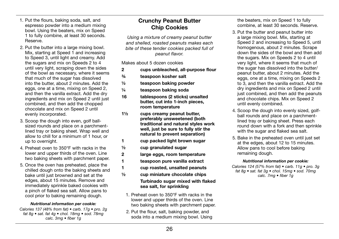- 1. Put the flours, baking soda, salt, and espresso powder into a medium mixing bowl. Using the beaters, mix on Speed 1 to fully combine, at least 30 seconds. Reserve.
- 2. Put the butter into a large mixing bowl. Mix, starting at Speed 1 and increasing to Speed 3, until light and creamy. Add the sugars and mix on Speeds 2 to 4 until very light, scraping down the sides of the bowl as necessary, where it seems that much of the sugar has dissolved into the butter, about 2 minutes. Add the eggs, one at a time, mixing on Speed 2, and then the vanilla extract. Add the dry ingredients and mix on Speed 2 until just combined, and then add the chopped chocolate and mix on Speed 2 until evenly incorporated.
- 3. Scoop the dough into even, golf ballsized rounds and place on a parchmentlined tray or baking sheet. Wrap well and allow to chill for a minimum of 1 hour, or up to overnight.
- 4. Preheat oven to 350°F with racks in the lower and upper thirds of the oven. Line two baking sheets with parchment paper.
- 5. Once the oven has preheated, place the chilled dough onto the baking sheets and bake until just browned and set at the edges, about 15 minutes. Remove and immediately sprinkle baked cookies with a pinch of flaked sea salt. Allow pans to cool prior to baking remaining dough.

#### *Nutritional information per cookie:*

*Calories 137 (48% from fat) • carb. 17g • pro. 2g fat 8g • sat. fat 4g • chol. 18mg • sod. 78mg calc. 3mg • fiber 1g*

## Crunchy Peanut Butter Chip Cookies

*Using a mixture of creamy peanut butter and shelled, roasted peanuts makes each bite of these tender cookies packed full of peanut flavor.*

Makes about 5 dozen cookies

- 2 cups unbleached, all-purpose flour
- ¾ teaspoon kosher salt
- ½ teaspoon baking powder
- ¼ teaspoon baking soda
- 16 tablespoons (2 sticks) unsalted butter, cut into 1-inch pieces, room temperature
- 1½ cups creamy peanut butter, preferably unsweetened (both traditional and natural styles work well, just be sure to fully stir the natural to prevent separation)
- 1 cup packed light brown sugar
- $\frac{1}{2}$  cup granulated sugar
- 2 large eggs, room temperature
- 1 teaspoon pure vanilla extract
- 1 cup roasted, unsalted peanuts
- ½ cup miniature chocolate chips Turbinado sugar mixed with flaked sea salt, for sprinkling
- 1. Preheat oven to 350°F with racks in the lower and upper thirds of the oven. Line two baking sheets with parchment paper.
- 2. Put the flour, salt, baking powder, and soda into a medium mixing bowl. Using

the beaters, mix on Speed 1 to fully combine, at least 30 seconds. Reserve.

- 3. Put the butter and peanut butter into a large mixing bowl. Mix, starting at Speed 2 and increasing to Speed 5, until homogenous, about 2 minutes. Scrape down the sides of the bowl and then add the sugars. Mix on Speeds 2 to 4 until very light, where it seems that much of the sugar has dissolved into the butter/ peanut butter, about 2 minutes. Add the eggs, one at a time, mixing on Speeds 2 to 3, and then the vanilla extract. Add the dry ingredients and mix on Speed 2 until just combined, and then add the peanuts and chocolate chips. Mix on Speed 2 until evenly combined.
- 4. Scoop the dough into evenly sized, golfball rounds and place on a parchmentlined tray or baking sheet. Press each round down with a fork and then sprinkle with the sugar and flaked sea salt.
- 5. Bake in the preheated oven until just set at the edges, about 12 to 15 minutes. Allow pans to cool before baking remaining dough.

#### *Nutritional information per cookie:*

*Calories 124 (57% from fat) • carb. 11g • pro. 3g fat 8g • sat. fat 3g • chol. 15mg • sod. 70mg calc. 7mg • fiber 1g*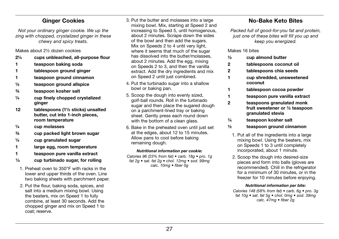## Ginger Cookies

*Not your ordinary ginger cookie. We up the zing with chopped, crystalized ginger in these chewy and spicy treats.* 

Makes about 2½ dozen cookies

- 2¼ cups unbleached, all-purpose flour
- 1 teaspoon baking soda
- 1 tablespoon ground ginger
- 1 teaspoon ground cinnamon
- ½ teaspoon ground allspice
- ¾ teaspoon kosher salt
- $\frac{1}{4}$  cup finely chopped crystalized ginger
- 12 tablespoons (1½ sticks) unsalted butter, cut into 1-inch pieces, room temperature
- ¼ cup molasses
- ¾ cup packed light brown sugar
- ¼ cup granulated sugar
- 1 large egg, room temperature
- 1 teaspoon pure vanilla extract
- $\frac{1}{3}$  cup turbinado sugar, for rolling
- 1. Preheat oven to 350°F with racks in the lower and upper thirds of the oven. Line two baking sheets with parchment paper.
- 2. Put the flour, baking soda, spices, and salt into a medium mixing bowl. Using the beaters, mix on Speed 1 to fully combine, at least 30 seconds. Add the chopped ginger and mix on Speed 1 to coat; reserve.
- 3. Put the butter and molasses into a large mixing bowl. Mix, starting at Speed 2 and increasing to Speed 5, until homogenous, about 2 minutes. Scrape down the sides of the bowl and then add the sugars. Mix on Speeds 2 to 4 until very light. where it seems that much of the sugar has dissolved into the butter/molasses, about 2 minutes. Add the egg, mixing on Speeds 2 to 3, and then the vanilla extract. Add the dry ingredients and mix on Speed 2 until just combined.
- 4. Put the turbinado sugar into a shallow bowl or baking pan.
- 5. Scoop the dough into evenly sized, golf-ball rounds. Roll in the turbinado sugar and then place the sugared dough on a parchment-lined tray or baking sheet. Gently press each round down with the bottom of a clean glass.
- 6. Bake in the preheated oven until just set at the edges, about 12 to 15 minutes. Allow pans to cool before baking remaining dough.

#### *Nutritional information per cookie:*

*Calories 96 (23% from fat) • carb. 18g • pro. 1g fat 2g • sat. fat 2g • chol. 12mg • sod. 99mg calc. 10mg • fiber 0g*

## No-Bake Keto Bites

*Packed full of good-for-you fat and protein, just one of these bites will fill you up and keep you energized.* 

#### Makes 16 bites

- ½ cup almond butter
- 2 tablespoons coconut oil
- 2 tablespoons chia seeds
- 1 cup shredded, unsweetened coconut
- 1 tablespoon cocoa powder
- 1 teaspoon pure vanilla extract
- 2 teaspoons granulated monk fruit sweetener or ½ teaspoon granulated stevia
- ¼ teaspoon kosher salt
- ½ teaspoon ground cinnamon
- 1. Put all of the ingredients into a large mixing bowl. Using the beaters, mix on Speeds 1 to 3 until completely incorporated, about 1 minute.
- 2. Scoop the dough into desired-size pieces and form into balls (gloves are recommended). Chill in the refrigerator for a minimum of 30 minutes, or in the freezer for 10 minutes before enjoying.

#### *Nutritional information per bite:*

*Calories 148 (58% from fat) • carb. 6g • pro. 3g fat 10g • sat. fat 5g • chol. 0mg • sod. 39mg calc. 47mg • fiber 2g*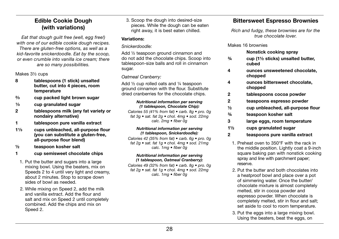## Edible Cookie Dough (with variations)

*Eat that dough guilt free (well, egg free!) with one of our edible cookie dough recipes. There are gluten-free options, as well as a kid-favorite snickerdoodle. Eat by the scoop, or even crumble into vanilla ice cream; there are so many possibilities.*

Makes 31/<sub>2</sub> cups

- 8 tablespoons (1 stick) unsalted butter, cut into 4 pieces, room temperature
- ²⁄³ cup packed light brown sugar
- $\frac{1}{3}$  cup granulated sugar
- 2 tablespoons milk (any fat variety or nondairy alternative)
- 1 tablespoon pure vanilla extract
- 1<sup>1</sup>/<sub>3</sub> cups unbleached, all-purpose flour (you can substitute a gluten-free, all-purpose flour blend)
- ½ teaspoon kosher salt
- 1 cup semisweet chocolate chips
- 1. Put the butter and sugars into a large mixing bowl. Using the beaters, mix on Speeds 2 to 4 until very light and creamy. about 2 minutes. Stop to scrape down sides of bowl as needed.
- 2. While mixing on Speed 2, add the milk and vanilla extract. Add the flour and salt and mix on Speed 2 until completely combined. Add the chips and mix on Speed 2.

3. Scoop the dough into desired-size pieces. While the dough can be eaten right away, it is best eaten chilled.

#### Variations:

#### *Snickerdoodle:*

Add ½ teaspoon ground cinnamon and do not add the chocolate chips. Scoop into tablespoon-size balls and roll in cinnamon sugar.

#### *Oatmeal Cranberry:*

Add ½ cup rolled oats and ¼ teaspoon ground cinnamon with the flour. Substitute dried cranberries for the chocolate chips.

#### *Nutritional information per serving (1 tablespoon, Chocolate Chip):*

*Calories 55 (41% from fat) • carb. 8g • pro. 0g fat 3g • sat. fat 2g • chol. 4mg • sod. 22mg calc. 2mg • fiber 0g*

#### *Nutritional information per serving (1 tablespoon, Snickerdoodle):*

*Calories 42 (35% from fat) • carb. 6g • pro. 0g fat 2g • sat. fat 1g • chol. 4mg • sod. 21mg calc. 1mg • fiber 0g*

#### *Nutritional information per serving (1 tablespoon, Oatmeal Cranberry):*

*Calories 49 (32% from fat) • carb. 8g • pro. 0g fat 2g • sat. fat 1g • chol. 4mg • sod. 22mg calc. 1mg • fiber 0g*

## Bittersweet Espresso Brownies

*Rich and fudgy, these brownies are for the true chocolate lover.* 

#### Makes 16 brownies

#### Nonstick cooking spray

- ¾ cup (1½ sticks) unsalted butter, cubed
- 4 ounces unsweetened chocolate, chopped
- 4 ounces bittersweet chocolate, chopped
- 2 tablespoons cocoa powder
- 2 teaspoons espresso powder
- ½ cup unbleached, all-purpose flour
- ¾ teaspoon kosher salt
- 3 large eggs, room temperature
- 1½ cups granulated sugar
- 2 teaspoons pure vanilla extract
	- 1. Preheat oven to 350°F with the rack in the middle position. Lightly coat a 9-inch square baking pan with nonstick cooking spray and line with parchment paper; reserve.
	- 2. Put the butter and both chocolates into a heatproof bowl and place over a pot of simmering water. Once the butter/ chocolate mixture is almost completely melted, stir in cocoa powder and espresso powder. When chocolate is completely melted, stir in flour and salt; set aside to cool to room temperature.
	- 3. Put the eggs into a large mixing bowl. Using the beaters, beat the eggs, on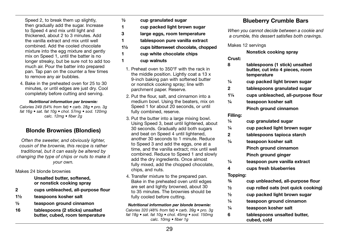Speed 2, to break them up slightly. then gradually add the sugar. Increase to Speed 4 and mix until light and thickened, about 2 to 3 minutes. Add the vanilla extract and mix until well combined. Add the cooled chocolate mixture into the egg mixture and gently mix on Speed 1, until the batter is no longer streaky, but be sure not to add too much air. Pour the batter into prepared pan. Tap pan on the counter a few times to remove any air bubbles.

4. Bake in the preheated oven for 25 to 30 minutes, or until edges are just dry. Cool completely before cutting and serving.

#### *Nutritional information per brownie:*

*Calories 249 (54% from fat) • carb. 28g • pro. 3g fat 16g • sat. fat 10g • chol. 57mg • sod. 120mg calc. 12mg • fiber 2g*

## Blonde Brownies (Blondies)

*Often the sweeter, and obviously lighter, cousin of the brownie, this recipe is rather traditional, but it can easily be altered by changing the type of chips or nuts to make it your own.*

#### Makes 24 blonde brownies

 Unsalted butter, softened, or nonstick cooking spray

- 2 cups unbleached, all-purpose flour
- 1½ teaspoons kosher salt
- ½ teaspoon ground cinnamon
- 16 tablespoons (2 sticks) unsalted butter, cubed, room temperature
- ½ cup granulated sugar
- 1 cup packed light brown sugar
- 3 large eggs, room temperature
- 1 tablespoon pure vanilla extract
- 1½ cups bittersweet chocolate, chopped
- 1 cup white chocolate chips
- 1 cup walnuts
	- 1. Preheat oven to 350°F with the rack in the middle position. Lightly coat a 13 x 9-inch baking pan with softened butter or nonstick cooking spray; line with parchment paper. Reserve.
	- 2. Put the flour, salt, and cinnamon into a medium bowl. Using the beaters, mix on Speed 1 for about 20 seconds, or until fully combined, reserve.
	- 3. Put the butter into a large mixing bowl. Using Speed 3, beat until lightened, about 30 seconds. Gradually add both sugars and beat on Speed 4 until lightened, another 30 seconds to 1 minute. Reduce to Speed 3 and add the eggs, one at a time, and the vanilla extract; mix until well combined. Reduce to Speed 1 and slowly add the dry ingredients. Once almost fully mixed, add the chopped chocolate, chips, and nuts.
	- 4. Transfer mixture to the prepared pan. Bake in the preheated oven until edges are set and lightly browned, about 30 to 35 minutes. The brownies should be fully cooled before cutting.

#### *Nutritional information per blonde brownie:*

*Calories 320 (48% from fat) • carb. 39g • pro. 3g fat 18g • sat. fat 10g • chol. 45mg • sod. 150mg calc. 10mg • fiber 1g*

## Blueberry Crumble Bars

*When you cannot decide between a cookie and a crumble, this dessert satisfies both cravings.*

Makes 12 servings

Nonstick cooking spray

Crust:

- 8 tablespoons (1 stick) unsalted butter, cut into 4 pieces, room temperature
- ¼ cup packed light brown sugar
- 2 tablespoons granulated sugar
- 1¼ cups unbleached, all-purpose flour
- ¼ teaspoon kosher salt Pinch ground cinnamon

#### Filling:

| 1/4 | cup granulated sugar |
|-----|----------------------|
|-----|----------------------|

- ¼ cup packed light brown sugar
- 2 tablespoons tapioca starch
- ¼ teaspoon kosher salt Pinch ground cinnamon
	- Pinch ground ginger
- ¼ teaspoon pure vanilla extract
- 4 cups fresh blueberries

#### Topping:

- ¾ cup unbleached, all-purpose flour
- $\frac{1}{2}$  cup rolled oats (not quick cooking)
- ½ cup packed light brown sugar
- ¼ teaspoon ground cinnamon
- ¼ teaspoon kosher salt
- 6 tablespoons unsalted butter, cubed, cold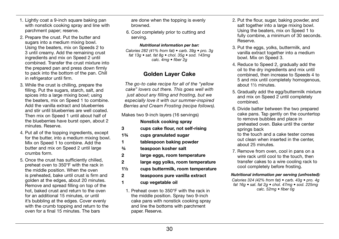- 1. Lightly coat a 9-inch square baking pan with nonstick cooking spray and line with parchment paper; reserve.
- 2. Prepare the crust. Put the butter and sugars into a medium mixing bowl. Using the beaters, mix on Speeds 2 to 3 until creamy. Add the remaining crust ingredients and mix on Speed 2 until combined. Transfer the crust mixture into the prepared pan and press down firmly to pack into the bottom of the pan. Chill in refrigerator until firm.
- 3. While the crust is chilling, prepare the filling. Put the sugars, starch, salt, and spices into a large mixing bowl; using the beaters, mix on Speed 1 to combine. Add the vanilla extract and blueberries and stir until blueberries are well coated. Then mix on Speed 1 until about half of the blueberries have burst open, about 2 minutes. Reserve.
- 4. Put all of the topping ingredients, except for the butter, into a medium mixing bowl. Mix on Speed 1 to combine. Add the butter and mix on Speed 2 until large crumbs form.
- 5. Once the crust has sufficiently chilled, preheat oven to 350°F with the rack in the middle position. When the oven is preheated, bake until crust is firm and golden at the edges, about 20 minutes. Remove and spread filling on top of the hot, baked crust and return to the oven for an additional 15 minutes, or until it's bubbling at the edges. Cover evenly with the crumb topping and return to the oven for a final 15 minutes. The bars

are done when the topping is evenly browned.

6. Cool completely prior to cutting and serving.

*Nutritional information per bar:*

*Calories 282 (41% from fat) • carb. 39g • pro. 3g fat 13g • sat. fat 8g • chol. 35g • sod. 143mg calc. 4mg • fiber 2g*

## Golden Layer Cake

*The go-to cake recipe for all of the "yellow cake" lovers out there. This goes well with just about any filling and frosting, but we especially love it with our summer-inspired Berries and Cream Frosting (recipe follows).* 

Makes two 9-inch layers (16 servings)

## Nonstick cooking spray

- 3 cups cake flour, not self-rising
- 1¾ cups granulated sugar
- 1 tablespoon baking powder
- ¾ teaspoon kosher salt
- 2 large eggs, room temperature
- 2 large egg yolks, room temperature
- 1½ cups buttermilk, room temperature
- 2 teaspoons pure vanilla extract
- 1 cup vegetable oil
	- 1. Preheat oven to 350°F with the rack in the middle position. Spray two 9-inch cake pans with nonstick cooking spray and line the bottoms with parchment paper. Reserve.
- 2. Put the flour, sugar, baking powder, and salt together into a large mixing bowl. Using the beaters, mix on Speed 1 to fully combine, a minimum of 30 seconds. Reserve.
- 3. Put the eggs, yolks, buttermilk, and vanilla extract together into a medium bowl. Mix on Speed 3.
- 4. Reduce to Speed 2, gradually add the oil to the dry ingredients and mix until combined, then increase to Speeds 4 to 5 and mix until completely homogenous, about 1½ minutes.
- 5. Gradually add the egg/buttermilk mixture and mix on Speed 2 until completely combined.
- 6. Divide batter between the two prepared cake pans. Tap gently on the countertop to remove bubbles and place in preheated oven. Bake until the center springs back

to the touch and a cake tester comes out clean when inserted in the center, about 25 minutes.

7. Remove from oven, cool in pans on a wire rack until cool to the touch, then transfer cakes to a wire cooling rack to cool completely before frosting.

#### *Nutritional information per serving (unfrosted):*

*Calories 324 (42% from fat) • carb. 43g • pro. 4g fat 16g • sat. fat 2g • chol. 47mg • sod. 225mg calc. 52mg • fiber 0g*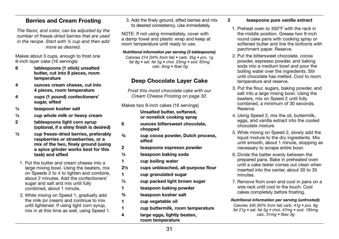## Berries and Cream Frosting

*The flavor, and color, can be adjusted by the number of freeze-dried berries that are used in the recipe. Start with ½ cup and then add more as desired.*

Makes about 3 cups, enough to frost one 9-inch layer cake (16 servings)

- 8 tablespoons (1 stick) unsalted butter, cut into 8 pieces, room temperature
- 4 ounces cream cheese, cut into 4 pieces, room temperature
- 4 cups (1 pound) confectioners' sugar, sifted
- ¼ teaspoon kosher salt
- $\frac{1}{4}$  cup whole milk or heavy cream
- 2 tablespoons light corn syrup (optional, if a shiny finish is desired)
- $\frac{1}{2}$  cup freeze-dried berries, preferably raspberries or strawberries, or a mix of the two, finely ground (using a spice grinder works best for this task) and sifted
- 1. Put the butter and cream cheese into a large mixing bowl. Using the beaters, mix on Speeds 2 to 4 to lighten and combine, about 2 minutes. Add the confectioners' sugar and salt and mix until fully combined, about 1 minute.
- 2. While mixing on Speed 1, gradually add the milk (or cream) and continue to mix until lightened. If using light corn syrup, mix in at this time as well, using Speed 1.

3. Add the finely ground, sifted berries and mix to desired consistency. Use immediately.

NOTE: If not using immediately, cover with a damp towel and plastic wrap and keep at room temperature until ready to use.

#### *Nutritional information per serving (3 tablespoons):*

*Calories 214 (34% from fat) • carb. 35g • pro. 1g fat 8g • sat. fat 5g • chol. 23mg • sod. 62mg calc. 6mg • fiber 0g*

## Deep Chocolate Layer Cake

*Frost this moist chocolate cake with our Cream Cheese Frosting on page 32.* 

Makes two 9-inch cakes (16 servings) Unsalted butter, softened, or nonstick cooking spray

- 6 ounces bittersweet chocolate, chopped
- ¾ cup cocoa powder, Dutch process, sifted
- 2 teaspoons espresso powder
- ½ teaspoon baking soda
- 1 cup boiling water
- 2½ cups unbleached, all-purpose flour
- 1 cup granulated sugar
- ½ cup packed light brown sugar
- 1 teaspoon baking powder
- ¾ teaspoon kosher salt
- 1 cup vegetable oil
- 1 cup buttermilk, room temperature
- 4 large eggs, lightly beaten, room temperature
- 2 teaspoons pure vanilla extract
	- 1. Preheat oven to 350°F with the rack in the middle position. Grease two 9-inch round cake pans with cooking spray or softened butter and line the bottoms with parchment paper. Reserve.
	- 2. Put the bittersweet chocolate, cocoa powder, espresso powder, and baking soda into a medium bowl and pour the boiling water over the ingredients. Stir until chocolate has melted. Cool to room temperature and reserve.
	- 3. Put the flour, sugars, baking powder, and salt into a large mixing bowl. Using the beaters, mix on Speed 2 until fully combined, a minimum of 30 seconds. Reserve.
	- 4. Using Speed 2, mix the oil, buttermilk, eggs, and vanilla extract into the cooled chocolate mixture.
	- 5. While mixing on Speed 2, slowly add the liquid mixture to the dry ingredients. Mix until smooth, about 1 minute, stopping as necessary to scrape entire bowl.
	- 6. Divide the batter evenly between the prepared pans. Bake in preheated oven until a cake tester comes out clean when inserted into the center, about 30 to 35 minutes.
	- 7. Remove from oven and cool in pans on a wire rack until cool to the touch. Cool cakes completely before frosting.

*Nutritional information per serving (unfrosted):* 

*Calories 345 (50% from fat) carb. 41g • pro. 6g fat 21g • sat. fat 5g • chol. 47mg • sod. 195mg calc. 31mg • fiber 3g*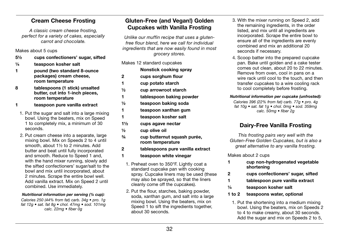## Cream Cheese Frosting

*A classic cream cheese frosting, perfect for a variety of cakes, especially carrot and chocolate.*

Makes about 5 cups

- 5½ cups confectioners' sugar, sifted
- ¼ teaspoon kosher salt
- 1 pound (two standard 8-ounce packages) cream cheese, room temperature
- 8 tablespoons (1 stick) unsalted butter, cut into 1-inch pieces, room temperature
- 1 teaspoon pure vanilla extract
- 1. Put the sugar and salt into a large mixing bowl. Using the beaters, mix on Speed 1 to completely mix, a minimum of 30 seconds.
- 2. Put cream cheese into a separate, large mixing bowl. Mix on Speeds 2 to 4 until smooth, about 1½ to 2 minutes. Add butter and beat until fully incorporated and smooth. Reduce to Speed 1 and, with the hand mixer running, slowly add the sifted confectioners' sugar/salt to the bowl and mix until incorporated, about 2 minutes. Scrape the entire bowl well. Add vanilla extract. Mix on Speed 2 until combined. Use immediately.

#### *Nutritional information per serving (¼ cup):*

*Calories 250 (44% from fat) carb. 34g • pro. 1g fat 12g • sat. fat 8g • chol. 47mg • sod. 101mg calc. 22mg • fiber 0g*

## Gluten-Free (and Vegan!) Golden Cupcakes with Vanilla Frosting

*Unlike our muffin recipe that uses a glutenfree flour blend, here we call for individual ingredients that are now easily found in most grocery stores.*

Makes 12 standard cupcakes

|     | Nonstick cooking spray   |
|-----|--------------------------|
| 2   | cups sorghum flour       |
| 1   | cup potato starch        |
| 1/2 | cup arrowroot starch     |
| 1   | tablespoon baking powder |

- ½ teaspoon baking soda
- 1 teaspoon xanthan gum
- 1 teaspoon kosher salt
- 1½ cups agave nectar
- ½ cup olive oil
- ¾ cup butternut squash purée, room temperature
- 2 tablespoons pure vanilla extract
- 1 teaspoon white vinegar
	- 1. Preheat oven to 350°F. Lightly coat a standard cupcake pan with cooking spray. Cupcake liners may be used (these may also be sprayed, so that the liners cleanly come off the cupcakes).
	- 2. Put the flour, starches, baking powder, soda, xanthan gum, and salt into a large mixing bowl. Using the beaters, mix on Speed 1 to sift the ingredients together. about 30 seconds.
- 3. With the mixer running on Speed 2, add the remaining ingredients, in the order listed, and mix until all ingredients are incorporated. Scrape the entire bowl to ensure all of the ingredients are evenly combined and mix an additional 20 seconds if necessary.
- 4. Scoop batter into the prepared cupcake pan. Bake until golden and a cake tester comes out clean, about 20 to 22 minutes. Remove from oven, cool in pans on a wire rack until cool to the touch, and then transfer cupcakes to a wire cooling rack to cool completely before frosting.

#### *Nutritional information per cupcake (unfrosted):*

*Calories 396 (22% from fat) carb. 77g • pro. 4g fat 10g • sat. fat 1g • chol. 0mg • sod. 359mg calc. 50mg • fiber 2g*

## Dairy-Free Vanilla Frosting

*This frosting pairs very well with the Gluten-Free Golden Cupcakes, but is also a great alternative to any vanilla frosting.*

Makes about 2 cups

- 1 cup non-hydrogenated vegetable shortening
- 2 cups confectioners' sugar, sifted
- 1 tablespoon pure vanilla extract
- ¼ teaspoon kosher salt
- 1 to 2 teaspoons water, optional
	- 1. Put the shortening into a medium mixing bowl. Using the beaters, mix on Speeds 2 to 4 to make creamy, about 30 seconds. Add the sugar and mix on Speeds 2 to 5.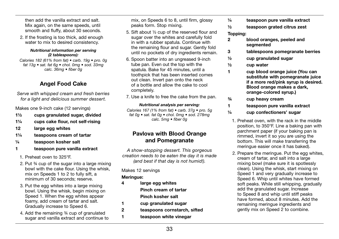then add the vanilla extract and salt. Mix again, on the same speeds, until smooth and fluffy, about 30 seconds.

2. If the frosting is too thick, add enough water to mix to desired consistency.

#### *Nutritional information per serving (2 tablespoons):*

*Calories 182 (61% from fat) • carb. 19g • pro. 0g fat 13g • sat. fat 6g • chol. 0mg • sod. 33mg calc. 36mg • fiber 0g*

## Angel Food Cake

*Serve with whipped cream and fresh berries for a light and delicious summer dessert.*

Makes one 9-inch cake (12 servings)

- 1½ cups granulated sugar, divided
- 1¼ cups cake flour, not self-rising
- 12 large egg whites
- 1¼ teaspoons cream of tartar
- ¼ teaspoon kosher salt
- 1 teaspoon pure vanilla extract
- 1. Preheat oven to 325°F.
- 2. Put ¾ cup of the sugar into a large mixing bowl with the cake flour. Using the whisk, mix on Speeds 1 to 2 to fully sift, a minimum of 30 seconds; reserve.
- 3. Put the egg whites into a large mixing bowl. Using the whisk, begin mixing on Speed 1. When the egg whites appear foamy, add cream of tartar and salt. Gradually increase to Speed 6.
- 4. Add the remaining ¾ cup of granulated sugar and vanilla extract and continue to

mix, on Speeds 6 to 8, until firm, glossy peaks form. Stop mixing.

- 5. Sift about ½ cup of the reserved flour and sugar over the whites and carefully fold in with a rubber spatula. Continue with the remaining flour and sugar. Gently fold until no pockets of dry ingredients remain.
- 6. Spoon batter into an ungreased 9-inch tube pan. Even out the top with the spatula. Bake for 45 minutes, until a toothpick that has been inserted comes out clean. Invert pan onto the neck of a bottle and allow the cake to cool completely.
- 7. Use a knife to free the cake from the pan.

#### *Nutritional analysis per serving:*

*Calories 167 (1% from fat) • carb. 37g • pro. 5g fat 0g • sat. fat 0g • chol. 0mg • sod. 278mg calc. 5mg • fiber 0g*

## Pavlova with Blood Orange and Pomegranate

*A show-stopping dessert. This gorgeous creation needs to be eaten the day it is made (and best if that day is not humid!).*

#### Makes 12 servings

#### Meringue:

- 4 large egg whites Pinch cream of tartar Pinch kosher salt 1 cup granulated sugar
- 2 teaspoons cornstarch, sifted
- 1 teaspoon white vinegar
- ¼ teaspoon pure vanilla extract
- ½ teaspoon grated citrus zest

#### Topping:

- 2 blood oranges, peeled and segmented
- 3 tablespoons pomegranate berries
- ½ cup granulated sugar
- ½ cup water
- 1 cup blood orange juice (You can substitute with pomegranate juice if a more red/pink syrup is desired. Blood orange makes a dark, orange-colored syrup.)
- ¾ cup heavy cream
- 1 teaspoon pure vanilla extract
- ¼ cup confectioners' sugar
	- 1. Preheat oven, with the rack in the middle position, to 350°F. Line a baking pan with parchment paper (if your baking pan is rimmed, invert it so you are using the bottom. This will make transferring the meringue easier once it has baked).
	- 2. Prepare the meringue. Put the egg whites, cream of tartar, and salt into a large mixing bowl (make sure it is spotlessly clean). Using the whisk, start mixing on Speed 1 and very gradually increase to Speed 6. Whip until whites have formed soft peaks. While still whipping, gradually add the granulated sugar. Increase to Speed 8 and whip until stiff peaks have formed, about 8 minutes. Add the remaining meringue ingredients and gently mix on Speed 2 to combine.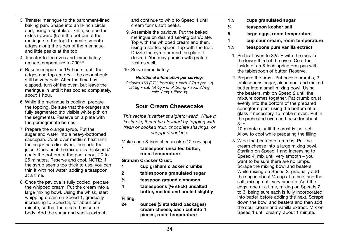- 3. Transfer meringue to the parchment-lined baking pan. Shape into an 8-inch circle and, using a spatula or knife, scrape the sides upward (from the bottom of the meringue to the top) to create smooth edges along the sides of the meringue and little peaks at the top.
- 4. Transfer to the oven and immediately reduce temperature to 200°F.
- 5. Bake meringue for 1½ hours, until the edges and top are dry – the color should still be very pale. After the time has elapsed, turn off the oven, but leave the meringue in until it has cooled completely, about 1 hour.
- 6. While the meringue is cooling, prepare the topping. Be sure that the oranges are fully segmented (no visible white pith on the segments). Reserve on a plate with the pomegranate berries.
- 7. Prepare the orange syrup. Put the sugar and water into a heavy-bottomed saucepan. Cook over medium heat until the sugar has dissolved, then add the juice. Cook until the mixture is thickened/ coats the bottom of the pan, about 20 to 25 minutes. Reserve and cool. NOTE: If the syrup seems too thick to use, you can thin it with hot water, adding a teaspoon at a time.
- 8. Once the pavlova is fully cooled, prepare the whipped cream. Put the cream into a large mixing bowl. Using the whisk, start whipping cream on Speed 1, gradually increasing to Speed 3, for about one minute, so that the cream has some body. Add the sugar and vanilla extract

and continue to whip to Speed 4 until cream forms soft peaks.

- 9. Assemble the pavlova. Put the baked meringue on desired serving dish/plate. Top with the whipped cream and then, using a slotted spoon, top with the fruit. Drizzle the syrup around the plate if desired. You may garnish with grated zest as well.
- 10. Serve immediately.

#### *Nutritional information per serving:*

*Calories 169 (27% from fat) • carb. 27g • pro. 1g fat 5g • sat. fat 4g • chol. 20mg • sod. 37mg calc. 3mg • fiber 0g*

## Sour Cream Cheesecake

*This recipe is rather straightforward. While it is simple, it can be elevated by topping with fresh or cooked fruit, chocolate shavings, or chopped cookies.* 

Makes one 8-inch cheesecake (12 servings)

1 tablespoon unsalted butter, room temperature

Graham Cracker Crust:

- 1 cup graham cracker crumbs
- 2 tablespoons granulated sugar
- ¼ teaspoon ground cinnamon
- 4 tablespoons (½ stick) unsalted butter, melted and cooled slightly

#### Filling:

24 ounces (3 standard packages) cream cheese, each cut into 4 pieces, room temperature

- 1½ cups granulated sugar
- ¼ teaspoon kosher salt
- 5 large eggs, room temperature
- 1 cup sour cream, room temperature
- 1½ teaspoons pure vanilla extract
- 1. Preheat oven to 325°F with the rack in the lower third of the oven. Coat the inside of an 8-inch springform pan with the tablespoon of butter. Reserve.
- 2. Prepare the crust. Put cookie crumbs, 2 tablespoons sugar, cinnamon, and melted butter into a small mixing bowl. Using the beaters, mix on Speed 2 until the mixture comes together. Pat crumb crust evenly into the bottom of the prepared springform pan, using the bottom of a glass if necessary, to make it even. Put in the preheated oven and bake for about 8 to

10 minutes, until the crust is just set. Allow to cool while preparing the filling.

3. Wipe the beaters of crumbs. Put the cream cheese into a large mixing bowl. Starting on Speed 1 and increasing to Speed 4, mix until very smooth – you want to be sure there are no lumps. Scrape the mixing bowl and beaters. While mixing on Speed 2, gradually add the sugar, about ¼ cup at a time, and the salt, mixing until very smooth. Add the eggs, one at a time, mixing on Speeds 2 to 3, being sure each is fully incorporated into batter before adding the next. Scrape down the bowl and beaters and then add the sour cream and vanilla extract. Mix on Speed 1 until creamy, about 1 minute.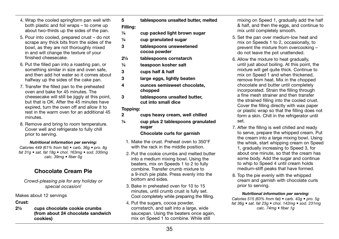- 4. Wrap the cooled springform pan well with both plastic and foil wraps – to come up about two-thirds up the sides of the pan.
- 5. Pour into cooled, prepared crust do not scrape any thick bits from the sides of the bowl, as they are not thoroughly mixed in and will change the texture of your finished cheesecake.
- 6. Put the filled pan into a roasting pan, or something similar in size and oven safe, and then add hot water so it comes about halfway up the sides of the cake pan.
- 7. Transfer the filled pan to the preheated oven and bake for 45 minutes. The cheesecake will still be jiggly at this point, but that is OK. After the 45 minutes have expired, turn the oven off and allow it to rest in the warm oven for an additional 45 minutes.
- 8. Remove and bring to room temperature. Cover well and refrigerate to fully chill prior to serving.

#### *Nutritional information per serving:*

*Calories 449 (61% from fat) • carb. 36g • pro. 8g fat 31g • sat. fat 18g • chol. 163mg • sod. 330mg calc. 39mg • fiber 0g*

## Chocolate Cream Pie

*Crowd-pleasing pie for any holiday or special occasion!*

#### Makes about 12 servings

#### Crust:

2½ cups chocolate cookie crumbs (from about 24 chocolate sandwich cookies)

5 tablespoons unsalted butter, melted

#### Filling:

- $\frac{1}{4}$  cup packed light brown sugar
- ¼ cup granulated sugar
- 3 tablespoons unsweetened cocoa powder
- 2½ tablespoons cornstarch
- ¼ teaspoon kosher salt
- 3 cups half & half
- 3 large eggs, lightly beaten
- 4 ounces semisweet chocolate, chopped
- 3 tablespoons unsalted butter, cut into small dice

#### Topping:

- 2 cups heavy cream, well chilled
- ¼ cup plus 2 tablespoons granulated sugar

#### Chocolate curls for garnish

- 1. Make the crust. Preheat oven to 350°F with the rack in the middle position.
- 2. Put the cookie crumbs and melted butter into a medium mixing bowl. Using the beaters, mix on Speeds 1 to 2 to fully combine. Transfer crumb mixture to a 9-inch pie plate. Press evenly into the bottom and sides.
- 3. Bake in preheated oven for 10 to 15 minutes, until crumb crust is fully set. Cool completely while preparing the filling.
- 4. Put the sugars, cocoa powder, cornstarch, and salt into a large, wide saucepan. Using the beaters once again, mix on Speed 1 to combine. While still

mixing on Speed 1, gradually add the half & half, and then the eggs, and continue to mix until completely smooth.

- 5. Set the pan over medium-low heat and mix on Speeds 1 to 2, occasionally, to prevent the mixture from overcooking – do not leave the pot unattended.
- 6. Allow the mixture to heat gradually, until just about boiling. At this point, the mixture will get quite thick. Continue to mix on Speed 1 and when thickened, remove from heat. Mix in the chopped chocolate and butter until completely incorporated. Strain the filling through a fine mesh strainer and then transfer the strained filling into the cooled crust. Cover the filling directly with wax paper or plastic wrap so that the filling does not form a skin. Chill in the refrigerator until set.
- 7. After the filling is well chilled and ready to serve, prepare the whipped cream. Put the cream into a large mixing bowl. Using the whisk, start whipping cream on Speed 1, gradually increasing to Speed 3, for about one minute, so that the cream has some body. Add the sugar and continue to whip to Speed 4 until cream holds medium-stiff peaks that have formed.
- 8. Top the pie evenly with the whipped cream and garnish with chocolate curls prior to serving.

#### *Nutritional information per serving:*

*Calories 515 (63% from fat) • carb. 43g • pro. 5g fat 36g • sat. fat 23g • chol. 142mg • sod. 231mg calc. 74mg • fiber 1g*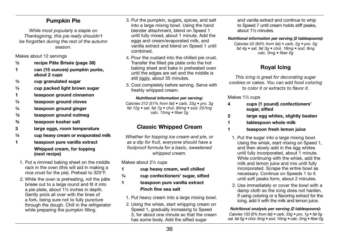## Pumpkin Pie

*While most popularly a staple on Thanksgiving, this pie really shouldn't be forgotten during the rest of the autumn season.*

Makes about 12 servings

- ½ recipe Pâte Brisée (page 38)
- 1 can (15 ounces) pumpkin purée, about 2 cups
- ½ cup granulated sugar
- $\frac{1}{4}$  cup packed light brown sugar
- 1 teaspoon ground cinnamon
- $\frac{1}{4}$  teaspoon ground cloves
- $\frac{1}{4}$  teaspoon ground ginger
- 1/8 teaspoon ground nutmeg
- ¾ teaspoon kosher salt
- 3 large eggs, room temperature
- ½ cup heavy cream or evaporated milk
- 1 teaspoon pure vanilla extract Whipped cream, for topping (next recipe)
- 1. Put a rimmed baking sheet on the middle rack in the oven (this will aid in making a nice crust for the pie). Preheat to 325°F.
- 2. While the oven is preheating, roll the pâte brisée out to a large round and fit it into a pie plate, about 1½ inches in depth. Gently prick all over with the tines of a fork, being sure not to fully puncture through the dough. Chill in the refrigerator while preparing the pumpkin filling.
- 3. Put the pumpkin, sugars, spices, and salt into a large mixing bowl. Using the hand blender attachment, blend on Speed 1 until fully mixed, about 1 minute. Add the eggs and cream/evaporated milk, and vanilla extract and blend on Speed 1 until combined.
- 4. Pour the custard into the chilled pie crust. Transfer the filled pie plate onto the hot baking sheet and bake in preheated oven until the edges are set and the middle is still jiggly, about 35 minutes.
- 5. Cool completely before serving. Serve with freshly whipped cream.

#### *Nutritional information per serving:*

*Calories 212 (51% from fat) • carb. 23g • pro. 3g fat 12g • sat. fat 7g • chol. 80mg • sod. 257mg calc. 15mg • fiber 2g*

## Classic Whipped Cream

*Whether for topping ice cream and pie, or as a dip for fruit, everyone should have a foolproof formula for a basic, sweetened whipped cream.*

Makes about 2¼ cups

- 1 cup heavy cream, well chilled
- ¼ cup confectioners' sugar, sifted
- 1 teaspoon pure vanilla extract Pinch fine sea salt
	- 1. Put heavy cream into a large mixing bowl.
	- 2. Using the whisk, start whipping cream on Speed 1, gradually increasing to Speed 3, for about one minute so that the cream has some body. Add the sifted sugar

and vanilla extract and continue to whip to Speed 7 until cream holds stiff peaks. about 1½ minutes.

*Nutritional information per serving (2 tablespoons): Calories 52 (84% from fat) • carb. 2g • pro. 0g fat 4g • sat. fat 3g • chol. 18mg • sod. 8mg* 

*calc. 0mg • fiber 0g*

## Royal Icing

*This icing is great for decorating sugar cookies or cakes. You can add food coloring to color it or extracts to flavor it.* 

Makes 1½ cups

- 4 cups (1 pound) confectioners' sugar, sifted
- 2 large egg whites, slightly beaten
- 1 tablespoon whole milk
- 1 teaspoon fresh lemon juice
	- 1. Put the sugar into a large mixing bowl. Using the whisk, start mixing on Speed 1, and then slowly add in the egg whites until fully incorporated, about 1 minute. While continuing with the whisk, add the milk and lemon juice and mix until fully incorporated. Scrape the entire bowl as necessary. Continue on Speeds 1 to 5 until soft peaks form, about 2 minutes.
	- 2. Use immediately or cover the bowl with a damp cloth so the icing does not harden. If using coloring or a flavoring extract for the icing, add it with the milk and lemon juice.

*Nutritional analysis per serving (2 tablespoons): Calories 133 (0% from fat) • carb. 33g • pro. 1g • fat 0g sat. fat 0g • chol. 0mg • sod. 10mg • calc. 2mg • fiber 0g*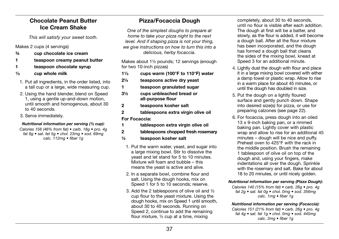# Chocolate Peanut Butter Ice Cream Shake

*This will satisfy your sweet tooth.* 

### Makes 2 cups (4 servings)

- ¾ cup chocolate ice cream
- 1 teaspoon creamy peanut butter
- 1 teaspoon chocolate syrup
- $\frac{1}{3}$  cup whole milk
- 1. Put all ingredients, in the order listed, into a tall cup or a large, wide measuring cup.
- 2. Using the hand blender, blend on Speed 1, using a gentle up-and-down motion, until smooth and homogenous, about 30 to 40 seconds.
- 3. Serve immediately.

### *Nutritional information per serving (½ cup):*

*Calories 156 (46% from fat) • carb. 18g • pro. 4g fat 8g • sat. fat 5g • chol. 23mg • sod. 69mg calc. 112mg • fiber 1g*

# Pizza/Focaccia Dough

*One of the simplest doughs to prepare at home to take your pizza night to the next level. And if shaping pizza is not your thing, we give instructions on how to turn this into a delicious, herby focaccia.*

Makes about 1½ pounds; 12 servings (enough for two 10-inch pizzas)

- $1\frac{1}{3}$  cups warm (100°F to 110°F) water
- 2¼ teaspoons active dry yeast
- 1 teaspoon granulated sugar
- 3½ cups unbleached bread or all-purpose flour
- 2 teaspoons kosher salt
- 2 tablespoons extra virgin olive oil

For Focaccia:

- 1 tablespoon extra virgin olive oil
- 2 tablespoons chopped fresh rosemary
- ½ teaspoon kosher salt
	- 1. Put the warm water, yeast, and sugar into a large mixing bowl. Stir to dissolve the yeast and let stand for 5 to 10 minutes. Mixture will foam and bubble – this means the yeast is active and alive.
	- 2. In a separate bowl, combine flour and salt. Using the dough hooks, mix on Speed 1 for 5 to 10 seconds; reserve.
	- 3. Add the 2 tablespoons of olive oil and ½ cup flour to the yeast mixture. Using the dough hooks, mix on Speed 1 until smooth, about 30 to 40 seconds. Running on Speed 2, continue to add the remaining flour mixture, ½ cup at a time, mixing

completely, about 30 to 40 seconds, until no flour is visible after each addition. The dough at first will be a batter, and slowly, as the flour is added, it will become a dough ball. After all the flour mixture has been incorporated, and the dough has formed a dough ball that cleans the sides of the mixing bowl, knead at Speed 3 for an additional minute.

- 4. Lightly dust the dough with flour and place it in a large mixing bowl covered with either a damp towel or plastic wrap. Allow to rise in a warm place for about 45 minutes, or until the dough has doubled in size.
- 5. Put the dough on a lightly floured surface and gently punch down. Shape into desired size(s) for pizza, or use for preparing calzones (see page 22).
- 6. For focaccia, press dough into an oiled 13 x 9-inch baking pan, or a rimmed baking pan. Lightly cover with plastic wrap and allow to rise for an additional 45 minutes – dough will be nice and puffy. Preheat oven to 425°F with the rack in the middle position. Brush the remaining 1 tablespoon of olive oil on top of the dough and, using your fingers, make indentations all over the dough. Sprinkle with the rosemary and salt. Bake for about 18 to 20 minutes, or until nicely golden.

### *Nutritional information per serving (Pizza Dough):*

*Calories 140 (15% from fat) • carb. 26g • pro. 4g fat 2g • sat. fat 0g • chol. 0mg • sod. 356mg calc. 1mg • fiber 1g* 

*Nutritional information per serving (Focaccia):* 

*Calories 151 (21% from fat) • carb. 26g • pro. 4g fat 4g • sat. fat 1g • chol. 0mg • sod. 445mg calc. 2mg • fiber 1g*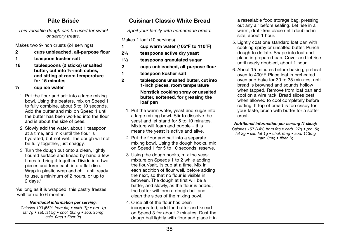# Pâte Brisée

*This versatile dough can be used for sweet or savory treats.*

Makes two 9-inch crusts (24 servings)

- 2 cups unbleached, all-purpose flour
- 1 teaspoon kosher salt
- 16 tablespoons (2 sticks) unsalted butter, cut into ½-inch cubes, and sitting at room temperature for 15 minutes
- ¼ cup ice water
	- 1. Put the flour and salt into a large mixing bowl. Using the beaters, mix on Speed 1 to fully combine, about 5 to 10 seconds. Add the butter and mix on Speed 1 until the butter has been worked into the flour and is about the size of peas.
	- 2. Slowly add the water, about 1 teaspoon at a time, and mix until the flour is hydrated, but not wet. The dough will not be fully together, just shaggy.
	- 3. Turn the dough out onto a clean, lightly floured surface and knead by hand a few times to bring it together. Divide into two pieces and form each into a flat disc. Wrap in plastic wrap and chill until ready to use, a minimum of 2 hours, or up to 2 days.\*

\*As long as it is wrapped, this pastry freezes well for up to 6 months.

### *Nutritional information per serving:*

*Calories 100 (66% from fat) • carb. 7g • pro. 1g fat 7g • sat. fat 5g • chol. 20mg • sod. 95mg calc. 0mg • fiber 0g*

# Cuisinart Classic White Bread

*Spoil your family with homemade bread.*

Makes 1 loaf (10 servings)

- 1 cup warm water (105°F to 110°F)
- 2¼ teaspoons active dry yeast
- 1½ teaspoons granulated sugar
- 2 cups unbleached, all-purpose flour
- 1 teaspoon kosher salt
- 2 tablespoons unsalted butter, cut into 1-inch pieces, room temperature Nonstick cooking spray or unsalted butter, softened, for greasing the loaf pan
	- 1. Put the warm water, yeast and sugar into a large mixing bowl. Stir to dissolve the yeast and let stand for 5 to 10 minutes. Mixture will foam and bubble – this means the yeast is active and alive.
	- 2. Put the flour and salt into a separate mixing bowl. Using the dough hooks, mix on Speed 1 for 5 to 10 seconds; reserve.
	- 3. Using the dough hooks, mix the yeast mixture on Speeds 1 to 2 while adding the flour/salt, ½ cup at a time. Mix in each addition of flour well, before adding the next, so that no flour is visible in between. The dough at first will be a batter, and slowly, as the flour is added, the batter will form a dough ball and clean the sides of the mixing bowl.
- 4. Once all of the flour has been incorporated, add the butter and knead on Speed 3 for about 2 minutes. Dust the dough ball lightly with flour and place it in

a resealable food storage bag, pressing out any air before sealing. Let rise in a warm, draft-free place until doubled in size, about 1 hour.

- 5. Lightly coat one standard loaf pan with cooking spray or unsalted butter. Punch dough to deflate. Shape into loaf and place in prepared pan. Cover and let rise until nearly doubled, about 1 hour.
- 6. About 15 minutes before baking, preheat oven to 400°F. Place loaf in preheated oven and bake for 30 to 35 minutes, until bread is browned and sounds hollow when tapped. Remove from loaf pan and cool on a wire rack. Bread slices best when allowed to cool completely before cutting. If top of bread is too crispy for your taste, brush with butter for a softer crust.

### *Nutritional information per serving (1 slice):*

*Calories 157 (14% from fat) • carb. 27g • pro. 5g fat 2g • sat. fat 1g • chol. 6mg • sod. 113mg calc. 0mg • fiber 1g*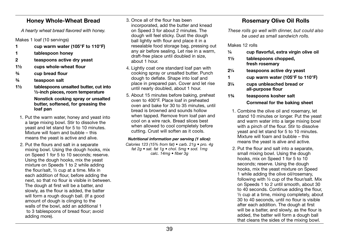# Honey Whole-Wheat Bread

*A hearty wheat bread flavored with honey.*

Makes 1 loaf (10 servings)

- 1 cup warm water (105°F to 110°F)
- 1 tablespoon honey
- 2 teaspoons active dry yeast
- 1½ cups whole-wheat flour
- ¾ cup bread flour
- ¾ teaspoon salt
- 1½ tablespoons unsalted butter, cut into ½-inch pieces, room temperature Nonstick cooking spray or unsalted butter, softened, for greasing the loaf pan
- 1. Put the warm water, honey and yeast into a large mixing bowl. Stir to dissolve the yeast and let stand for 5 to 10 minutes. Mixture will foam and bubble – this means the yeast is active and alive.
- 2. Put the flours and salt in a separate mixing bowl. Using the dough hooks, mix on Speed 1 for 5 to 10 seconds; reserve. Using the dough hooks, mix the yeast mixture on Speeds 1 to 2 while adding the flour/salt, ½ cup at a time. Mix in each addition of flour, before adding the next, so that no flour is visible in between. The dough at first will be a batter, and slowly, as the flour is added, the batter will form a rough dough ball. (If a good amount of dough is clinging to the walls of the bowl, add an additional 1 to 3 tablespoons of bread flour; avoid adding more).
- 3. Once all of the flour has been incorporated, add the butter and knead on Speed 3 for about 2 minutes. The dough will feel sticky. Dust the dough ball lightly with flour and place it in a resealable food storage bag, pressing out any air before sealing. Let rise in a warm, draft-free place until doubled in size, about 1 hour.
- 4. Lightly coat one standard loaf pan with cooking spray or unsalted butter. Punch dough to deflate. Shape into loaf and place in prepared pan. Cover and let rise until nearly doubled, about 1 hour.
- 5. About 15 minutes before baking, preheat oven to 400°F. Place loaf in preheated oven and bake for 30 to 35 minutes, until bread is browned and sounds hollow when tapped. Remove from loaf pan and cool on a wire rack. Bread slices best when allowed to cool completely before cutting. Crust will soften as it cools.

# *Nutritional information per serving (1 slice):*

*Calories 123 (15% from fat) • carb. 21g • pro. 4g fat 2g • sat. fat 1g • chol. 5mg • sod. 1mg calc. 14mg • fiber 3g*

# Rosemary Olive Oil Rolls

*These rolls go well with dinner, but could also be used as small sandwich rolls.*

Makes 12 rolls

- ¼ cup flavorful, extra virgin olive oil
- 1½ tablespoons chopped, fresh rosemary
- 2¼ teaspoons active dry yeast
- 1 cup warm water (105°F to 110°F)
- 3¼ cups unbleached bread or all-purpose flour
- 1¾ teaspoons kosher salt Cornmeal for the baking sheet
	- 1. Combine the olive oil and rosemary, let stand 10 minutes or longer. Put the yeast and warm water into a large mixing bowl with a pinch of the flour. Stir to dissolve yeast and let stand for 5 to 10 minutes. Mixture will foam and bubble – this means the yeast is alive and active.
	- 2. Put the flour and salt into a separate, small mixing bowl. Using the dough hooks, mix on Speed 1 for 5 to 10 seconds; reserve. Using the dough hooks, mix the yeast mixture on Speed 1 while adding the olive oil/rosemary, following with ½ cup of the flour/salt. Mix on Speeds 1 to 2 until smooth, about 30 to 40 seconds. Continue adding the flour, ½ cup at a time, mixing completely, about 30 to 40 seconds, until no flour is visible after each addition. The dough at first will be a batter, and slowly, as the flour is added, the batter will form a dough ball that cleans the sides of the mixing bowl.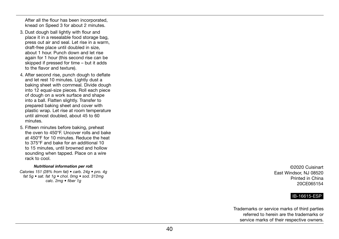After all the flour has been incorporated, knead on Speed 3 for about 2 minutes.

- 3. Dust dough ball lightly with flour and place it in a resealable food storage bag, press out air and seal. Let rise in a warm, draft-free place until doubled in size, about 1 hour. Punch down and let rise again for 1 hour (this second rise can be skipped if pressed for time – but it adds to the flavor and texture).
- 4. After second rise, punch dough to deflate and let rest 10 minutes. Lightly dust a baking sheet with cornmeal. Divide dough into 12 equal-size pieces. Roll each piece of dough on a work surface and shape into a ball. Flatten slightly. Transfer to prepared baking sheet and cover with plastic wrap. Let rise at room temperature until almost doubled, about 45 to 60 minutes.
- 5. Fifteen minutes before baking, preheat the oven to 450°F. Uncover rolls and bake at 450°F for 10 minutes. Reduce the heat to 375°F and bake for an additional 10 to 15 minutes, until browned and hollow sounding when tapped. Place on a wire rack to cool.

#### *Nutritional information per roll:*

*Calories 151 (28% from fat) • carb. 24g • pro. 4g fat 5g • sat. fat 1g • chol. 0mg • sod. 312mg calc. 2mg • fiber 1g*

©2020 Cuisinart East Windsor, NJ 08520 Printed in China 20CE065154

### IB-16615-ESP

Trademarks or service marks of third parties referred to herein are the trademarks or service marks of their respective owners.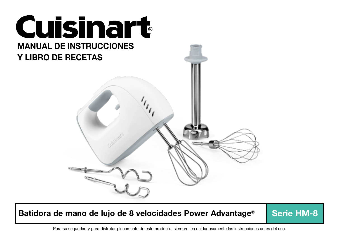

Batidora de mano de lujo de 8 velocidades Power Advantage<sup>®</sup> Serie HM-8

Para su seguridad y para disfrutar plenamente de este producto, siempre lea cuidadosamente las instrucciones antes del uso.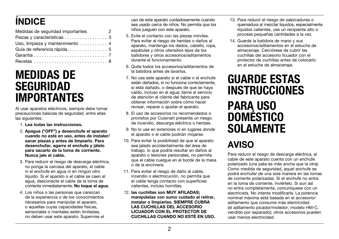# ÍNDICE

| Medidas de seguridad importantes<br>$\overline{\phantom{a}}$ 2 |  |
|----------------------------------------------------------------|--|
| Piezas y características 3                                     |  |
| Uso, limpieza y mantenimiento  4                               |  |
|                                                                |  |
|                                                                |  |
|                                                                |  |

# MEDIDAS DE SEGURIDAD IMPORTANTES

Al usar aparatos eléctricos, siempre debe tomar precauciones básicas de seguridad, entre ellas las siguientes:

- 1. Lea todas las instrucciones.
- 2. Apague ("OFF") y desenchufe el aparato cuando no esté en uso, antes de instalar/ sacar piezas y antes de limpiarlo. Para desenchufar, agarre el enchufe y jálelo para sacarlo de la toma de corriente. Nunca jale el cable.
- 3. Para reducir el riesgo de descarga eléctrica, no ponga la carcasa del aparato, el cable ni el enchufe en agua ni en ningún otro líquido. Si el aparato o el cable se caen al agua, desconecte el cable de la toma de corriente inmediatamente: No toque el aqua.
- 4. Los niños o las personas que carezcan de la experiencia o de los conocimientos necesarios para manipular el aparato, o aquellas cuyas capacidades físicas, sensoriales o mentales estén limitadas. no deben usar este aparato. Supervise el

uso de este aparato cuidadosamente cuando sea usado cerca de niños. No permita que los niños jueguen con este aparato.

- 5. Evite el contacto con las piezas móviles. Para evitar el riesgo de heridas o daños al aparato, mantenga los dedos, cabello, ropa, espátulas y otros utensilios lejos de los batidores y otros accesorios/aditamentos durante el funcionamiento.
- 6. Quite todos los accesorios/aditamentos de la batidora antes de lavarlos.
- 7. No use este aparato si el cable o el enchufe están dañados, si no funciona correctamente, si está dañado, o después de que se haya caído, incluso en el agua; llame al servicio de atención al cliente del fabricante para obtener información sobre cómo hacer revisar, reparar o ajustar el aparato.
- 8. El uso de accesorios no recomendados o provistos por Cuisinart presenta un riesgo de incendio, descarga eléctrica o heridas.
- 9. No lo use en exteriores ni en lugares donde el aparato o el cable podrían mojarse.
- 10. Para evitar la posibilidad de que el aparato sea jalado accidentalmente del área de trabajo, lo que podría resultar en daños al aparato o lesiones personales, no permita que el cable cuelgue en el borde de la mesa o de la encimera.
- 11. Para evitar el riesgo de daño al cable, incendio o electrocución, no permita que el cable tenga contacto con superficies calientes, incluso hornillas.
- 12. las cuchillas son MUY AFILADAS; manipúlelas con sumo cuidado al retirar, instalar o limpiarlas. SIEMPRE CUBRA LAS CUCHILLAS DEL ACCESORIO LICUADOR CON EL PROTECTOR DE CUCHILLAS CUANDO NO ESTÉ EN USO.
- 13. Para reducir el riesgo de salpicaduras o quemadura al mezclar líquidos, especialmente líquidos calientes, use un recipiente alto o procese pequeñas cantidades a la vez.
- 14. Guarde la batidora de mano y sus accesorios/aditamentos en el estuche de almacenaje. Cerciórese de cubrir las cuchillas del accesorio licuador con el protector de cuchillas antes de colocarlo en el estuche de almacenaje.

# GUARDE ESTAS INSTRUCCIONES PARA USO **DOMESTICO SOLAMENTE**

# AVISO

Para reducir el riesgo de descarga eléctrica, el cable de este aparato cuenta con un enchufe polarizado (una pata es más ancha que la otra). Como medida de seguridad, aquel enchufe se podrá enchufar de una sola manera en las tomas de corriente polarizadas. Si el enchufe no entra en la toma de corriente, inviértelo. Si aun así no entra completamente, comuníquese con un electricista. No intente modificarla. La potencia nominal máxima está basada en el accesorio/ aditamento que consume más electricidad (el aditamento picador/moledor, modelo HM-C, vendido por separado); otros accesorios pueden usar menos electricidad.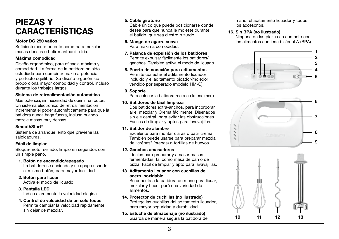# PIEZAS Y CARACTERÍSTICAS

#### Motor DC 250 vatios

Suficientemente potente como para mezclar masas densas o batir mantequilla fría.

### Máxima comodidad

Diseño ergonómico, para eficacia máxima y comodidad. La forma de la batidora ha sido estudiada para combinar máxima potencia y perfecto equilibrio. Su diseño ergonómico proporciona mayor comodidad y control, incluso durante los trabajos largos.

#### Sistema de retroalimentación automático

Más potencia, sin necesidad de oprimir un botón. Un sistema electrónico de retroalimentación incrementa el poder automáticamente para que la batidora nunca haga fuerza, incluso cuando mezcle masas muy densas.

#### SmoothStart®

Sistema de arranque lento que previene las salpicaduras.

### Fácil de limpiar

Bloque-motor sellado, limpio en segundos con un simple paño.

### 1. Botón de encendido/apagado

La batidora se enciende y se apaga usando el mismo botón, para mayor facilidad.

### 2. Botón para licuar

Activa el modo de licuado.

### 3. Pantalla LED

Indica claramente la velocidad elegida.

 4. Control de velocidad de un solo toque Permite cambiar la velocidad rápidamente, sin dejar de mezclar.

### 5. Cable giratorio

Cable único que puede posicionarse donde desea para que nunca le moleste durante el batido, que sea diestro o zurdo.

### 6. Mango de agarra suave

Para máxima comodidad.

- 7. Palanca de expulsión de los batidores Permite expulsar fácilmente los batidores/ ganchos. También activa el modo de licuado.
- 8. Puerto de conexión para aditamentos Permite conectar el aditamento licuador incluido y el aditamento picador/moledor vendido por separado (modelo HM-C).

### 9. Soporte

Para colocar la batidora recta en la encimera.

### 10. Batidores de fácil limpieza

Dos batidores extra-anchos, para incorporar aire, mezclar y Crema fácilmente. Diseñados sin eje central, para evitar las obstrucciones. Fáciles de limpiar y aptos para lavavajillas.

### 11. Batidor de alambre

Excelente para montar claras o batir crema. También puede usarse para preparar mezcla de "crêpes" (crepas) o tortillas de huevos.

#### 12. Ganchos amasadores

Ideales para preparar y amasar masas fermentadas, tal como masa de pan o de pizza. Fácil de limpiar y apto para lavavajillas.

#### 13. Aditamento licuador con cuchillas de acero inoxidable

Se conecta a la batidora de mano para licuar, mezclar y hacer puré una variedad de alimentos.

### 14. Protector de cuchillas (no ilustrado)

Protege las cuchillas del aditamento licuador, para mayor seguridad y durabilidad.

15. Estuche de almacenaje (no ilustrado) Guarda de manera segura la batidora de mano, el aditamento licuador y todos los accesorios.

### 16. Sin BPA (no ilustrado)

Ninguna de las piezas en contacto con los alimentos contiene bisfenol A (BPA).





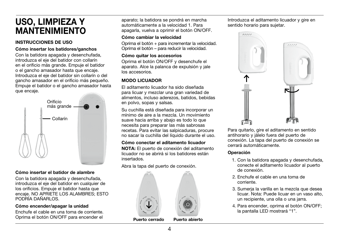# USO, LIMPIEZA Y MANTENIMIENTO

### INSTRUCCIONES DE USO

### Cómo insertar los batidores/ganchos

Con la batidora apagada y desenchufada, introduzca el eje del batidor con collarín en el orificio más grande. Empuje el batidor o el gancho amasador hasta que encaje. Introduzca el eje del batidor sin collarín o del gancho amasador en el orificio más pequeño. Empuje el batidor o el gancho amasador hasta que encaje.



### Cómo insertar el batidor de alambre

Con la batidora apagada y desenchufada, introduzca el eje del batidor en cualquier de los orificios. Empuje el batidor hasta que encaje. NO APRIETE LOS ALAMBRES; ESTO PODRÍA DAÑARLOS.

### Cómo encender/apagar la unidad

Enchufe el cable en una toma de corriente. Oprima el botón ON/OFF para encender el

aparato; la batidora se pondrá en marcha automáticamente a la velocidad 1. Para apagarla, vuelva a oprimir el botón ON/OFF.

### Cómo cambiar la velocidad

Oprima el botón + para incrementar la velocidad. Oprima el botón – para reducir la velocidad.

### Cómo quitar los accesorios

Oprima el botón ON/OFF y desenchufe el aparato. Alce la palanca de expulsión y jale los accesorios.

## MODO LICUADOR

El aditamento licuador ha sido diseñada para licuar y mezclar una gran variedad de alimentos, incluso aderezos, batidos, bebidas en polvo, sopas y salsas.

Su cuchilla está diseñada para incorporar un mínimo de aire a la mezcla. Un movimiento suave hacia arriba y abajo es todo lo que necesita para preparar las más sabrosas recetas. Para evitar las salpicaduras, procure no sacar la cuchilla del líquido durante el uso.

### Cómo conectar el aditamento licuador

NOTA: El puerto de conexión del aditamento licuador no se abrirá si los batidores están insertados.

Abra la tapa del puerto de conexión.



Puerto cerrado Puerto abierto

Introduzca el aditamento licuador y gire en sentido horario para sujetar.



Para quitarlo, gire el aditamento en sentido antihorario y jálelo fuera del puerto de conexión. La tapa del puerto de conexión se cerrará automáticamente.

### Operación

- 1. Con la batidora apagada y desenchufada, conecte el aditamento licuador al puerto de conexión.
- 2. Enchufe el cable en una toma de corriente.
- 3. Sumerja la varilla en la mezcla que desea licuar. Nota: Puede licuar en un vaso alto, un recipiente, una olla o una jarra.
- 4. Para encender, oprima el botón ON/OFF; la pantalla LED mostrará "1".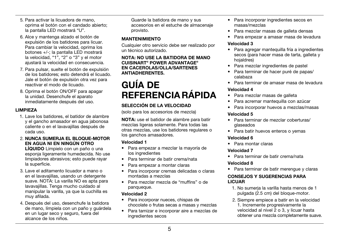- 5. Para activar la licuadora de mano, oprima el botón con el candado abierto; la pantalla LED mostrará "U".
- 6. Alce y mantenga alzado el botón de expulsión de los batidores para licuar. Para cambiar la velocidad, oprima los botones +/-; la pantalla LED mostrará la velocidad, "1", "2" o "3" y el motor ajustará la velocidad en consecuencia.
- 7. Para pulsar, suelte el botón de expulsión de los batidores; esto detendrá el licuado. Jale el botón de expulsión otra vez para reactivar el modo de licuado.
- 8. Oprima el botón ON/OFF para apagar la unidad. Desenchufe el aparato inmediatamente después del uso.

### LIMPIEZA

- 1. Lave los batidores, el batidor de alambre y el gancho amasador en agua jabonosa caliente o en el lavavajillas después de cada uso.
- 2. NUNCA SUMERJA EL BLOQUE-MOTOR EN AGUA NI EN NINGÚN OTRO

LÍQUIDO Límpielo con un paño o una esponja ligeramente humedecida. No use limpiadores abrasivos; esto puede rayar la superficie.

- 3. Lave el aditamento licuador a mano o en el lavavajillas, usando un detergente suave. NOTA: La varilla NO es apta para lavavajillas. Tenga mucho cuidado al manipular la varilla, ya que la cuchilla es muy afilada.
- 4. Después del uso, desenchufe la batidora de mano, límpiela con un paño y guárdela en un lugar seco y seguro, fuera del alcance de los niños.

Guarde la batidora de mano y sus accesorios en el estuche de almacenaje provisto.

### MANTENIMIENTO

Cualquier otro servicio debe ser realizado por un técnico autorizado.

NOTA: NO USE LA BATIDORA DE MANO CUISINART® POWER ADVANTAGE® EN CACEROLAS/OLLA/SARTENES ANTIADHERENTES.

# GUÍA DE REFERENCIA RÁPIDA

# SELECCIÓN DE LA VELOCIDAD

(solo para los accesorios de mezcla)

NOTA: use el batidor de alambre para batir mezclas ligeras solamente. Para todas las otras mezclas, use los batidores regulares o los ganchos amasadores.

### Velocidad 1

- Para empezar a mezclar la mayoría de los ingredientes
- Para terminar de batir crema/nata
- Para empezar a montar claras
- Para incorporar cremas delicadas o claras montadas a mezclas
- Para mezclar mezcla de "muffins" o de panqueque.

### Velocidad 2

- Para incorporar nueces, chispas de chocolate o frutas secas a masas y mezclas
- Para tamizar e incorporar aire a mezclas de ingredientes secos
- Para incorporar ingredientes secos en masas/mezclas
- Para mezclar masas de galleta densas
- Para empezar a amasar masa de levadura

### Velocidad 3

- Para agregar mantequilla fría a ingredientes secos (para hacer masa de tarta, galleta y hojaldres)
- Para mezclar ingredientes de pastel
- Para terminar de hacer puré de papas/ calabaza
- Para terminar de amasar masa de levadura

### Velocidad 4

- Para mezclar masas de galleta
- Para acremar mantequilla con azúcar
- Para incorporar huevos a mezclas/masas

### Velocidad 5

- Para terminar de mezclar coberturas/ glaseados
- Para batir huevos enteros o yemas

### Velocidad 6

• Para montar claras

### Velocidad 7

• Para terminar de batir crema/nata

### Velocidad 8

• Para terminar de batir merengue y claras

### CONSEJOS Y SUGERENCIAS PARA LICUAR

- 1. No sumerja la varilla hasta menos de 1 pulgada (2.5 cm) del bloque-motor.
- 2. Siempre empiece a batir en la velocidad 1. Incremente progresivamente la velocidad al nivel 2 o 3, y licuar hasta obtener una mezcla completamente suave.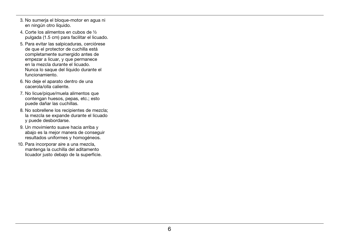- 3. No sumerja el bloque-motor en agua ni en ningún otro líquido.
- 4. Corte los alimentos en cubos de ½ pulgada (1.5 cm) para facilitar el licuado.
- 5. Para evitar las salpicaduras, cerciórese de que el protector de cuchilla está completamente sumergido antes de empezar a licuar, y que permanece en la mezcla durante el licuado. Nunca lo saque del líquido durante el funcionamiento.
- 6. No deje el aparato dentro de una cacerola/olla caliente.
- 7. No licue/pique/muela alimentos que contengan huesos, pepas, etc.; esto puede dañar las cuchillas.
- 8. No sobrellene los recipientes de mezcla; la mezcla se expande durante el licuado y puede desbordarse.
- 9. Un movimiento suave hacia arriba y abajo es la mejor manera de conseguir resultados uniformes y homogéneos.
- 10. Para incorporar aire a una mezcla, mantenga la cuchilla del aditamento licuador justo debajo de la superficie.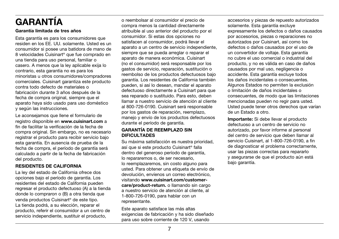# GARANTÍA

### Garantía limitada de tres años

Esta garantía es para los consumidores que residen en los EE. UU. solamente. Usted es un consumidor si posee una batidora de mano de 8 velocidades Cuisinart® que fue comprado en una tienda para uso personal, familiar o casero. A menos que la ley aplicable exija lo contrario, esta garantía no es para los minoristas u otros consumidores/compradores comerciales. Cuisinart garantiza este producto contra todo defecto de materiales o fabricación durante 3 años después de la fecha de compra original, siempre que el aparato haya sido usado para uso doméstico y según las instrucciones.

Le aconsejamos que llene el formulario de registro disponible en www.cuisinart.com a fin de facilitar la verificación de la fecha de compra original. Sin embargo, no es necesario registrar el producto para recibir servicio bajo esta garantía. En ausencia de prueba de la fecha de compra, el período de garantía será calculado a partir de la fecha de fabricación del producto.

### RESIDENTES DE CALIFORNIA

La ley del estado de California ofrece dos opciones bajo el período de garantía. Los residentes del estado de California pueden regresar el producto defectuoso (A) a la tienda donde lo compraron o (B) a otra tienda que venda productos Cuisinart® de este tipo. La tienda podrá, a su elección, reparar el producto, referir el consumidor a un centro de servicio independiente, sustituir el producto,

o reembolsar al consumidor el precio de compra menos la cantidad directamente atribuible al uso anterior del producto por el consumidor. Si estas dos opciones no satisfacen al consumidor, podrá llevar el aparato a un centro de servicio independiente, siempre que se pueda arreglar o reparar el aparato de manera económica. Cuisinart (no el consumidor) será responsable por los gastos de servicio, reparación, sustitución o reembolso de los productos defectuosos bajo garantía. Los residentes de California también pueden, si así lo desean, mandar el aparato defectuoso directamente a Cuisinart para que sea reparado o sustituido. Para esto, deben llamar a nuestro servicio de atención al cliente al 800-726-0190. Cuisinart será responsable por los gastos de reparación, reemplazo, manejo y envío de los productos defectuosos durante el período de garantía.

### GARANTÍA DE REEMPLAZO SIN DIFICULTADES

Su máxima satisfacción es nuestra prioridad, así que si este producto Cuisinart® falla dentro del generoso período de garantía, lo repararemos o, de ser necesario, lo reemplazaremos, sin costo alguno para usted. Para obtener una etiqueta de envío de devolución, envíenos un correo electrónico, visitando www.cuisinart.com/customercare/product-return. o llamando sin cargo a nuestro servicio de atención al cliente, al 1-800-726-0190, para hablar con un representante.

Este aparato satisface las más altas exigencias de fabricación y ha sido diseñado para uso sobre corriente de 120 V, usando

accesorios y piezas de repuesto autorizados solamente. Esta garantía excluye expresamente los defectos o daños causados por accesorios, piezas o reparaciones no autorizados por Cuisinart, así como los defectos o daños causados por el uso de un convertidor de voltaje. Esta garantía no cubre el uso comercial o industrial del producto, y no es válida en caso de daños causados por mal uso, negligencia o accidente. Esta garantía excluye todos los daños incidentales o consecuentes. Algunos Estados no permiten la exclusión o limitación de daños incidentales o consecuentes, de modo que las limitaciones mencionadas pueden no regir para usted. Usted puede tener otros derechos que varían de un Estado a otro.

Importante: Si debe llevar el producto defectuoso a un centro de servicio no autorizado, por favor informe al personal del centro de servicio que deben llamar al servicio Cuisinart, al 1-800-726-0190, a fin de diagnosticar el problema correctamente, usar las piezas correctas para repararlo y asegurarse de que el producto aún está bajo garantía.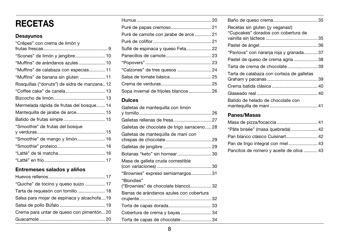# RECETAS

# Desayunos

| "Crêpes" con crema de limón y                |
|----------------------------------------------|
|                                              |
| "Scones" de limón y jengibre 10              |
| "Muffins" de arándanos azules  10            |
| "Muffins" de calabaza con especias 11        |
| "Muffins" de banana sin gluten 11            |
| Rosquillas ("donuts") de sidra de manzana 12 |
|                                              |
|                                              |
| Mermelada rápida de frutas del bosque 14     |
| Mantequilla de jarabe de arce 15             |
|                                              |
| "Smoothie" de frutas del bosque              |
|                                              |
| "Smoothie" de mango y limón 16               |
|                                              |
|                                              |
|                                              |
|                                              |

# Entremeses salados y aliños

| "Quiche" de tocino y queso suizo  17        |
|---------------------------------------------|
| Tarta de requesón con tomillo  18           |
| Salsa para mojar de espinaca y alcachofa 19 |
|                                             |
| Crema para untar de queso con pimentón 20   |
|                                             |
|                                             |

| Puré de camote con jarabe de arce  21 |  |
|---------------------------------------|--|
|                                       |  |
| Suflé de espinaca y queso Feta 22     |  |
|                                       |  |
|                                       |  |
|                                       |  |
|                                       |  |
|                                       |  |
| Sopa invernal de frijoles blancos26   |  |

# Dulces

| Galletas de mantequilla con limón          |
|--------------------------------------------|
|                                            |
| Galletas rellenas de fresa 27              |
| Galletas de chocolate de trigo sarraceno28 |
| Galletas de mantequilla de maní con        |
|                                            |
| Botanas "keto" sin hornear 30              |
| Masa de galleta cruda comestible           |
| "Brownies" expreso semiamargos31           |
| "Blondies"                                 |
| ("Brownies" de chocolate blanco) 32        |
| Barras de arándanos azules con cobertura   |
|                                            |
|                                            |
| Cobertura de crema y bayas 34              |
| Torta de capas de chocolate34              |
|                                            |

| "Pavlova" con naranja roja y granada37 |
|----------------------------------------|
| Pastel de queso de crema agria 38      |
| Tarta de crema de chocolate39          |
|                                        |
|                                        |
|                                        |
|                                        |
|                                        |
|                                        |
|                                        |

# Panes/Masas

| "Pâte brisée" (masa quebrada) 42         |  |
|------------------------------------------|--|
| Pan blanco clásico Cuisinart 42          |  |
|                                          |  |
| Pancitos de romero y aceite de oliva  43 |  |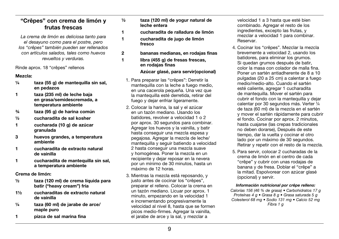# "Crêpes" con crema de limón y frutas frescas

*La crema de limón es deliciosa tanto para el desayuno como para el postre, pero los "crêpes" también pueden ser rellenados con artículos salados, tales como huevos revueltos y verduras.* 

Rinde aprox. 18 "crêpes" rellenos

### Mezcla:

- $\frac{1}{4}$  taza (55 g) de mantequilla sin sal, en pedazos
- 1 taza (235 ml) de leche baja en grasa/semidescremada, a temperatura ambiente
- ¾ taza (95 g) de harina común
- ½ cucharadita de sal kosher
- 1 cucharada (10 g) de azúcar granulada
- 3 huevos grandes, a temperatura ambiente
- 1 cucharadita de extracto natural de vainilla
- 1 cucharadita de mantequilla sin sal, a temperatura ambiente

Crema de limón:

- ½ taza (120 ml) de crema líquida para batir ("heavy cream") fría
- 1½ cucharaditas de extracto natural de vainilla
- ¼ taza (60 ml) de jarabe de arce/ maple puro
- 1 pizca de sal marina fina
- ½ taza (120 ml) de yogur natural de leche entera
- 1 cucharadita de ralladura de limón
- 1 cucharadita de jugo de limón fresco
- 2 bananas medianas, en rodajas finas
- 1 libra (455 g) de fresas frescas. en rodajas finas

### Azúcar glasé, para servir(opcional)

- 1. Para preparar las "crêpes": Derretir la mantequilla con la leche a fuego medio, en una cacerola pequeña. Una vez que la mantequilla esté derretida, retirar del fuego y dejar enfriar ligeramente.
- 2. Colocar la harina, la sal y el azúcar en un tazón mediano. Usando los batidores, revolver a velocidad 1 o 2 por aprox. 30 segundos para combinar. Agregar los huevos y la vainilla, y batir hasta conseguir una mezcla espesa y pegajosa. Agregar la mezcla de leche/ mantequilla y seguir batiendo a velocidad 2 hasta conseguir una mezcla suave y homogénea. Poner la mezcla en un recipiente y dejar reposar en la nevera por un mínimo de 30 minutos, hasta un máximo de 12 horas.
- 3. Mientras la mezcla está reposando, y justo antes de cocinar los "crêpes", preparar el relleno. Colocar la crema en un tazón mediano. Licuar por aprox. 1 minuto, empezando en la velocidad 1 e incrementando progresivamente la velocidad al nivel 8, hasta que se formen picos medio-firmes. Agregar la vainilla, el jarabe de arce y la sal, y mezclar a

velocidad 1 a 3 hasta que esté bien combinado. Agregar el resto de los ingredientes, excepto las frutas, y mezclar a velocidad 1 para combinar. Reservar.

- 4. Cocinar los "crêpes". Mezclar la mezcla brevemente a velocidad 2, usando los batidores, para eliminar los grumos. Si quedan grumos después de batir. color la masa con colador de malla fina. Poner un sartén antiadherente de 8 a 10 pulgadas (20 a 25 cm) a calentar a fuego medio/medio-alto. Cuando el sartén esté caliente, agregar 1 cucharadita de mantequilla. Mover el sartén para cubrir el fondo con la mantequilla y dejar calentar por 30 segundos más. Verter ¼ de taza (60 ml) de la mezcla en el sartén y mover el sartén rápidamente para cubrir el fondo. Cocinar por aprox. 2 minutos, hasta cuajarse (las crepas tradicionales no deben dorarse), Después de este tiempo, dar la vuelta y cocinar el otro lado por un máximo de 30 segundos. Retirar y repetir con el resto de la mezcla.
- 5. Para servir, colocar 2 cucharadas de la crema de limón en el centro de cada "crêpe" y cubrir con unas rodajas de banana y de fresa. Doblar el "crêpe" a la mitad. Espolvorear con azúcar glasé (opcional) y servir.

### *Información nutricional por crêpe relleno:*

*Calorías 156 (46 % de grasa) • Carbohidratos 17 g Proteínas 4 g • Grasa 8 g • Grasa saturada 5 g Colesterol 68 mg • Sodio 131 mg • Calcio 52 mg Fibra 1 g*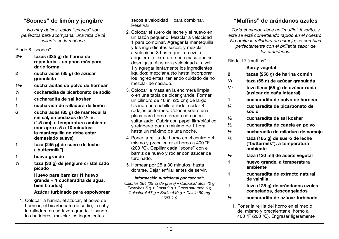# "Scones" de limón y jengibre

*No muy dulces, estos "scones" son perfectos para acompañar una taza de té caliente en la mañana.* 

Rinde 8 "scones"

- 2½ tazas (335 g) de harina de repostería + un poco más para darle forma
- 2 cucharadas (35 g) de azúcar granulada
- 1½ cucharaditas de polvo de hornear
- ¼ cucharadita de bicarbonato de sodio
- 1 cucharadita de sal kosher
- 1 cucharada de ralladura de limón
- 6 cucharadas (85 g) de mantequilla sin sal, en pedazos de ½ in. (1.5 cm), a temperatura ambiente (por aprox. 5 a 10 minutos; la mantequilla no debe estar demasiado suave)
- 1 taza (245 g) de suero de leche ("buttermilk")
- 1 huevo grande
- ¼ taza (30 g) de jengibre cristalizado picado

 Huevo para barnizar (1 huevo grande + 1 cucharadita de agua, bien batidos)

### Azúcar turbinado para espolvorear

1. Colocar la harina, el azúcar, el polvo de hornear, el bicarbonato de sodio, la sal y la ralladura en un tazón grande. Usando los batidores, mezclar los ingredientes

secos a velocidad 1 para combinar. Reservar.

- 2. Colocar el suero de leche y el huevo en un tazón pequeño. Mezclar a velocidad 1 para combinar. Agregar la mantequilla y los ingredientes secos, y mezclar a velocidad 3 hasta que la mezcla adquiera la textura de una masa que se desmigaja. Ajustar la velocidad al nivel 1 y agregar lentamente los ingredientes líquidos; mezclar *justo* hasta incorporar los ingredientes, teniendo cuidado de no mezclar demasiado.
- 3. Colocar la masa en la encimera limpia o en una tabla de picar grande. Formar un cilindro de 10 in. (25 cm) de largo. Usando un cuchillo afilado, cortar 8 rodajas uniformes. Colocar sobre una placa para horno forrada con papel sulfurizado. Cubrir con papel film/plástico y refrigerar por un mínimo de 1 hora, hasta un máximo de una noche.
- 4. Poner la rejilla del horno en el centro del mismo y precalentar el horno a 400 °F (200 °C). Cepillar cada "scone" con el barniz de huevo y rociar con azúcar de turbinado.
- 5. Hornear por 25 a 30 minutos, hasta dorarse. Dejar enfriar antes de servir.

### *Información nutricional por "scone":*

*Calorías 264 (35 % de grasa) • Carbohidratos 40 g Proteínas 5 g • Grasa 9 g • Grasa saturada 6 g Colesterol 47 g • Sodio 440 g • Calcio 99 mg Fibra 1 g*

# "Muffins" de arándanos azules

*Todo el mundo tiene un "muffin" favorito, y este se está convirtiendo rápido en el nuestro. No omita la ralladura de naranja; se combina perfectamente con el brillante sabor de los arándanos.*

Rinde 12 "muffins"

### Spray vegetal

- 2 tazas (250 g) de harina común
- ¹⁄³ taza (65 g) de azúcar granulada
- ¹⁄ ³ taza llena (65 g) de azúcar rubia (azúcar de caña integral)
- 1 cucharadita de polvo de hornear
- ¼ cucharadita de bicarbonato de sodio
- ½ cucharadita de sal kosher
- ½ cucharadita de canela en polvo
- ½ cucharadita de ralladura de naranja
- ¾ taza (185 g) de suero de leche ("buttermilk"), a temperatura ambiente
- ½ taza (120 ml) de aceite vegetal
- 1 huevo grande, a temperatura ambiente
- 1 cucharadita de extracto natural de vainilla
- 1 taza (125 g) de arándanos azules congelados, descongelados
- ½ cucharadita de azúcar turbinado
- 1. Poner la rejilla del horno en el medio del mismo y precalentar el horno a 400 °F (200 °C). Engrasar ligeramente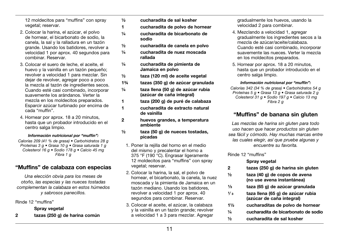12 moldecitos para "muffins" con spray vegetal; reservar.

- 2. Colocar la harina, el azúcar, el polvo de hornear, el bicarbonato de sodio, la canela, la sal y la ralladura en un tazón grande. Usando los batidores, revolver a velocidad 1 por aprox. 40 segundos para combinar. Reservar.
- 3. Colocar el suero de leche, el aceite, el huevo y la vainilla en un tazón pequeño; revolver a velocidad 1 para mezclar. Sin dejar de revolver, agregar poco a poco la mezcla al tazón de ingredientes secos. Cuando esté casi combinado, incorporar suavemente los arándanos. Verter la mezcla en los moldecitos preparados. Esparcir azúcar turbinado por encima de cada "muffin".
- 4. Hornear por aprox. 18 a 20 minutos, hasta que un probador introducido en el centro salga limpio.

### *Información nutricional por "muffin":*

*Calorías 209 (41 % de grasa) • Carbohidratos 28 g Proteínas 3 g • Grasa 10 g • Grasa saturada 1 g Colesterol 16 g • Sodio 178 g • Calcio 45 mg Fibra 1 g*

## "Muffins" de calabaza con especias

*Una elección obvia para los meses de otoño, las especias y las nueces tostadas complementan la calabaza en estos húmedos y sabrosos panecillos.*

Rinde 12 "muffins"

### Spray vegetal

2 tazas (250 g) de harina común

- ½ cucharadita de sal kosher
- 1 cucharadita de polvo de hornear
- ¼ cucharadita de bicarbonato de sodio
- ½ cucharadita de canela en polvo
- ¼ cucharadita de nuez moscada rallada
- ¼ cucharadita de pimienta de Jamaica en polvo
- ½ taza (120 ml) de aceite vegetal
- 1¾ tazas (350 g) de azúcar granulada
- ¼ taza llena (50 g) de azúcar rubia (azúcar de caña integral)
- 1 taza (200 g) de puré de calabaza
- 1 cucharadita de extracto natural de vainilla
- 2 huevos grandes, a temperatura ambiente
- ½ taza (50 g) de nueces tostadas, picadas
	- 1. Poner la rejilla del horno en el medio del mismo y precalentar el horno a 375 °F (190 °C). Engrasar ligeramente 12 moldecitos para "muffins" con spray vegetal; reservar.
	- 2. Colocar la harina, la sal, el polvo de hornear, el bicarbonato, la canela, la nuez moscada y la pimienta de Jamaica en un tazón mediano. Usando los batidores, revolver a velocidad 1 por aprox. 40 segundos para combinar. Reservar.
	- 3. Colocar el aceite, el azúcar, la calabaza y la vainilla en un tazón grande; revolver a velocidad 1 a 3 para mezclar. Agregar

gradualmente los huevos, usando la velocidad 2 para combinar.

- 4. Mezclando a velocidad 1, agregar gradualmente los ingredientes secos a la mezcla de azúcar/aceite/calabaza. Cuando esté casi combinado, incorporar suavemente las nueces. Verter la mezcla en los moldecitos preparados.
- 5. Hornear por aprox. 18 a 20 minutos, hasta que un probador introducido en el centro salga limpio.

#### *Información nutricional por "muffin":*

*Calorías 342 (34 % de grasa) • Carbohidratos 54 g Proteínas 5 g • Grasa 13 g • Grasa saturada 2 g Colesterol 31 g • Sodio 197 g • Calcio 13 mg Fibra 2 g*

# "Muffins" de banana sin gluten

*Las mezclas de harina sin gluten para todo uso hacen que hacer productos sin gluten sea fácil y cómodo. Hay muchas marcas entre las cuales elegir, así que pruebe algunas y encuentre su favorita.*

#### Rinde 12 "muffins"

### Spray vegetal

- 2 tazas (250 g) de harina sin gluten
- ½ taza (40 g) de copos de avena (no use avena instantánea)
- ¹⁄³ taza (65 g) de azúcar granulada
- $\frac{1}{3}$  taza llena (65 g) de azúcar rubia (azúcar de caña integral)
- 1½ cucharaditas de polvo de hornear
- ¼ cucharadita de bicarbonato de sodio
- ½ cucharadita de sal kosher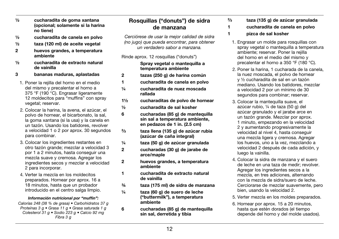- ½ cucharadita de goma xantana (opcional; solamente si la harina no tiene)
- ½ cucharadita de canela en polvo
- ½ taza (120 ml) de aceite vegetal
- 2 huevos grandes, a temperatura ambiente
- ½ cucharadita de extracto natural de vainilla
- 3 bananas maduras, aplastadas
	- 1. Poner la rejilla del horno en el medio del mismo y precalentar el horno a 375 °F (190 °C). Engrasar ligeramente 12 moldecitos para "muffins" con spray vegetal; reservar.
	- 2. Colocar la harina, la avena, el azúcar, el polvo de hornear, el bicarbonato, la sal, la goma xantana (si la usa) y la canela en un tazón. Usando los batidores, revolver a velocidad 1 o 2 por aprox. 30 segundos para combinar.
	- 3. Colocar los ingredientes restantes en otro tazón grande; mezclar a velocidad 3 por 1 a 2 minutos, hasta conseguir una mezcla suave y cremosa. Agregar los ingredientes secos y mezclar a velocidad 2 para incorporar.
	- 4. Verter la mezcla en los moldecitos preparados. Hornear por aprox. 16 a 18 minutos, hasta que un probador introducido en el centro salga limpio.

#### *Información nutricional por "muffin":*

*Calorías 248 (38 % de grasa) • Carbohidratos 37 g Proteínas 3 g • Grasa 11 g • Grasa saturada 1 g Colesterol 31 g • Sodio 223 g • Calcio 92 mg Fibra 3 g*

# Rosquillas ("donuts") de sidra de manzana

*Cerciórese de usar la mejor calidad de sidra (no jugo) que pueda encontrar, para obtener un verdadero sabor a manzana.* 

Rinde aprox. 12 rosquillas ("donuts")

 Spray vegetal o mantequilla a temperatura ambiente

- 2 tazas (250 g) de harina común
- 1 cucharadita de canela en polvo
- ¼ cucharadita de nuez moscada rallada
- 1½ cucharaditas de polvo de hornear
- ½ cucharadita de sal kosher
- 6 cucharadas (85 g) de mantequilla sin sal a temperatura ambiente, en pedazos de 1 in. (2.5 cm)
- $^{2}/_{3}$ ³ taza llena (135 g) de azúcar rubia (azúcar de caña integral)
- ¼ taza (50 g) de azúcar granulada
- 2 cucharadas (30 g) de jarabe de arce/maple
- 2 huevos grandes, a temperatura ambiente
- 1 cucharadita de extracto natural de vainilla
- ¾ taza (175 ml) de sidra de manzana
- ¼ taza (60 g) de suero de leche ("buttermilk"), a temperatura ambiente
- 6 cucharadas (85 g) de mantequilla sin sal, derretida y tibia
- $2/2$ ³ taza (135 g) de azúcar granulada
- 1 cucharadita de canela en polvo
- 1 pizca de sal kosher
	- 1. Engrasar un molde para rosquillas con spray vegetal o mantequilla a temperatura ambiente; reservar. Poner la rejilla del horno en el medio del mismo y precalentar el horno a 350 °F (180 °C).
	- 2. Poner la harina, 1 cucharada de la canela, la nuez moscada, el polvo de hornear y ½ cucharadita de sal en un tazón mediano. Usando los batidores, mezclar a velocidad 2 por un mínimo de 30 segundos para combinar; reservar.
	- 3. Colocar la mantequilla suave, el azúcar rubio, ¼ de taza (50 g) del azúcar granulado y el jarabe arce en un tazón grande. Mezclar por aprox. 1 minuto, empezando en la velocidad 2 y aumentando progresivamente la velocidad al nivel 4, hasta conseguir una mezcla ligera y cremosa. Agregar los huevos, uno a la vez, mezclando a velocidad 2 después de cada adición, y luego la vainilla.
	- 4. Colocar la sidra de manzana y el suero de leche en una taza de medir; revolver. Agregar los ingredientes secos a la mezcla, en tres adiciones, alternando con la mezcla de sidra/suero de leche. Cerciorarse de mezclar suavemente, pero bien, usando la velocidad 2.
	- 5. Verter mezcla en los moldes preparados.
	- 6. Hornear por aprox. 15 a 20 minutos, hasta que estén dorados (el tiempo depende del horno y del molde usados).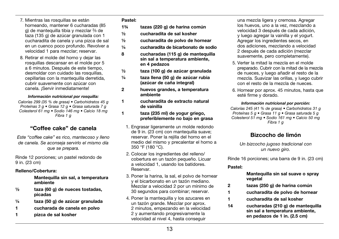- 7. Mientras las rosquillas se están horneando, mantener 6 cucharadas (85 g) de mantequilla tibia y mezclar ²⁄ ³ de taza (135 g) de azúcar granulada con 1 cucharadita de canela y una pizca de sal en un cuenco poco profundo. Revolver a velocidad 1 para mezclar; reservar.
- 8. Retirar el molde del horno y dejar las rosquillas descansar en el molde por 5 a 6 minutos. Después de este tiempo, desmoldar con cuidado las rosquillas. cepillarlas con la mantequilla derretida, cubrir suavemente con azúcar con canela. ¡Servir inmediatamente!

#### *Información nutricional por rosquilla:*

*Calorías 299 (35 % de grasa) • Carbohidratos 45 g Proteínas 3 g • Grasa 12 g • Grasa saturada 7 g Colesterol 61 mg • Sodio 146 mg • Calcio 18 mg Fibra 1 g*

## "Coffee cake" de canela

*Este "coffee cake" es rico, mantecoso y lleno de canela. Se aconseja servirlo el mismo día que se prepara.*

Rinde 12 porciones; un pastel redondo de 9 in. (23 cm)

### Relleno/Cobertura:

 Mantequilla sin sal, a temperatura ambiente

- $\frac{1}{2}$  taza (60 g) de nueces tostadas. picadas
- ¼ taza (50 g) de azúcar granulada
- 1 cucharada de canela en polvo
- 1 pizca de sal kosher

### Pastel:

- 1¾ tazas (220 g) de harina común
- ½ cucharadita de sal kosher
- ½ cucharadita de polvo de hornear
- ¼ cucharadita de bicarbonato de sodio
- 8 cucharadas (115 g) de mantequilla sin sal a temperatura ambiente, en 4 pedazos
- ½ taza (100 g) de azúcar granulada
- ¼ taza llena (50 g) de azúcar rubia (azúcar de caña integral)
- 2 huevos grandes, a temperatura ambiente
- 1 cucharadita de extracto natural de vainilla
- 1 taza (235 ml) de yogur griego. preferiblemente no bajo en grasa
	- 1. Engrasar ligeramente un molde redondo de 9 in. (23 cm) con mantequilla suave; reservar. Poner la rejilla del horno en el medio del mismo y precalentar el horno a 350 °F (180 °C).
	- 2. Colocar los ingredientes del relleno/ cobertura en un tazón pequeño. Licuar a velocidad 1, usando los batidores. Reservar.
	- 3. Poner la harina, la sal, el polvo de hornear y el bicarbonato en un tazón mediano. Mezclar a velocidad 2 por un mínimo de 30 segundos para combinar; reservar.
	- 4. Poner la mantequilla y los azucares en un tazón grande. Mezclar por aprox. 2 minutos, empezando en la velocidad 2 y aumentando progresivamente la velocidad al nivel 4, hasta conseguir

una mezcla ligera y cremosa. Agregar los huevos, uno a la vez, mezclando a velocidad 3 después de cada adición, y luego agregar la vainilla y el yogurt. Agregar los ingredientes secos, en dos adiciones, mezclando a velocidad 2 después de cada adición (mezclar suavemente, pero completamente).

- 5. Verter la mitad la mezcla en el molde preparado. Cubrir con la mitad de la mezcla de nueces, y luego añadir el resto de la mezcla. Suavizar las orillas, y luego cubrir con el resto de la mezcla de nueces.
- 6. Hornear por aprox. 45 minutos, hasta que esté firme y dorado.

#### *Información nutricional por porción:*

*Calorías 245 (41 % de grasa) • Carbohidratos 31 g Proteínas 5 g • Grasa 11 g • Grasa saturada 5 g Colesterol 51 mg • Sodio 161 mg • Calcio 50 mg Fibra 1 g*

# Bizcocho de limón

*Un bizcocho jugoso tradicional con un nuevo giro.*

Rinde 16 porciones; una barra de 9 in. (23 cm)

#### Pastel:

### Mantequilla sin sal suave o spray vegetal

- 2 tazas (250 g) de harina común
- 1 cucharadita de polvo de hornear
- 1 cucharadita de sal kosher
- 14 cucharadas (210 g) de mantequilla sin sal a temperatura ambiente, en pedazos de 1 in. (2.5 cm)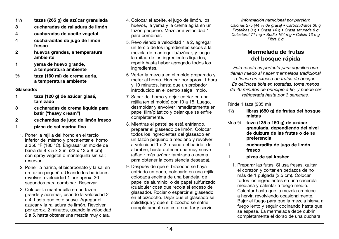- 11⁄3 tazas (265 g) de azúcar granulada
- 3 cucharadas de ralladura de limón
- 4 cucharadas de aceite vegetal
- 4 cucharaditas de jugo de limón fresco
- 2 huevos grandes, a temperatura ambiente
- 1 yema de huevo grande, a temperatura ambiente
- $2/3$ taza (160 ml) de crema agria. a temperatura ambiente

#### Glaseado:

- 1 taza (120 g) de azúcar glasé, tamizado
- 3 cucharadas de crema líquida para batir ("heavy cream")
- 2 cucharadas de jugo de limón fresco
- 1 pizca de sal marina fina
- 1. Poner la rejilla del horno en el tercio inferior del mismo y precalentar el horno a 350 °F (180 °C). Engrasar un molde de barra de 9 x 5 x 3 in. (23 x 13 x 8 cm) con spray vegetal o mantequilla sin sal; reservar.
- 2. Poner la harina, el bicarbonato y la sal en un tazón pequeño. Usando los batidores, revolver a velocidad 1 por aprox. 30 segundos para combinar. Reservar.
- 3. Colocar la mantequilla en un tazón grande y acremar, usando la velocidad 2 a 4, hasta que esté suave. Agregar el azúcar y la ralladura de limón. Revolver por aprox. 2 minutos, usando la velocidad 2 a 5, hasta obtener una mezcla muy clara.
- 4. Colocar el aceite, el jugo de limón, los huevos, la yema y la crema agria en un tazón pequeño. Mezclar a velocidad 1 para combinar.
- 5. Revolviendo a velocidad 1 a 2, agregar un tercio de los ingredientes secos a la mezcla de mantequilla/azúcar, y luego la mitad de los ingredientes líquidos; repetir hasta haber agregado todos los ingredientes.
- 6. Verter la mezcla en el molde preparado y meter al horno. Hornear por aprox. 1 hora y 10 minutos, hasta que un probador introducido en el centro salga limpio.
- 7. Sacar del horno y dejar enfriar en una rejilla (en el molde) por 10 a 15. Luego, desmoldar y envolver inmediatamente en papel film/plástico y dejar que se enfríe completamente.
- 8. Mientras el pastel se está enfriando, preparar el glaseado de limón. Colocar todos los ingredientes del glaseado en un tazón pequeño a mediano y revolver a velocidad 1 a 3, usando el batidor de alambre, hasta obtener una muy suave (añadir más azúcar tamizada o crema para obtener la consistencia deseada).
- 9. Después de que el bizcocho se haya enfriado un poco, colocarlo en una rejilla colocada encima de una bandeja, de papel de aluminio, o de papel sulfurizado (cualquier cosa que recoja el exceso de glaseado). Rociar o esparcir el glaseado en el bizcocho. Dejar que el glaseado se solidifique y que el bizcocho se enfríe completamente antes de cortar y servir.

#### *Información nutricional por porción:*

*Calorías 275 (44 % de grasa) • Carbohidratos 36 g Proteínas 3 g • Grasa 14 g • Grasa saturada 8 g Colesterol 71 mg • Sodio 164 mg • Calcio 13 mg Fibra 2 g*

# Mermelada de frutas del bosque rápida

*Esta receta es perfecta para aquellos que tienen miedo al hacer mermelada tradicional o tienen un exceso de frutas de bosque. Es deliciosa tibia en tostadas, toma menos de 40 minutos de principio a fin, y puede ser refrigerada hasta por 3 semanas.*

### Rinde 1 taza (235 ml)

- 1½ libras (680 g) de frutas del bosque mixtas
- $^{2}/_{3}$  a  $^{3}/_{4}$ taza (135 a 150 g) de azúcar granulada, dependiendo del nivel de dulzura de las frutas o de su preferencia
- 1 cucharadita de jugo de limón fresco
- 1 pizca de sal kosher
	- 1. Preparar las futas. Si usa fresas, quitar el corazón y cortar en pedazos de no más de 1 pulgada (2.5 cm). Colocar todos los ingredientes en una cacerola mediana y calentar a fuego medio. Calentar hasta que la mezcla empiece a hervir, revolviendo ocasionalmente. Bajar el fuego para que la mezcla hierva a fuego lento y seguir cocinando hasta que se espese. La mermelada debe cubrir completamente el dorso de una cuchara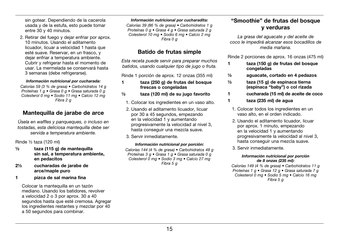sin gotear. Dependiendo de la cacerola usada y de la estufa, esto puede tomar entre 30 y 40 minutos.

2. Retirar del fuego y dejar enfriar por aprox. 10 minutos. Usando el aditamento licuador, licuar a velocidad 1 hasta que esté suave. Reservar, en un frasco, y dejar enfriar a temperatura ambiente. Cubrir y refrigerar hasta el momento de usar. La mermelada se conservará hasta 3 semanas (debe refrigerarse).

#### *Información nutricional por cucharada:*

*Calorías 59 (3 % de grasa) • Carbohidratos 14 g Proteínas 1 g • Grasa 0 g • Grasa saturada 0 g Colesterol 0 mg • Sodio 11 mg • Calcio 12 mg Fibra 2 g*

# Mantequilla de jarabe de arce

*Úsela en waffles y panqueques, o incluso en tostadas, esta deliciosa mantequilla debe ser servida a temperatura ambiente.*

Rinde ½ taza (120 ml)

- ½ taza (115 g) de mantequilla sin sal, a temperatura ambiente, en pedacitos
- 2½ cucharadas de jarabe de arce/maple puro
- 1 pizca de sal marina fina

Colocar la mantequilla en un tazón mediano. Usando los batidores, revolver a velocidad 2 o 3 por aprox. 30 a 40 segundos hasta que esté cremosa. Agregar los ingredientes restantes y mezclar por 40 a 50 segundos para combinar.

#### *Información nutricional por cucharadita:*

*Calorías 39 (86 % de grasa) • Carbohidratos 1 g Proteínas 0 g • Grasa 4 g • Grasa saturada 2 g Colesterol 10 mg • Sodio 6 mg • Calcio 2 mg Fibra 0 g*

## Batido de frutas simple

*Esta receta puede servir para preparar muchos batidos, usando cualquier tipo de jugo o fruta.*

Rinde 1 porción de aprox. 12 onzas (355 ml)

- 1 taza (250 g) de frutas del bosque frescas o congeladas
- ½ taza (120 ml) de su jugo favorito
	- 1. Colocar los ingredientes en un vaso alto.
	- 2. Usando el aditamento licuador, licuar por 30 a 45 segundos, empezando en la velocidad 1 y aumentando progresivamente la velocidad al nivel 3, hasta conseguir una mezcla suave.
	- 3. Servir inmediatamente.

#### *Información nutricional por porción:*

*Calorías 144 (4 % de grasa) • Carbohidratos 48 g Proteínas 3 g • Grasa 1 g • Grasa saturada 0 g Colesterol 0 mg • Sodio 3 mg • Calcio 27 mg Fibra 5 g*

# "Smoothie" de frutas del bosque y verduras

*La grasa del aguacate y del aceite de coco le impedirá alcanzar esos bocadillos de media mañana.*

Rinde 2 porciones de aprox. 16 onzas (475 ml)

- 1 taza (150 g) de frutas del bosque congeladas
- ½ aguacate, cortado en 4 pedazos
- ½ taza (15 g) de espinaca tierna (espinaca "baby") o col rizada
- 1 cucharada (15 ml) de aceite de coco
- 1 taza (235 ml) de agua
	- 1. Colocar todos los ingredientes en un vaso alto, en el orden indicado.
	- 2. Usando el aditamento licuador, licuar por aprox. 1 minuto, empezando en la velocidad 1 y aumentando progresivamente la velocidad al nivel 3, hasta conseguir una mezcla suave.
	- 3. Servir inmediatamente.

#### *Información nutricional por porción de 8 onzas (235 ml):*

*Calorías 149 (4 % de grasa) • Carbohidratos 11 g Proteínas 1 g • Grasa 12 g • Grasa saturada 7 g Colesterol 0 mg • Sodio 5 mg • Calcio 16 mg Fibra 5 g*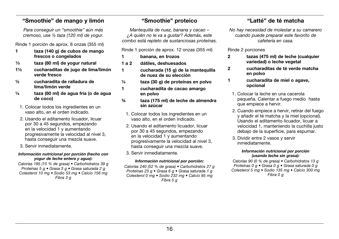# "Smoothie" de mango y limón

*Para conseguir un "smoothie" aún más cremoso, use ½ taza (120 ml) de yogur.*

Rinde 1 porción de aprox. 8 onzas (355 ml)

- 1 taza (140 g) de cubos de mango frescos o congelados
- $\frac{1}{3}$  taza (80 ml) de yogur natural
- 1½ cucharaditas de jugo de lima/limón verde fresco
- ½ cucharadita de ralladura de lima/limón verde
- ¼ taza (60 ml) de agua fría (o de agua de coco)
	- 1. Colocar todos los ingredientes en un vaso alto, en el orden indicado.
	- 2. Usando el aditamento licuador, licuar por 30 a 45 segundos, empezando en la velocidad 1 y aumentando progresivamente la velocidad al nivel 3, hasta conseguir una mezcla suave.
	- 3. Servir inmediatamente.

### *Información nutricional por porción (hecho con yogur de leche entera y agua):*

*Calorías 195 (15 % de grasa) • Carbohidratos 39 g Proteínas 5 g • Grasa 3 g • Grasa saturada 2 g Colesterol 10 mg • Sodio 53 mg • Calcio 156 mg Fibra 3 g*

# "Smoothie" proteico

*Mantequilla de nuez, banana y cacao – ¿A quién no le va a gustar? Además, este combo está repleto de sustanciosas proteínas.*

- Rinde 1 porción de aprox. 12 onzas (355 ml)
- 1 banana, en trozos
- 1 a 2 dátiles, deshuesados
- 1 cucharada (15 g) de la mantequilla de nuez de su elección
- ¼ taza (30 g) de proteínas en polvo
- 1 cucharadita de cacao amargo en polvo
- ¾ taza (175 ml) de leche de almendra sin azúcar
	- 1. Colocar todos los ingredientes en un vaso alto, en el orden indicado.
	- 2. Usando el aditamento licuador, licuar por 30 a 45 segundos, empezando en la velocidad 1 y aumentando progresivamente la velocidad al nivel 3, hasta conseguir una mezcla suave.
	- 3. Servir inmediatamente.

### *Información nutricional por porción:*

*Calorías 240 (52 % de grasa) • Carbohidratos 27 g Proteínas 23 g • Grasa 6 g • Grasa saturada 1 g Colesterol 0 mg • Sodio 232 mg • Calcio 95 mg Fibra 5 g*

# "Latté" de té matcha

*No hay necesidad de molestar a su camarero cuando puede preparar este favorito de cafetería en casa.*

### Rinde 2 porciones

- 2 tazas (475 ml) de leche (cualquier variedad) o leche vegetal
- 2 cucharaditas de té verde matcha en polvo
- 1 cucharadita de miel o agave, opcional
	- 1. Colocar la leche en una cacerola pequeña. Calentar a fuego medio hasta que empiece a hervir.
	- 2. Cuando empiece a hervir, retirar del fuego y añadir el té matcha y la miel (opcional). Usando el aditamento licuador, licuar a velocidad 1, manteniendo la cuchilla justo debajo de la superficie, para espumar.
	- 3. Dividir entre 2 vasos y servir inmediatamente.

#### *Información nutricional por porción (usando leche sin grasa):*

*Calorías 90 (0 % de grasa) • Carbohidratos 13 g Proteínas 0 g • Grasa 0 g • Grasa saturada 0 g Colesterol 5 mg • Sodio 135 mg • Calcio 300 mg Fibra 0 g*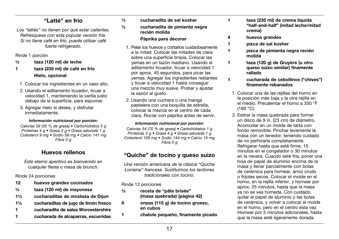## "Latté" en frío

*Los "lattés" no tienen por qué estar calientes. Refrésquese con esta popular versión fría. Si no tiene café en frío, puede utilizar café fuerte refrigerado.*

Rinde 1 porción

### ½ taza (120 ml) de leche

- 1 taza (235 ml) de café en frío Hielo, opcional
	- 1. Colocar los ingredientes en un vaso alto.
	- 2. Usando el aditamento licuador, licuar a velocidad 1, manteniendo la varilla justo debajo de la superficie, para espumar.
	- 3. Agregar hielo si desea, y disfrutar inmediatamente.

### *Información nutricional por porción:*

*Calorías 59 (35 % de grasa) • Carbohidratos 5 g Proteínas 4 g • Grasa 2 g • Grasa saturada 1 g Colesterol 9 mg • Sodio 58 mg • Calcio 141 mg Fibra 0 g*

# Huevos rellenos

*Este eterno aperitivo es bienvenido en cualquier fiesta o mesa de brunch.*

Rinde 24 porciones

- 12 huevos grandes cocinados
- ½ taza (120 ml) de mayonesa
- 1½ cucharaditas de mostaza de Dijon
- 1½ cucharaditas de jugo de limón fresco
- 1 cucharadita de salsa Worcestershire
- 1 cucharada de alcaparras, escurridas

### ½ cucharadita de sal kosher

# ¼ cucharadita de pimienta negra recién molida

- Páprika para decorar
- 1. Pelar los huevos y cortarlos cuidadosamente a la mitad. Colocar las mitades de clara sobre una superficie limpia. Colocar las yemas en un tazón mediano. Usando el aditamento licuador, licuar a velocidad 1 por aprox. 45 segundos, para picar las yemas. Agregar los ingredientes restantes y licuar a velocidad 1 hasta conseguir una mezcla muy suave. Probar y ajustar la sazón al gusto.
- 2. Usando una cuchara o una manga pastelera con una boquilla de estrella, colocar la mezcla en el centro de cada clara. Rociar con páprika antes de servir.

### *Información nutricional por porción:*

*Calorías 54 (70 % de grasa) • Carbohidratos 1 g Proteínas 3 g • Grasa 4 g • Grasa saturada 1 g Colesterol 108 mg • Sodio 144 mg • Calcio 15 mg Fibra 0 g*

# "Quiche" de tocino y queso suizo

*Una versión americana de la clásica "Quiche Lorraine" francesa. Sustituimos los lardones tradicionales con tocino.*

Rinde 12 porciones

- ½ receta de "pâte brisée" (masa quebrada) (página 42)
- 8 onzas (115 g) de tocino grueso, en cubos
- 1 chalote pequeño, finamente picado
- 1 taza (235 ml) de crema líquida "half-and-half" (mitad leche/mitad crema)
- 4 huevos grandes
- 1 pizca de sal kosher
- 1 pizca de pimienta negra recién molida
- 1 taza (120 g) de Gruyère (u otro queso suizo similar) finamente rallado
- 1 cucharada de cebollinos ("chives") finamente rebanados
	- 1. Colocar una de las rejillas del horno en la posición más baja y la otra rejilla en el medio. Precalentar el horno a 350 °F (180 °C).
	- 2. Estirar la masa quebrada para formar un disco de 9 in. (23 cm) de diámetro. Acomodar en un molde de tarta con fondo removible. Pinchar levemente la masa con un tenedor, teniendo cuidado de no perforarla completamente. Refrigerar hasta que esté firme, 15 minutos en el congelador o 30 minutos en la nevera. Cuando esté fría, poner una hoja de papel de aluminio encima de la masa y llenar parcialmente con bolas de cerámica para hornear, arroz crudo o frijoles secos. Colocar el molde en el horno, en la rejilla inferior, y hornear por aprox. 25 minutos, hasta que la masa ya no se vea húmeda. Con cuidado, quitar el papel de aluminio y las bolas de cerámica, y volver a colocar el molde en el horno, pero en el centro esta vez. Hornear por 5 minutos adicionales, hasta que la masa esté ligeramente dorada.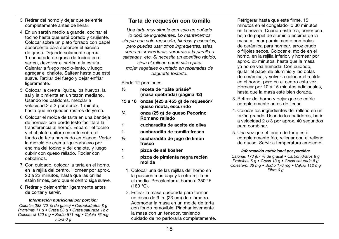- 3. Retirar del horno y dejar que se enfríe completamente antes de llenar.
- 4. En un sartén medio a grande, cocinar el tocino hasta que esté dorado y crujiente. Colocar sobre un plato forrado con papel absorbente para absorber el exceso de grasa. Dejando solamente aprox. 1 cucharada de grasa de tocino en el sartén, devolver el sartén a la estufa. Calentar a fuego medio-lento, y luego agregar el chalote. Saltear hasta que esté suave. Retirar del fuego y dejar enfriar ligeramente.
- 5. Colocar la crema líquida, los huevos, la sal y la pimienta en un tazón mediano. Usando los batidores, mezclar a velocidad 2 a 3 por aprox. 1 minuto, hasta que no queden rastros de yema.
- 6. Colocar el molde de tarta en una bandeja de hornear con borde (esto facilitará la transferencia al horno). Esparcir el tocino y el chalote uniformemente sobre el fondo de tarta horneado en blanco. Verter la mezcla de crema líquida/huevo por encima del tocino y del chalote, y luego cubrir con queso rallado. Rociar con cebollinos.
- 7. Con cuidado, colocar la tarta en el horno, en la rejilla del centro. Hornear por aprox. 20 a 22 minutos, hasta que las orillas estén firmes, pero que el centro siga suave.
- 8. Retirar y dejar enfriar ligeramente antes de cortar y servir.

#### *Información nutricional por porción:*

*Calorías 283 (72 % de grasa) • Carbohidratos 8 g Proteínas 11 g • Grasa 23 g • Grasa saturada 12 g Colesterol 120 mg • Sodio 571 mg • Calcio 76 mg Fibra 0 g*

# Tarta de requesón con tomillo

*Una tarta muy simple con solo un puñado (o dos) de ingredientes. Lo mantenemos simple con solo requesón, hierbas y especias, pero puedes usar otros ingredientes, tales como microverduras, verduras a la parrilla o salteadas, etc. Si necesita un aperitivo rápido, sirva el relleno como salsa para mojar vegetales o untado en rebanadas de baguette tostado.*

Rinde 12 porciones

- ½ receta de "pâte brisée" (masa quebrada) (página 42)
- 15 a 16 onzas (425 a 455 g) de requesón/ queso ricota, escurrido
- ¾ onza (25 g) de queso Pecorino Romano rallado
- 1 cucharadita de aceite de oliva
- 1 cucharadita de tomillo fresco
- ½ cucharadita de jugo de limón fresco
- 1 pizca de sal kosher
- 1 pizca de pimienta negra recién molida
	- 1. Colocar una de las reiillas del horno en la posición más baja y la otra rejilla en el medio. Precalentar el horno a 350 °F (180 °C).
	- 2. Estirar la masa quebrada para formar un disco de 9 in. (23 cm) de diámetro. Acomodar la masa en un molde de tarta con fondo removible. Pinchar levemente la masa con un tenedor, teniendo cuidado de no perforarla completamente.

Refrigerar hasta que esté firme, 15 minutos en el congelador o 30 minutos en la nevera. Cuando esté fría, poner una hoja de papel de aluminio encima de la masa y llenar parcialmente con bolas de cerámica para hornear, arroz crudo o frijoles secos. Colocar el molde en el horno, en la rejilla inferior, y hornear por aprox. 25 minutos, hasta que la masa ya no se vea húmeda. Con cuidado, quitar el papel de aluminio y las bolas de cerámica, y volver a colocar el molde en el horno, pero en el centro esta vez. Hornear por 10 a 15 minutos adicionales, hasta que la masa esté bien dorada.

- 3. Retirar del horno y dejar que se enfríe completamente antes de llenar.
- 4. Colocar los ingredientes del relleno en un tazón grande. Usando los batidores, batir a velocidad 2 o 3 por aprox. 40 segundos para combinar.
- 5. Una vez que el fondo de tarta esté completamente frío, rellenar con el relleno de queso. Servir a temperatura ambiente.

### *Información nutricional por porción:*

*Calorías 173 (67 % de grasa) • Carbohidratos 8 g Proteínas 6 g • Grasa 13 g • Grasa saturada 8 g Colesterol 36 mg • Sodio 170 mg • Calcio 112 mg Fibra 0 g*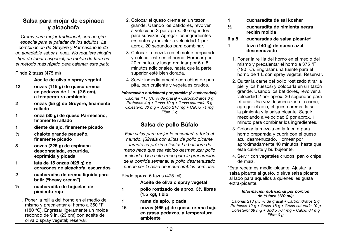# Salsa para mojar de espinaca y alcachofa

*Crema para mojar tradicional, con un giro especial para el paladar de los adultos. La combinación de Gruyère y Parmesano le da un agradable sabor a nuez. No requiere ningún tipo de fuente especial; un molde de tarta es el método más rápido para calentar este plato.*

Rinde 2 tazas (475 ml)

Aceite de oliva o spray vegetal

- 12 onzas (115 g) de queso crema en pedazos de 1 in. (2.5 cm), a temperatura ambiente
- 2 onzas (55 g) de Gruyère, finamente rallado
- 1 onza (30 g) de queso Parmesano, finamente rallado
- 1 diente de ajo, finamente picado
- ½ chalote grande pequeño, finamente picado
- 8 onzas (225 g) de espinaca descongelada, escurrida, exprimida y picada
- 1 lata de 15 onzas (425 g) de corazones de alcachofa, escurridos
- 2 cucharadas de crema líquida para batir ("heavy cream")
- ½ cucharadita de hojuelas de pimiento rojo
- 1. Poner la rejilla del horno en el medio del mismo y precalentar el horno a 350 °F (180 °C). Engrasar ligeramente un molde redondo de 9 in. (23 cm) con aceite de oliva o spray vegetal; reservar.
- 2. Colocar el queso crema en un tazón grande. Usando los batidores, revolver a velocidad 3 por aprox. 30 segundos para suavizar. Agregar los ingredientes restantes y mezclar a velocidad 1 por aprox. 20 segundos para combinar.
- 3. Colocar la mezcla en el molde preparado y colocar este en el horno. Hornear por 20 minutos, y luego gratinar por 6 a 8 minutos adicionales, hasta que la parte superior esté bien dorada.
- 4. Servir inmediatamente con chips de pan pita, pan crujiente y vegetales crudos.

### *Información nutricional por porción (2 cucharadas):*

*Calorías 115 (76 % de grasa) • Carbohidratos 3 g Proteínas 4 g • Grasa 10 g • Grasa saturada 6 g Colesterol 30 mg • Sodio 218 mg • Calcio 71 mg Fibra 1 g*

# Salsa de pollo Búfalo

*Esta salsa para mojar le encantará a todo el mundo. ¡Sírvala con alitas de pollo picante durante su próxima fiesta! La batidora de mano hace que sea rápido desmenuzar pollo cocinado. Use este truco para la preparación de la comida semanal; el pollo desmenuzado puede ser la base de innumerables comidas.*

Rinde aprox. 6 tazas (475 ml)

### Aceite de oliva o spray vegetal

- 1 pollo rostizado de aprox. 3½ libras (1.5 kg), tibio
- 1 rama de apio, picada
- 16 onzas (465 g) de queso crema bajo en grasa pedazos, a temperatura ambiente
- 1 cucharadita de sal kosher
- ½ cucharadita de pimienta negra recién molida
- 6 a 8 cucharadas de salsa picante\*

### 1 taza (140 g) de queso azul desmenuzado

- 1. Poner la rejilla del horno en el medio del mismo y precalentar el horno a 375 °F (190 °C). Engrasar una fuente para el horno de 1 L con spray vegetal. Reservar.
- 2. Quitar la carne del pollo rostizado (tirar la piel y los huesos) y colocarla en un tazón grande. Usando los batidores, revolver a velocidad 2 por aprox. 30 segundos para triturar. Una vez desmenuzada la carne, agregar el apio, el queso crema, la sal, la pimienta y la salsa picante. Seguir mezclando a velocidad 2 por aprox. 1 minuto para combinar los ingredientes.
- 3. Colocar la mezcla en la fuente para horno preparada y cubrir con el queso azul desmenuzado. Hornear por aproximadamente 40 minutos, hasta que esté caliente y burbujeante.
- 4. Servir con vegetales crudos, pan o chips de maíz.

\*Esta receta es medio-picante. Ajustar la salsa picante al gusto, o sirva salsa picante al lado para aquellos a quienes les gusta extra-picante.

#### *Información nutricional por porción de ½ taza (120 ml):*

*Calorías 213 (75 % de grasa) • Carbohidratos 2 g Proteínas 12 g • Grasa 18 g • Grasa saturada 10 g Colesterol 69 mg • Sodio 704 mg • Calcio 64 mg Fibra 0 g*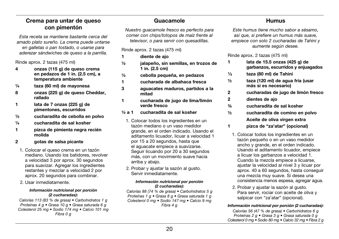# Crema para untar de queso con pimentón

*Esta receta se mantiene bastante cerca del amado plato sureño. La crema puede untarse en galletas o pan tostado, o usarse para aderezar sándwiches de queso a la parrilla.*

Rinde aprox. 2 tazas (475 ml)

- 4 onzas (115 g) de queso crema en pedazos de 1 in. (2.5 cm), a temperatura ambiente
- ¼ taza (60 ml) de mayonesa
- 8 onzas (225 g) de queso Cheddar, rallado
- 1 lata de 7 onzas (225 g) de pimentones, escurridos
- ½ cucharadita de cebolla en polvo
- ¼ cucharadita de sal kosher
- 1 pizca de pimienta negra recién molida
- 2 gotas de salsa picante
- 1. Colocar el queso crema en un tazón mediano. Usando los batidores, revolver a velocidad 3 por aprox. 30 segundos para suavizar. Agregar los ingredientes restantes y mezclar a velocidad 2 por aprox. 20 segundos para combinar.
- 2. Usar inmediatamente.

#### *Información nutricional por porción (2 cucharadas):*

*Calorías 113 (83 % de grasa) • Carbohidratos 1 g Proteínas 4 g • Grasa 10 g • Grasa saturada 6 g Colesterol 25 mg • Sodio 174 mg • Calcio 101 mg Fibra 0 g*

# Guacamole

*Nuestro guacamole fresco es perfecto para comer con chips/totopos de maíz frente al televisor, o para servir con quesadillas.*

Rinde aprox. 2 tazas (475 ml)

- 1 diente de ajo
- ½ jalapeño, sin semillas, en trozos de 1 in. (2.5 cm)
- ½ cebolla pequeña, en pedazos
- 1 cucharada de albahaca fresca
- 3 aguacates maduros, partidos a la mitad
- 1 cucharada de jugo de lima/limón verde fresco
- ½ a 1 cucharadita de sal kosher
	- 1. Colocar todos los ingredientes en un tazón mediano o un vaso medidor grande, en el orden indicado. Usando el aditamento licuador, licuar a velocidad 1 por 15 a 20 segundos, hasta que el aguacate empiece a suavizarse. Seguir licuando por 20 a 30 segundos más, con un movimiento suave hacia arriba y abajo.
	- 2. Probar y ajustar la sazón al gusto. Servir inmediatamente.

#### *Información nutricional por porción (2 cucharadas):*

*Calorías 88 (74 % de grasa) • Carbohidratos 5 g Proteínas 1 g • Grasa 8 g • Grasa saturada 1 g Colesterol 0 mg • Sodio 147 mg • Calcio 9 mg Fibra 4 g*

# Humus

*Este humus tiene mucho sabor a sésamo, así que, si prefiere un humus más suave, empiece con solo 2 cucharadas de Tahini y aumente según desee.*

Rinde aprox. 2 tazas (475 ml)

- 1 lata de 15.5 onzas (425 g) de garbanzos, escurridos y enjuagados
- $\frac{1}{3}$  taza (80 ml) de Tahini
- ½ taza (120 ml) de agua fría (usar más si es necesario)
- 2 cucharadas de jugo de limón fresco
- 2 dientes de ajo
- ¾ cucharadita de sal kosher
- ½ cucharadita de comino en polvo Aceite de oliva virgen extra
- 1 pizca de "za'atar" (opcional)
	- 1. Colocar todos los ingredientes en un tazón pequeño o en un vaso medidor ancho y grande, en el orden indicado. Usando el aditamento licuador, empiece a licuar los garbanzos a velocidad 1. Cuando la mezcla empiece a licuarse, ajustar la velocidad al nivel 3 y licuar por aprox. 40 a 60 segundos, hasta conseguir una mezcla muy suave. Si desea una consistencia menos espesa, agregar agua.
	- 2. Probar y ajustar la sazón al gusto. Para servir, rociar con aceite de oliva y salpicar con "za'atar" (opcional).

### *Información nutricional por porción (2 cucharadas):*

*Calorías 56 (47 % de grasa) • Carbohidratos 6 g Proteínas 2 g • Grasa 3 g • Grasa saturada 0 g Colesterol 0 mg • Sodio 80 mg • Calcio 32 mg • Fibra 2 g*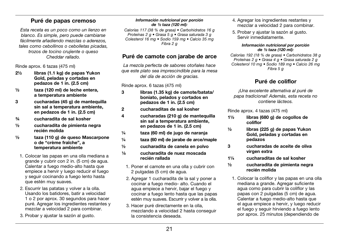# Puré de papas cremoso

*Esta receta es un poco como un lienzo en blanco. Es simple, pero puede cambiarse fácilmente añadiendo mezclas o aderezos, tales como cebollinos o cebolletas picadas, trozos de tocino crujiente o queso Cheddar rallado.*

Rinde aprox. 6 tazas (475 ml)

- 2½ libras (1.1 kg) de papas Yukon Gold, peladas y cortadas en pedazos de 1 in. (2.5 cm)
- ½ taza (120 ml) de leche entera, a temperatura ambiente
- 3 cucharadas (45 g) de mantequilla sin sal a temperatura ambiente, en pedazos de 1 in. (2.5 cm)
- ¾ cucharadita de sal kosher
- ½ cucharadita de pimienta negra recién molida
- ½ taza (110 g) de queso Mascarpone o de "crème fraîche", a temperatura ambiente
- 1. Colocar las papas en una olla mediana a grande y cubrir con 2 in. (5 cm) de agua. Calentar a fuego medio-alto hasta que empiece a hervir y luego reducir el fuego y seguir cocinando a fuego lento hasta que estén muy suaves.
- 2. Escurrir las patatas y volver a la olla. Usando los batidores, batir a velocidad 1 o 2 por aprox. 30 segundos para hacer puré. Agregar los ingredientes restantes y mezclar a velocidad 2 para combinar.
- 3. Probar y ajustar la sazón al gusto.

### *Información nutricional por porción de ½ taza (120 ml):*

*Calorías 117 (38 % de grasa) • Carbohidratos 16 g Proteínas 2 g • Grasa 5 g • Grasa saturada 3 g Colesterol 16 mg • Sodio 159 mg • Calcio 35 mg Fibra 2 g*

# Puré de camote con jarabe de arce

*La mezcla perfecta de sabores otoñales hace que este plato sea imprescindible para la mesa del día de acción de gracias.*

Rinde aprox. 6 tazas (475 ml)

- 3 libras (1.35 kg) de camote/batata/ boniato, pelados y cortados en pedazos de 1 in. (2.5 cm)
- 2 cucharaditas de sal kosher
- 4 cucharadas (210 g) de mantequilla sin sal a temperatura ambiente, en pedazos de 1 in. (2.5 cm)
- ¼ taza (60 ml) de jugo de naranja
- ¼ taza (60 ml) de jarabe de arce/maple
- ½ cucharadita de canela en polvo
- ¹⁄8 cucharadita de nuez moscada recién rallada
	- 1. Poner el camote en una olla y cubrir con 2 pulgadas (5 cm) de agua.
	- 2. Agregar 1 cucharadita de la sal y poner a cocinar a fuego medio- alto. Cuando el agua empiece a hervir, bajar el fuego y cocinar a fuego lento hasta que las papas estén muy suaves. Escurrir y volver a la olla.
	- 3. Hacer puré directamente en la olla, mezclando a velocidad 2 hasta conseguir la consistencia deseada.
- 4. Agregar los ingredientes restantes y mezclar a velocidad 2 para combinar.
- 5. Probar y ajustar la sazón al gusto. Servir inmediatamente.

#### *Información nutricional por porción de ½ taza (120 ml):*

*Calorías 192 (18 % de grasa) • Carbohidratos 38 g Proteínas 2 g • Grasa 4 g • Grasa saturada 2 g Colesterol 10 mg • Sodio 189 mg • Calcio 26 mg Fibra 5 g*

# Puré de coliflor

*¡Una excelente alternativa al puré de papa tradicional! Además, esta receta no contiene lácteos.*

Rinde aprox. 4 tazas (475 ml)

- 1½ libras (680 g) de cogollos de coliflor
- ½ libras (225 g) de papas Yukon Gold, peladas y cortadas en pedazos
- 3 cucharadas de aceite de oliva virgen extra
- 1¼ cucharaditas de sal kosher
- ½ cucharadita de pimienta negra recién molida
- 1. Colocar la coliflor y las papas en una olla mediana a grande. Agregar suficiente agua como para cubrir la coliflor y las papas con 2 pulgadas (5 cm) de agua. Calentar a fuego medio-alto hasta que el agua empiece a hervir, y luego reducir el fuego y seguir hirviendo a fuego lento por aprox. 25 minutos (dependiendo de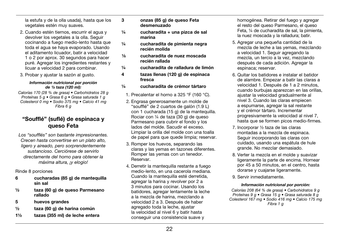la estufa y de la olla usada), hasta que los vegetales estén muy suaves.

- 2. Cuando estén tiernos, escurrir el agua y devolver los vegetales a la olla. Seguir cocinando a fuego medio-lento hasta que toda el agua se haya evaporado. Usando el aditamento licuador, batir a velocidad 1 o 2 por aprox. 30 segundos para hacer puré. Agregar los ingredientes restantes y licuar a velocidad 2 para combinar.
- 3. Probar y ajustar la sazón al gusto.

#### *Información nutricional por porción de ½ taza (120 ml):*

*Calorías 170 (28 % de grasa) • Carbohidratos 28 g Proteínas 5 g • Grasa 6 g • Grasa saturada 1 g Colesterol 0 mg • Sodio 375 mg • Calcio 41 mg Fibra 6 g*

# "Soufflé" (suflé) de espinaca y queso Feta

*Los "soufflés" son bastante impresionantes. Crecen hasta convertirse en un plato alto, ligero y aireado, pero sorprendentemente sustancioso. Cerciórese de servirlo directamente del horno para obtener la máxima altura, ¡y elogio!*

Rinde 8 porciones

- 6 cucharadas (85 g) de mantequilla sin sal
- ½ taza (60 g) de queso Parmesano rallado
- 5 huevos grandes
- ½ taza (60 g) de harina común
- 1½ tazas (355 ml) de leche entera
- 3 onzas (85 g) de queso Feta desmenuzado
- $\frac{1}{4}$  cucharadita + una pizca de sal marina
- ¼ cucharadita de pimienta negra recién molida
- 1/8 cucharadita de nuez moscada recién rallada
- ¼ cucharadita de ralladura de limón
- 4 tazas llenas (120 g) de espinaca fresca
- ¼ cucharadita de crémor tártaro
	- 1. Precalentar el horno a 325 °F (160 °C).
	- 2. Engrasa generosamente un molde de "soufflé" de 2 cuartos de galón (1.9 L) con 1 cucharada (15 g) de la mantequilla. Rociar con ¼ de taza (30 g) de queso Parmesano para cubrir el fondo y los lados del molde. Sacudir el exceso. Limpiar la orilla del molde con una toalla de papel para que quede limpia; reservar.
	- 3. Romper los huevos, separando las claras y las yemas en tazones diferentes. Romper las yemas con un tenedor. Reservar.
	- 4. Derretir la mantequilla restante a fuego medio-lento, en una cacerola mediana. Cuando la mantequilla esté derretida, agregar la harina y revolver por 2 a 3 minutos para cocinar. Usando los batidores, agregar lentamente la leche a la mezcla de harina, mezclando a velocidad 2 a 3. Después de haber agregado toda la leche, ajustar la velocidad al nivel 6 y batir hasta conseguir una consistencia suave y

homogénea. Retirar del fuego y agregar el resto del queso Parmesano, el queso Feta, ¼ de cucharadita de sal, la pimienta, la nuez moscada y la ralladura; batir.

- 5. Agregar una pequeña cantidad de la mezcla de leche a las yemas, mezclando a velocidad 1. Seguir agregando la mezcla, un tercio a la vez, mezclando después de cada adición. Agregar la espinaca; reservar.
- 6. Quitar los batidores e instalar el batidor de alambre. Empezar a batir las claras a velocidad 1. Después de 1 a 2 minutos, cuando burbujas aparezcan en las orillas, ajustar la velocidad gradualmente al nivel 3. Cuando las claras empiecen a espumarse, agregar la sal restante y el crémor tártaro. Incrementar progresivamente la velocidad al nivel 7, hasta que se formen picos medio-firmes.
- 7. Incorporar ½ taza de las claras montadas a la mezcla de espinaca. Seguir incorporando las claras con cuidado, usando una espátula de hule grande. No mezclar demasiado.
- 8. Verter la mezcla en el molde y suavizar ligeramente la parte de encima. Hornear por 45 a 50 minutos, en el centro, hasta dorarse y cuajarse ligeramente.
- 9. Servir inmediatamente.

### *Información nutricional por porción:*

*Calorías 208 (64 % de grasa) • Carbohidratos 9 g Proteínas 9 g • Grasa 15 g • Grasa saturada 8 g Colesterol 167 mg • Sodio 416 mg • Calcio 175 mg Fibra 1 g*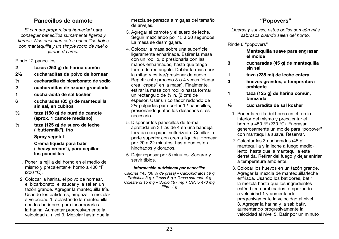# Panecillos de camote

*El camote proporciona humedad para conseguir panecillos sumamente ligeros y tiernos. Nos encantan estos panecillos tibios con mantequilla y un simple rocío de miel o jarabe de arce.*

Rinde 12 panecillos

- 2 tazas (250 g) de harina común
- 2½ cucharaditas de polvo de hornear
- ½ cucharadita de bicarbonato de sodio
- 2 cucharaditas de azúcar granulada
- 1 cucharadita de sal kosher
- 6 cucharadas (85 g) de mantequilla sin sal, en cubitos
- $^{2/3}$ taza (150 g) de puré de camote (aprox. 1 camote mediano)
- ½ taza (125 g) de suero de leche ("buttermilk"), frío

Spray vegetal

#### Crema líquida para batir ("heavy cream"), para cepillar los panecillos

- 1. Poner la rejilla del horno en el medio del mismo y precalentar el horno a 400 °F  $(200 °C)$ .
- 2. Colocar la harina, el polvo de hornear, el bicarbonato, el azúcar y la sal en un tazón grande. Agregar la mantequilla fría. Usando los batidores, empezar a mezclar a velocidad 1, aplastando la mantequilla con los batidores para incorporarla a la harina. Aumentar progresivamente la velocidad al nivel 3. Mezclar hasta que la

mezcla se parezca a migajas del tamaño de arvejas.

- 3. Agregar el camote y el suero de leche. Seguir mezclando por 15 a 30 segundos. La masa se desmigajará.
- 4. Colocar la masa sobre una superficie ligeramente enharinada. Estirar la masa con un rodillo, o presionarla con las manos enharinadas, hasta que tenga forma de rectángulo. Doblar la masa por la mitad y estirar/presionar de nuevo. Repetir este proceso 3 o 4 veces (plegar crea "capas" en la masa). Finalmente, estirar la masa con rodillo hasta formar un rectángulo de ¾ in. (2 cm) de espesor. Usar un cortador redondo de 2½ pulgadas para cortar 12 panecillos, presionando juntos los desechos si es necesario.
- 5. Disponer los panecillos de forma apretada en 3 filas de 4 en una bandeja forrada con papel sulfurizado. Cepillar la parte superior con crema líquida. Hornear por 20 a 22 minutos, hasta que estén hinchados y dorados.
- 6. Dejar reposar por 5 minutos. Separar y servir tibios.

### *Información nutricional por panecillo:*

*Calorías 145 (36 % de grasa) • Carbohidratos 19 g Proteínas 3 g • Grasa 6 g • Grasa saturada 4 g Colesterol 15 mg • Sodio 197 mg • Calcio 470 mg Fibra 1 g*

# "Popovers"

*Ligeros y suaves, estos bollos son aún más sabrosos cuando salen del horno.*

Rinde 6 "popovers"

 Mantequilla suave para engrasar el molde

- 3 cucharadas (45 g) de mantequilla sin sal
- 1 taza (235 ml) de leche entera
- 3 huevos grandes, a temperatura ambiente
- 1 taza (125 g) de harina común, tamizada
- ½ cucharadita de sal kosher
	- 1. Poner la rejilla del horno en el tercio inferior del mismo y precalentar el horno a 450 °F (230 °C). Engrasar generosamente un molde para "popover" con mantequilla suave. Reservar.
	- 2. Calentar las 3 cucharadas (45 g) mantequilla y la leche a fuego mediolento, hasta que la mantequilla esté derretida. Retirar del fuego y dejar enfriar a temperatura ambiente.
	- 3. Colocar los huevos en un tazón grande. Agregar la mezcla de mantequilla/leche enfriada. Usando los batidores, batir la mezcla hasta que los ingredientes estén bien combinados, empezando a velocidad 1 y aumentando progresivamente la velocidad al nivel 3. Agregar la harina y la sal; batir, aumentando progresivamente la velocidad al nivel 5. Batir por un minuto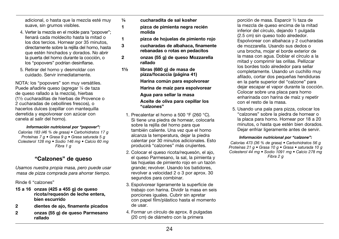adicional, o hasta que la mezcla esté muy suave, sin grumos visibles.

- 4. Verter la mezcla en el molde para "popover"; llenará cada moldecito hasta la mitad o los dos tercios. Hornear por 35 minutos, directamente sobre la rejilla del horno, hasta que estén hinchados y dorados. No abrir la puerta del horno durante la cocción, o los "popovers" podrían desinflarse.
- 5. Retirar del horno y desmoldar con cuidado. Servir inmediatamente.

NOTA: los "popovers" son muy versátiles. Puede añadirle queso (agregar 1/4 de taza de queso rallado a la mezcla), hierbas (1½ cucharaditas de hierbas de Provence o 2 cucharadas de cebollines frescos), o hacerlos dulces (cepillar con mantequilla derretida y espolvorear con azúcar con canela al salir del horno).

### *Información nutricional por "popover":*

*Calorías 183 (46 % de grasa) • Carbohidratos 17 g Proteínas 7 g • Grasa 9 g • Grasa saturada 5 g Colesterol 128 mg • Sodio 146 mg • Calcio 60 mg Fibra 1 g*

# "Calzones" de queso

*Usamos nuestra propia masa, pero puede usar masa de pizza comprada para ahorrar tiempo.*

Rinde 6 "calzones"

- 15 a 16 onzas (425 a 455 g) de queso ricota/requesón de leche entera, bien escurrido
- 2 dientes de ajo, finamente picados
- 2 onzas (55 g) de queso Parmesano rallado
- ¼ cucharadita de sal kosher
- 1 pizca de pimienta negra recién molida
- 1 pizca de hojuelas de pimiento rojo
- 3 cucharadas de albahaca, finamente rebanadas o rotas en pedacitos
- 2 onzas (55 g) de queso Mozzarella rallado
- 1½ libras (680 g) de masa de pizza/focaccia (página 41) Harina común para espolvorear Harina de maíz para espolvorear Agua para sellar la masa Aceite de oliva para cepillar los "calzones"
	- 1. Precalentar el horno a 500 °F (260 °C). Si tiene una piedra de hornear, colocarla sobre la rejilla del horno para que también caliente. Una vez que el horno alcanza la temperatura, dejar la piedra calentar por 30 minutos adicionales. Esto producirá "calzones" más crujientes.
	- 2. Colocar el queso ricota/requesón, el ajo, el queso Parmesano, la sal, la pimienta y las hojuelas de pimiento rojo en un tazón grande; revolver. Usando los batidores, revolver a velocidad 2 o 3 por aprox. 30 segundos para combinar.
	- 3. Espolvorear ligeramente la superficie de trabajo con harina. Dividir la masa en seis porciones iguales. Cubrir sin apretar con papel film/plástico hasta el momento de usar.
	- 4. Formar un círculo de aprox. 8 pulgadas (20 cm) de diámetro con la primera

porción de masa. Esparcir ½ taza de la mezcla de queso encima de la mitad inferior del círculo, dejando 1 pulgada (2.5 cm) sin queso todo alrededor. Espolvorear con albahaca y 2 cucharadas de mozzarella. Usando sus dedos o una brocha, mojar el borde exterior de la masa con agua. Doblar el círculo a la mitad y comprimir las orillas. Pellizcar los bordes todo alrededor para sellar completamente. Usando un cuchillo muy afilado, cortar dos pequeñas hendiduras en la parte superior del "calzone" para dejar escapar el vapor durante la cocción. Colocar sobre una placa para horno enharinada con harina de maíz y repetir con el resto de la masa.

5. Usando una pala para pizza, colocar los "calzones" sobre la piedra de hornear o la placa para horno. Hornear por 18 a 20 minutos, o hasta que estén bien dorados. Dejar enfriar ligeramente antes de servir.

### *Información nutricional por "calzone":*

*Calorías 473 (36 % de grasa) • Carbohidratos 56 g Proteínas 21 g • Grasa 10 g • Grasa • saturada 10 g Colesterol 44 mg • Sodio 1091 mg • Calcio 278 mg Fibra 2 g*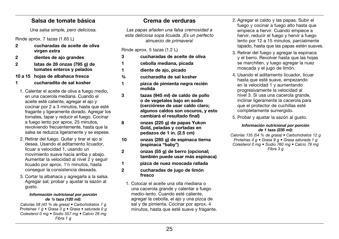## Salsa de tomate básica

*Una salsa simple, pero deliciosa.*

Rinde aprox. 7 tazas (1.65 L)

- 2 cucharadas de aceite de oliva virgen extra
- 2 dientes de ajo grandes
- 2 latas de 28 onzas (795 g) de tomates enteros y pelados
- 10 a 15 hojas de albahaca fresca
- 1 cucharadita de sal kosher
- 1. Calentar el aceite de oliva a fuego medio, en una cacerola mediana. Cuando el aceite esté caliente, agregar el ajo y cocinar por 2 a 3 minutos, hasta que esté fragante y ligeramente dorado. Agregar los tomates, tapar y reducir el fuego. Cocinar a fuego lento por aprox. 25 minutos, revolviendo frecuentemente, hasta que la salsa se reduzca ligeramente y se espese.
- 2. Retirar del fuego. Quitar y tirar el ajo si desea. Usando el aditamento licuador, licuar a velocidad 1, usando un movimiento suave hacia arriba y abajo. Aumentar la velocidad al nivel 2 y seguir licuado por aprox. 1½ minutos, hasta conseguir la consistencia deseada.
- 3. Cortar la albahaca y agregarla a la salsa. Agregar sal; probar y ajustar la sazón al gusto.

#### *Información nutricional por porción de ½ taza (120 ml):*

*Calorías 58 (43 % de grasa) • Carbohidratos 7 g Proteínas 1 g • Grasa 3 g • Grasa • saturada 0 g Colesterol 0 mg • Sodio 557 mg • Calcio 28 mg Fibra 1 g*

# Crema de verduras

*Las papas añaden una falsa cremosidad a esta deliciosa sopa licuada. ¡Es un perfecto almuerzo de primavera!*

Rinde aprox. 5 tazas (1.2 L)

- 3 cucharadas de aceite de oliva
- 1 cebolla mediana, picada
- 1 diente de ajo, picado
- ¾ cucharadita de sal kosher
- 1 pizca de pimienta negra recién molida
- 3 tazas (945 ml) de caldo de pollo o de vegetales bajo en sodio (cerciórese de usar caldo claro; algunos caldos son oscuros, y esto cambiará el resultado final)

8 onzas (225 g) de papas Yukon Gold, peladas y cortadas en pedazos de 1 in. (2.5 cm)

- 10 onzas (285 g) de espinaca tierna (espinaca "baby")
- 2 onzas (55 g) de berro (opcional; también puede usar más espinaca)
- 1 pizca de nuez moscada rallada
- 2 cucharadas de jugo de limón fresco
- 1. Colocar el aceite una olla mediana o una cacerola grande y calentar a fuego medio-lento. Cuando esté caliente, agregar la cebolla, el ajo y una pizca de sal y de pimienta. Cocinar por aprox. 4 minutos, hasta que esté suave y fragante.
- 2. Agregar el caldo y las papas. Subir el fuego y cocinar a fuego alto hasta que empiece a hervir. Cuando empiece a hervir, reducir el fuego y hervir a fuego lento por 12 a 15 minutos, parcialmente tapado, hasta que las papas estén suaves.
- 3. Retirar del fuego y agregar la espinaca y el berro. Revolver hasta que las hojas se marchiten, y luego agregar la nuez moscada y el jugo de limón.
- 4. Usando el aditamento licuador, licuar hasta que esté suave, empezando en la velocidad 1 y aumentando progresivamente la velocidad al nivel 3. Si usa una cacerola grande, inclinar ligeramente la cacerola para que el protector de cuchillas esté completamente sumergido.
- 5. Probar y ajustar la sazón al gusto.

### *Información nutricional por porción de 1 taza (235 ml):*

*Calorías 135 (54 % de grasa) • Carbohidratos 12 g Proteínas 4 g • Grasa 9 g • Grasa saturada 1 g Colesterol 0 mg • Sodio 760 mg • Calcio 79 mg Fibra 3 g*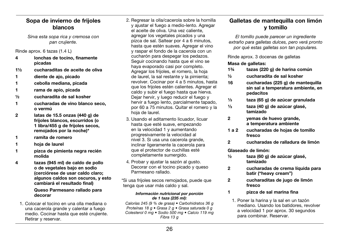# Sopa de invierno de frijoles blancos

*Sirva esta sopa rica y cremosa con pan crujiente.* 

Rinde aprox. 6 tazas (1.4 L)

- 4 lonchas de tocino, finamente picadas
- 1½ cucharaditas de aceite de oliva
- 1 diente de ajo, picado
- 1 cebolla mediana, picada
- 1 rama de apio, picada
- ½ cucharadita de sal kosher
- 1 cucharadas de vino blanco seco, o vermú
- 2 latas de 15.5 onzas (440 g) de frijoles blancos, escurridos (o 1 libra/455 g de frijoles secos. remojados por la noche)\*
- 1 ramita de romero
- 1 hoja de laurel
- 1 pizca de pimienta negra recién molida
- 4 tazas (945 ml) de caldo de pollo o de vegetales bajo en sodio (cerciórese de usar caldo claro; algunos caldos son oscuros, y esto cambiará el resultado final)

### Queso Parmesano rallado para decorar

1. Colocar el tocino en una olla mediana o una cacerola grande y calentar a fuego medio. Cocinar hasta que esté crujiente. Retirar y reservar.

- 2. Regresar la olla/cacerola sobre la hornilla y ajustar el fuego a medio-lento. Agregar el aceite de oliva. Una vez caliente, agregar los vegetales picados y una pizca de sal. Saltear por 4 a 6 minutos, hasta que estén suaves. Agregar el vino y raspar el fondo de la cacerola con un cucharón para despegar los pedazos. Seguir cocinando hasta que el vino se haya evaporado casi por completo. Agregar los frijoles, el romero, la hoja de laurel, la sal restante y la pimienta; revolver. Cocinar por 4 a 5 minutos, hasta que los frijoles estén calientes. Agregar el caldo y subir el fuego hasta que hierva. Dejar hervir, y luego reducir el fuego y hervir a fuego lento, parcialmente tapado, por 60 a 75 minutos. Quitar el romero y la hoja de laurel.
- 3. Usando el aditamento licuador, licuar hasta que esté suave, empezando en la velocidad 1 y aumentando progresivamente la velocidad al nivel 3. Si usa una cacerola grande, inclinar ligeramente la cacerola para que el protector de cuchillas esté completamente sumergido.
- 4. Probar y ajustar la sazón al gusto. Decorar con el tocino picado y queso Parmesano rallado.

\*Si usa frijoles secos remojados, puede que tenga que usar más caldo y sal.

#### *Información nutricional por porción de 1 taza (235 ml):*

*Calorías 245 (9 % de grasa) • Carbohidratos 36 g Proteínas 18 g • Grasa 2 g • Grasa saturada 0 g Colesterol 0 mg • Sodio 500 mg • Calcio 119 mg Fibra 13 g*

# Galletas de mantequilla con limón y tomillo

*El tomillo puede parecer un ingrediente extraño para galletas dulces, pero verá pronto por qué estas galletas son tan populares.* 

### Rinde aprox. 3 docenas de galletas

### Masa de galletas:

- 1¾ tazas (220 g) de harina común
- ½ cucharadita de sal kosher
- 16 cucharadas (225 g) de mantequilla sin sal a temperatura ambiente, en pedacitos
- 1/<sub>3</sub> taza (65 g) de azúcar granulada
- $\frac{1}{3}$  taza (40 g) de azúcar glasé. tamizado
- 2 yemas de huevo grande, a temperatura ambiente
- 1 a 2 cucharadas de hojas de tomillo fresco
- 2 cucharadas de ralladura de limón

### Glaseado de limón:

- ½ taza (60 g) de azúcar glasé, tamizado
- 2 cucharadas de crema líquida para batir ("heavy cream")
- 2 cucharaditas de jugo de limón fresco
- 1 pizca de sal marina fina
	- 1. Poner la harina y la sal en un tazón mediano. Usando los batidores, revolver a velocidad 1 por aprox. 30 segundos para combinar. Reservar.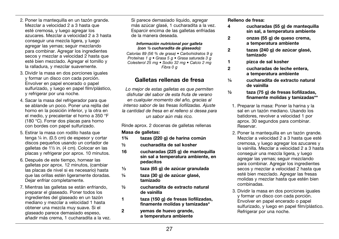- 2. Poner la mantequilla en un tazón grande. Mezclar a velocidad 2 a 3 hasta que esté cremosa, y luego agregar los azucares. Mezclar a velocidad 2 a 3 hasta conseguir una mezcla ligera, y luego agregar las yemas; seguir mezclando para combinar. Agregar los ingredientes secos y mezclar a velocidad 2 hasta que esté bien mezclado. Agregar el tomillo y la ralladura, y mezclar suavemente.
- 3. Dividir la masa en dos porciones iguales y formar un disco con cada porción. Envolver en papel encerado o papel sulfurizado, y luego en papel film/plástico, y refrigerar por una noche.
- 4. Sacar la masa del refrigerador para que se ablande un poco. Poner una rejilla del horno en la posición inferior, y la otra en el medio, y precalentar el horno a 350 °F (180 °C). Forrar dos placas para horno con bordes con papel sulfurizado.
- 5. Estirar la masa con rodillo hasta que tenga ¼ in. (0.5 cm) de espesor y cortar discos pequeños usando un cortador de galletas de 1½ in. (4 cm). Colocar en las placas y refrigerar por aprox. 10 minutos.
- 6. Después de este tiempo, hornear las galletas por aprox. 12 minutos, (cambiar las placas de nivel si es necesario) hasta que las orillas estén ligeramente doradas. Dejar enfriar completamente.
- 7. Mientras las galletas se están enfriando, preparar el glaseado. Poner todos los ingredientes del glaseado en un tazón mediano y mezclar a velocidad 1 hasta obtener una mezcla muy suave. Si el glaseado parece demasiado espeso, añadir más crema, 1 cucharadita a la vez.

Si parece demasiado líquido, agregar más azúcar glasé, 1 cucharadita a la vez. Esparcir encima de las galletas enfriadas de la manera deseada.

#### *Información nutricional por galleta (con ½ cucharadita de glaseado):*

*Calorías 89 (56 % de grasa) • Carbohidratos 9 g Proteínas 1 g • Grasa 5 g • Grasa saturada 3 g Colesterol 25 mg • Sodio 32 mg • Calcio 2 mg Fibra 0 g*

# Galletas rellenas de fresa

*Lo mejor de estas galletas es que permiten disfrutar del sabor de esta fruta de verano en cualquier momento del año, gracias al intenso sabor de las fresas liofilizadas. Ajuste la cantidad de fresa en el relleno si desea para un sabor aún más rico.*

Rinde aprox. 2 docenas de galletas rellenas

### Masa de galletas:

- 1¾ tazas (220 g) de harina común
- ½ cucharadita de sal kosher
- 16 cucharadas (225 g) de mantequilla sin sal a temperatura ambiente, en pedacitos
- ¹⁄³ taza (65 g) de azúcar granulada
- ¼ taza (30 g) de azúcar glasé, tamizado
- ½ cucharadita de extracto natural de vainilla
- 1 taza (150 g) de fresas liofilizadas, finamente molidas y tamizadas\*
- 2 yemas de huevo grande, a temperatura ambiente

Relleno de fresa:

- 4 cucharadas (55 g) de mantequilla sin sal, a temperatura ambiente
- 2 onzas (55 g) de queso crema, a temperatura ambiente
- 2 tazas (240 g) de azúcar glasé, tamizado
- 1 pizca de sal kosher
- 2 cucharadas de leche entera, a temperatura ambiente
- ¼ cucharadita de extracto natural de vainilla
- ½ taza (75 g) de fresas liofilizadas, finamente molidas y tamizadas\*\*
	- 1. Preparar la masa: Poner la harina y la sal en un tazón mediano. Usando los batidores, revolver a velocidad 1 por aprox. 30 segundos para combinar. Reservar.
	- 2. Poner la mantequilla en un tazón grande. Mezclar a velocidad 2 a 3 hasta que esté cremosa, y luego agregar los azucares y la vainilla. Mezclar a velocidad 2 a 3 hasta conseguir una mezcla ligera, y luego agregar las yemas; seguir mezclando para combinar. Agregar los ingredientes secos y mezclar a velocidad 2 hasta que esté bien mezclado. Agregar las fresas molidas y mezclar hasta que estén bien combinadas.
	- 3. Dividir la masa en dos porciones iguales y formar un disco con cada porción. Envolver en papel encerado o papel sulfurizado, y luego en papel film/plástico. Refrigerar por una noche.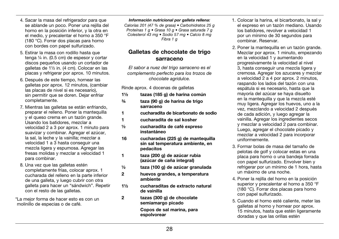- 4. Sacar la masa del refrigerador para que se ablande un poco. Poner una rejilla del horno en la posición inferior, y la otra en el medio, y precalentar el horno a 350 °F (180 °C). Forrar dos placas para horno con bordes con papel sulfurizado.
- 5. Estirar la masa con rodillo hasta que tenga ¼ in. (0.5 cm) de espesor y cortar discos pequeños usando un cortador de galletas de 1½ in. (4 cm). Colocar en las placas y refrigerar por aprox. 10 minutos.
- 6. Después de este tiempo, hornear las galletas por aprox. 12 minutos, (cambiar las placas de nivel si es necesario), sin permitir que se doren. Dejar enfriar completamente.
- 7. Mientras las galletas se están enfriando, preparar el relleno. Poner la mantequilla y el queso crema en un tazón grande. Usando los batidores, mezclar a velocidad 2 a 3 por aprox. 1 minuto para suavizar y combinar. Agregar el azúcar, la sal, la leche y la vainilla; mezclar a velocidad 1 a 3 hasta conseguir una mezcla ligera y espumosa. Agregar las fresas molidas y mezclar a velocidad 1 para combinar.
- 8. Una vez que las galletas estén completamente frías, colocar aprox. 1 cucharada del relleno en la parte inferior de una galleta, y luego cubrir con otra galleta para hacer un "sándwich". Repetir con el resto de las galletas.

\*La mejor forma de hacer esto es con un molinillo de especias o de café.

#### *Información nutricional por galleta rellena:*

*Calorías 201 (47 % de grasa) • Carbohidratos 25 g Proteínas 1 g • Grasa 10 g • Grasa saturada 7 g Colesterol 43 mg • Sodio 57 mg • Calcio 8 mg Fibra 1 g*

# Galletas de chocolate de trigo sarraceno

*El sabor a nuez del trigo sarraceno es el complemento perfecto para los trozos de chocolate agridulce.*

Rinde aprox. 4 docenas de galletas

- 1½ tazas (185 g) de harina común
- ¾ taza (90 g) de harina de trigo sarraceno
- 1 cucharadita de bicarbonato de sodio
- 1 cucharadita de sal kosher
- ½ cucharadita de café expreso instantáneo
- 16 cucharadas (225 g) de mantequilla sin sal temperatura ambiente, en pedacitos
- 1 taza (200 g) de azúcar rubia (azúcar de caña integral)
- ½ taza (100 g) de azúcar granulada
- 2 huevos grandes, a temperatura ambiente
- 1½ cucharaditas de extracto natural de vainilla
- 2 tazas (300 g) de chocolate semiamargo picado Copos de sal marina, para espolvorear
- 1. Colocar la harina, el bicarbonato, la sal y el expreso en un tazón mediano. Usando los batidores, revolver a velocidad 1 por un mínimo de 30 segundos para combinar. Reservar.
- 2. Poner la mantequilla en un tazón grande. Mezclar por aprox. 1 minuto, empezando en la velocidad 1 y aumentando progresivamente la velocidad al nivel 3, hasta conseguir una mezcla ligera y cremosa. Agregar los azucares y mezclar a velocidad 2 a 4 por aprox. 2 minutos, raspando los lados del tazón con una espátula si es necesario, hasta que la mayoría del azúcar se haya disuelto en la mantequilla y que la mezcla esté muy ligera. Agregar los huevos, uno a la vez, mezclando a velocidad 2 después de cada adición, y luego agregar la vainilla. Agregar los ingredientes secos y mezclar a velocidad 2 para combinar. Luego, agregar el chocolate picado y mezclar a velocidad 2 para incorporar uniformemente.
- 3. Formar bolas de masa del tamaño de pelotas de golf y colocar estas en una placa para horno o una bandeja forrada con papel sulfurizado. Envolver bien y refrigerar por un mínimo de 1 hora, hasta un máximo de una noche.
- 4. Poner la rejilla del horno en la posición superior y precalentar el horno a 350 °F (180 °C). Forrar dos placas para horno con papel sulfurizado.
- 5. Cuando el horno esté caliente, meter las galletas al horno y hornear por aprox. 15 minutos, hasta que estén ligeramente doradas y que las orillas estén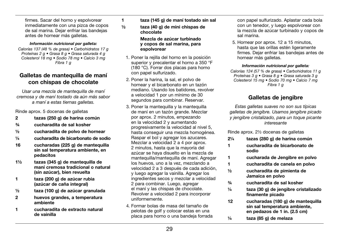firmes. Sacar del horno y espolvorear inmediatamente con una pizca de copos de sal marina. Dejar enfriar las bandejas antes de hornear más galletas.

#### *Información nutricional por galleta:*

*Calorías 137 (48 % de grasa) • Carbohidratos 17 g Proteínas 2 g • Grasa 8 g • Grasa saturada 4 g Colesterol 18 mg • Sodio 78 mg • Calcio 3 mg Fibra 1 g*

# Galletas de mantequilla de maní con chispas de chocolate

*Usar una mezcla de mantequilla de maní cremosa y de maní tostado da aún más sabor a maní a estas tiernas galletas.*

Rinde aprox. 5 docenas de galletas

- 2 tazas (250 g) de harina común
- ¾ cucharadita de sal kosher
- $\frac{1}{2}$  cucharadita de polvo de hornear
- ¼ cucharadita de bicarbonato de sodio
- 16 cucharadas (225 g) de mantequilla sin sal temperatura ambiente, en pedacitos
- 1½ tazas (345 g) de mantequilla de maní cremosa tradicional o natural (sin azúcar), bien revuelta
- 1 taza (200 g) de azúcar rubia (azúcar de caña integral)
- ½ taza (100 g) de azúcar granulada
- 2 huevos grandes, a temperatura ambiente
- 1 cucharadita de extracto natural de vainilla
- 1 taza (145 g) de maní tostado sin sal
- ½ taza (40 g) de mini chispas de chocolate

 Mezcla de azúcar turbinado y copos de sal marina, para espolvorear

- 1. Poner la rejilla del horno en la posición superior y precalentar el horno a 350 °F (180 °C). Forrar dos placas para horno con papel sulfurizado.
- 2. Poner la harina, la sal, el polvo de hornear y el bicarbonato en un tazón mediano. Usando los batidores, revolver a velocidad 1 por un mínimo de 30 segundos para combinar. Reservar.
- 3. Poner la mantequilla y la mantequilla de maní en un tazón grande. Mezclar por aprox. 2 minutos, empezando en la velocidad 2 y aumentando progresivamente la velocidad al nivel 5, hasta conseguir una mezcla homogénea. Raspar el bol y agregar los azucares. Mezclar a velocidad 2 a 4 por aprox. 2 minutos, hasta que la mayoría del azúcar se haya disuelto en la mezcla de mantequilla/mantequilla de maní. Agregar los huevos, uno a la vez, mezclando a velocidad 2 a 3 después de cada adición, y luego agregar la vainilla. Agregar los ingredientes secos y mezclar a velocidad 2 para combinar. Luego, agregar el maní y las chispas de chocolate. Revolver a velocidad 2 para incorporar uniformemente.
- 4. Formar bolas de masa del tamaño de pelotas de golf y colocar estas en una placa para horno o una bandeja forrada

con papel sulfurizado. Aplastar cada bola con un tenedor, y luego espolvorear con la mezcla de azúcar turbinado y copos de sal marina.

5. Hornear por aprox. 12 a 15 minutos, hasta que las orillas estén ligeramente firmes. Dejar enfriar las bandejas antes de hornear más galletas.

#### *Información nutricional por galleta:*

*Calorías 124 (57 % de grasa) • Carbohidratos 11 g Proteínas 3 g • Grasa 8 g • Grasa saturada 3 g Colesterol 15 mg • Sodio 70 mg • Calcio 7 mg Fibra 1 g*

# Galletas de jengibre

*Estas galletas suaves no son sus típicas galletas de jengibre. Usamos jengibre picado y jengibre cristalizado, para un toque picante interesante* 

Rinde aprox. 2½ docenas de galletas

- 2¼ tazas (280 g) de harina común 1 cucharadita de bicarbonato de sodio
- 1 cucharada de Jengibre en polvo
- 1 cucharadita de canela en polvo
- ½ cucharadita de pimienta de Jamaica en polvo
- ¾ cucharadita de sal kosher
- ¼ taza (30 g) de jengibre cristalizado finamente picado
- 12 cucharadas (180 g) de mantequilla sin sal temperatura ambiente, en pedazos de 1 in. (2.5 cm)
- $\frac{1}{4}$  taza (85 g) de melaza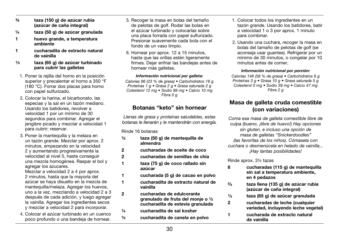- ¾ taza (150 g) de azúcar rubia (azúcar de caña integral)
- ¼ taza (50 g) de azúcar granulada
- 1 huevo grande, a temperatura ambiente
- 1 cucharadita de extracto natural de vainilla
- ¹⁄³ taza (65 g) de azúcar turbinado para cubrir las galletas
- 1. Poner la rejilla del horno en la posición superior y precalentar el horno a 350 °F (180 °C). Forrar dos placas para horno con papel sulfurizado.
- 2. Colocar la harina, el bicarbonato, las especias y la sal en un tazón mediano. Usando los batidores, revolver a velocidad 1 por un mínimo de 30 segundos para combinar. Agregar el jengibre picado y mezclar a velocidad 1 para cubrir; reservar.
- 3. Poner la mantequilla y la melaza en un tazón grande. Mezclar por aprox. 2 minutos, empezando en la velocidad 2 y aumentando progresivamente la velocidad al nivel 5, hasta conseguir una mezcla homogénea. Raspar el bol y agregar los azucares.

Mezclar a velocidad 2 a 4 por aprox. 2 minutos, hasta que la mayoría del azúcar se haya disuelto en la mezcla de mantequilla/melaza. Agregar los huevos. uno a la vez, mezclando a velocidad 2 a 3 después de cada adición, y luego agregar la vainilla. Agregar los ingredientes secos y mezclar a velocidad 2 para incorporar.

4. Colocar el azúcar turbinado en un cuenco poco profundo o una bandeja de hornear.

- 5. Recoger la masa en bolas del tamaño de pelotas de golf. Rodar las bolas en el azúcar turbinado y colocarlas sobre una placa forrada con papel sulfurizado. Presionar suavemente cada bola con el fondo de un vaso limpio.
- 6. Hornear por aprox. 12 a 15 minutos, hasta que las orillas estén ligeramente firmes. Dejar enfriar las bandejas antes de hornear más galletas.

#### *Información nutricional por galleta:*

*Calorías 96 (23 % de grasa) • Carbohidratos 18 g Proteínas 1 g • Grasa 2 g • Grasa saturada 2 g Colesterol 12 mg • Sodio 99 mg • Calcio 10 mg Fibra 0 g*

# Botanas "keto" sin hornear

*Llenas de grasa y proteínas saludables, estas botanas le llenarán y le mantendrán con energía.*

Rinde 16 botanas

- ½ taza (50 g) de mantequilla de almendra
- 2 cucharadas de aceite de coco
- 2 cucharadas de semillas de chía
- 1 taza (75 g) de coco rallado sin azúcar
- 1 cucharada (5 g) de cacao en polvo
- 1 cucharadita de extracto natural de vainilla
- 2 cucharadas de edulcorante granulado de fruta del monje o ½ cucharadita de estevia granulada
- ¼ cucharadita de sal kosher
- ½ cucharadita de canela en polvo
- 1. Colocar todos los ingredientes en un tazón grande. Usando los batidores, batir a velocidad 1 o 3 por aprox. 1 minuto para combinar.
- 2. Usando una cuchara, recoger la masa en bolas del tamaño de pelotas de golf (se aconseja usar guantes). Refrigerar por un mínimo de 30 minutos, o congelar por 10 minutos antes de comer.

#### *Información nutricional por porción:*

*Calorías 148 (58 % de grasa) • Carbohidratos 6 g Proteínas 3 g • Grasa 10 g • Grasa saturada 5 g Colesterol 0 mg • Sodio 39 mg • Calcio 47 mg Fibra 2 g*

# Masa de galleta cruda comestible (con variaciones)

*Coma esa masa de galleta comestible libre de culpa (bueno, ¡libre de huevo!) Hay opciones sin gluten, e incluso una opción de masa de galletas "Snickerdoodles" (las favoritas de los niños). Cómasela con cuchara o desmenúcela en helado de vainilla... ¡Hay tantas posibilidades!*

Rinde aprox. 3½ tazas

- 8 cucharadas (115 g) de mantequilla sin sal a temperatura ambiente, en 4 pedazos
- ²⁄³ taza llena (135 g) de azúcar rubia (azúcar de caña integral)
- 1/<sub>3</sub> taza (65 g) de azúcar granulada
- 2 cucharadas de leche (cualquier variedad, incluyendo leche vegetal)
- 1 cucharada de extracto natural de vainilla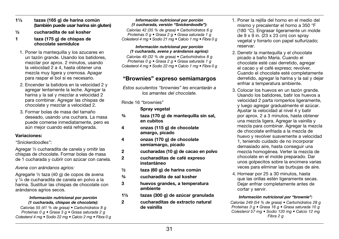- $1\frac{1}{3}$  tazas (165 g) de harina común (también puede usar harina sin gluten)
- ½ cucharadita de sal kosher
- 1 taza (175 g) de chispas de chocolate semidulce
- 1. Poner la mantequilla y los azucares en un tazón grande. Usando los batidores, mezclar por aprox. 2 minutos, usando la velocidad 2 a 4, hasta obtener una mezcla muy ligera y cremosa. Apagar para raspar el bol si es necesario.
- 2. Encender la batidora en la velocidad 2 y agregar lentamente la leche. Agregar la harina y la sal y mezclar a velocidad 2 para combinar. Agregar las chispas de chocolate y mezclar a velocidad 2.
- 3. Formar bolas de masa del tamaño deseado, usando una cuchara. La masa puede comerse inmediatamente, pero es aún mejor cuando está refrigerada.

### Variaciones:

### *"Snickerdoodles":*

Agregar ½ cucharadita de canela y omitir las chispas de chocolate. Formar bolas de masa de 1 cucharada y cubrir con azúcar con canela.

### *Avena con arándanos agrios:*

Agregarle ½ taza (40 g) de copos de avena y ¼ de cucharadita de canela en polvo a la harina. Sustituir las chispas de chocolate con arándanos agrios secos.

#### *Información nutricional por porción (1 cucharada, chispas de chocolate):*

*Calorías 55 (41 % de grasa) • Carbohidratos 8 g Proteínas 0 g • Grasa 3 g • Grasa saturada 2 g Colesterol 4 mg • Sodio 22 mg • Calcio 2 mg • Fibra 0 g*

### *Información nutricional por porción (1 cucharada, versión "Snickerdoodle"):*

*Calorías 42 (35 % de grasa) • Carbohidratos 6 g Proteínas 0 g • Grasa 2 g • Grasa saturada 1 g Colesterol 4 mg • Sodio 21 mg • Calcio 1 mg • Fibra 0 g*

#### *Información nutricional por porción (1 cucharada, avena y arándanos agrios):*

*Calorías 49 (32 % de grasa) • Carbohidratos 8 g Proteínas 0 g • Grasa 2 g • Grasa saturada 1 g Colesterol 4 mg • Sodio 22 mg • Calcio 1 mg • Fibra 0 g*

# "Brownies" expreso semiamargos

*Estos suculentos "brownies" les encantarán a los amantes del chocolate.* 

Rinde 16 "brownies"

Spray vegetal

- ¾ taza (170 g) de mantequilla sin sal, en cubitos
- 4 onzas (115 g) de chocolate amargo, picado
- 4 onzas (170 g) de chocolate semiamargo, picado
- 2 cucharadas (10 g) de cacao en polvo
- 2 cucharaditas de café expreso instantáneo
- ½ taza (60 g) de harina común
- ¾ cucharadita de sal kosher
- 3 huevos grandes, a temperatura ambiente
- 1½ tazas (300 g) de azúcar granulada
- 2 cucharaditas de extracto natural de vainilla
- 1. Poner la rejilla del horno en el medio del mismo y precalentar el horno a 350 °F (180 °C). Engrasar ligeramente un molde de 9 x 9 in.  $(23 \times 23 \text{ cm})$  con spray vegetal y forrarlo con papel sulfurizado; reservar.
- 2. Derretir la mantequilla y el chocolate picado a baño María. Cuando el chocolate esté casi derretido, agregar el cacao y el café expreso; revolver. Cuando el chocolate esté completamente derretido, agregar la harina y la sal y dejar enfriar a temperatura ambiente.
- 3. Colocar los huevos en un tazón grande. Usando los batidores, batir los huevos a velocidad 2 parta romperlos ligeramente, y luego agregar gradualmente el azúcar. Ajustar la velocidad al nivel 4 y batir por aprox. 2 a 3 minutos, hasta obtener una mezcla ligera. Agregar la vainilla y mezcla para combinar. Agregar la mezcla de chocolate enfriada a la mezcla de huevo y revolver suavemente a velocidad 1, teniendo cuidado de no incorporar demasiado aire, hasta conseguir una mezcla homogénea. Verter la mezcla de chocolate en el molde preparado. Dar unos golpecitos sobre la encimera varias veces para eliminar las burbujas de aire.
- 4. Hornear por 25 a 30 minutos, hasta que las orillas estén ligeramente secas. Dejar enfriar completamente antes de cortar y servir.

### *Información nutricional por "brownie":*

*Calorías 249 (54 % de grasa) • Carbohidratos 28 g Proteínas 3 g • Grasa 16 g • Grasa saturada 10 g Colesterol 57 mg • Sodio 120 mg • Calcio 12 mg Fibra 2 g*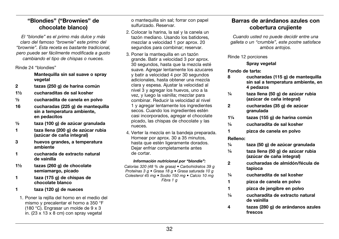# "Blondies" ("Brownies" de chocolate blanco)

*El "blondie" es el primo más dulce y más claro del famoso "brownie" este primo del "brownie". Esta receta es bastante tradicional, pero puede ser fácilmente modificada a gusto cambiando el tipo de chispas o nueces.*

Rinde 24 "blondies"

### Mantequilla sin sal suave o spray vegetal

- 2 tazas (250 g) de harina común
- 1½ cucharaditas de sal kosher
- ½ cucharadita de canela en polvo
- 16 cucharadas (225 g) de mantequilla sin a temperatura ambiente, en pedacitos
- ½ taza (100 g) de azúcar granulada
- 1 taza llena (200 g) de azúcar rubia (azúcar de caña integral)
- 3 huevos grandes, a temperatura ambiente
- 1 cucharada de extracto natural de vainilla
- 1½ tazas (260 g) de chocolate semiamargo, picado
- 1 taza (175 g) de chispas de chocolate blanco
- 1 taza (120 g) de nueces
- 1. Poner la rejilla del horno en el medio del mismo y precalentar el horno a 350 °F (180 °C). Engrasar un molde de 9 x 3 in. (23 x 13 x 8 cm) con spray vegetal

o mantequilla sin sal; forrar con papel sulfurizado. Reservar.

- 2. Colocar la harina, la sal y la canela un tazón mediano. Usando los batidores, mezclar a velocidad 1 por aprox. 20 segundos para combinar; reservar.
- 3. Poner la mantequilla en un tazón grande. Batir a velocidad 3 por aprox. 30 segundos, hasta que la mezcla esté suave. Agregar lentamente los azucares y batir a velocidad 4 por 30 segundos adicionales, hasta obtener una mezcla clara y espesa. Ajustar la velocidad al nivel 3 y agregar los huevos, uno a la vez, y luego la vainilla; mezclar para combinar. Reducir la velocidad al nivel 1 y agregar lentamente los ingredientes secos. Cuando los ingredientes estén casi incorporados, agregar el chocolate picado, las chispas de chocolate y las nueces.
- 4. Verter la mezcla en la bandeja preparada. Hornear por aprox. 30 a 35 minutos, hasta que estén ligeramente dorados. Dejar enfriar completamente antes de cortar.

### *Información nutricional por "blondie":*

*Calorías 320 (48 % de grasa) • Carbohidratos 39 g Proteínas 3 g • Grasa 18 g • Grasa saturada 10 g Colesterol 45 mg • Sodio 150 mg • Calcio 10 mg Fibra 1 g*

# Barras de arándanos azules con cobertura crujiente

*Cuando usted no puede decidir entre una galleta o un "crumble", este postre satisface ambos antojos.*

Rinde 12 porciones

Spray vegetal

### Fondo de tarta:

- 8 cucharadas (115 g) de mantequilla sin sal a temperatura ambiente, en 4 pedazos
- ¼ taza llena (50 g) de azúcar rubia (azúcar de caña integral)
- 2 cucharadas (35 g) de azúcar granulada
- 1¼ tazas (155 g) de harina común
- ¼ cucharadita de sal kosher
- 1 pizca de canela en polvo

### Relleno:

- ¼ taza (50 g) de azúcar granulada
- ¼ taza llena (50 g) de azúcar rubia (azúcar de caña integral)
- 2 cucharadas de almidón/fécula de tapioca
- ¼ cucharadita de sal kosher
- 1 pizca de canela en polvo
- 1 pizca de jengibre en polvo
- ¼ cucharadita de extracto natural de vainilla
- 4 tazas (280 g) de arándanos azules frescos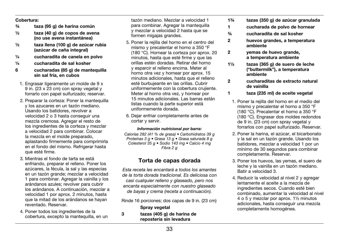#### Cobertura:

- ¾ taza (95 g) de harina común
- $\frac{1}{2}$  taza (40 g) de copos de avena (no use avena instantánea)
- ½ taza llena (100 g) de azúcar rubia (azúcar de caña integral)
- ¼ cucharadita de canela en polvo
- ¼ cucharadita de sal kosher
- 6 cucharadas (85 g) de mantequilla sin sal fría, en cubos
- 1. Engrasar ligeramente un molde de 9 x 9 in. (23 x 23 cm) con spray vegetal y forrarlo con papel sulfurizado; reservar.
- 2. Preparar la corteza: Poner la mantequilla y los azucares en un tazón mediano. Usando los batidores, revolver a velocidad 2 o 3 hasta conseguir una mezcla cremosa. Agregar el resto de los ingredientes de la corteza y mezclar a velocidad 2 para combinar. Colocar la mezcla en el molde preparado, aplastando firmemente para comprimirla en el fondo del mismo. Refrigerar hasta que esté firme.
- 3. Mientras el fondo de tarta se está enfriando, preparar el relleno. Poner los azúcares, la fécula, la sal y las especias en un tazón grande; mezclar a velocidad 1 para combinar. Agregar la vainilla y los arándanos azules; revolver para cubrir los arándanos. A continuación, mezclar a velocidad 1 por aprox. 2 minutos, hasta que la mitad de los arándanos se hayan reventado. Reservar.
- 4. Poner todos los ingredientes de la cobertura, excepto la mantequilla, en un

tazón mediano. Mezclar a velocidad 1 para combinar. Agregar la mantequilla y mezclar a velocidad 2 hasta que se formen migajas grandes.

- 5. Poner la rejilla del horno en el centro del mismo y precalentar el horno a 350 °F (180 °C). Hornear la corteza por aprox. 20 minutos, hasta que esté firme y que las orillas estén doradas. Retirar del horno y esparcir el relleno encima. Meter al horno otra vez y hornear por aprox. 15 minutos adicionales, hasta que el relleno esté burbujeante en las orillas. Cubrir uniformemente con la cobertura crujiente. Meter al horno otra vez, y hornear por 15 minutos adicionales. Las barras están listas cuando la parte superior está uniformemente dorada.
- 6. Dejar enfriar completamente antes de cortar y servir.

#### *Información nutricional por barra:*

*Calorías 282 (41 % de grasa) • Carbohidratos 39 g Proteínas 3 g • Grasa 13 g • Grasa saturada 8 g Colesterol 35 g • Sodio 143 mg • Calcio 4 mg Fibra 2 g*

## Torta de capas dorada

*Esta receta les encantará a todos los amantes de la torta dorada tradicional. Es deliciosa con casi cualquier relleno y glaseado, pero nos encanta especialmente con nuestro glaseado de bayas y crema (receta a continuación).* 

Rinde 16 porciones; dos capas de 9 in. (23 cm)

#### Spray vegetal

3 tazas (405 g) de harina de repostería sin levadura

- 1¾ tazas (350 g) de azúcar granulada
- 1 cucharada de polvo de hornear
- ¾ cucharadita de sal kosher
- 2 huevos grandes, a temperatura ambiente
- 2 yemas de huevo grande, a temperatura ambiente
- 1½ tazas (365 g) de suero de leche ("buttermilk"), a temperatura ambiente
- 2 cucharaditas de extracto natural de vainilla
- 1 taza (235 ml) de aceite vegetal
	- 1. Poner la rejilla del horno en el medio del mismo y precalentar el horno a 350 °F (180 °C). Precalentar el horno a 350 °F (180 °C). Engrasar dos moldes redondos de 9 in. (23 cm) con spray vegetal y forrarlos con papel sulfurizado. Reservar.
	- 2. Poner la harina, el azúcar, el bicarbonato y la sal en un tazón grande. Usando los batidores, mezclar a velocidad 1 por un mínimo de 30 segundos para combinar completamente. Reservar.
	- 3. Poner los huevos, las yemas, el suero de leche y la vainilla en un tazón mediano. Batir a velocidad 3.
	- 4. Reducir la velocidad al nivel 2 y agregar lentamente el aceite a la mezcla de ingredientes secos. Cuando esté bien combinado, aumentar la velocidad al nivel 4 o 5 y mezclar por aprox. 1½ minutos adicionales, hasta conseguir una mezcla completamente homogénea.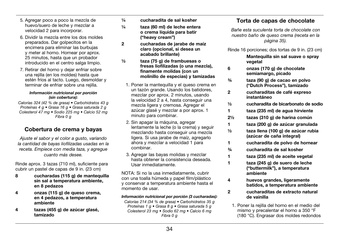- 5. Agregar poco a poco la mezcla de huevo/suero de leche y mezclar a velocidad 2 para incorporar.
- 6. Dividir la mezcla entre los dos moldes preparados. Dar golpecitos en la encimera para eliminar las burbujas y meter al horno. Hornear por aprox. 25 minutos, hasta que un probador introducido en el centro salga limpio.
- 7. Retirar del horno y dejar enfriar sobre una rejilla (en los moldes) hasta que estén fríos al tacto. Luego, desmoldar y terminar de enfriar sobre una rejilla.

#### *Información nutricional por porción (sin cobertura):*

*Calorías 324 (42 % de grasa) • Carbohidratos 43 g Proteínas 4 g • Grasa 16 g • Grasa saturada 2 g Colesterol 47 mg • Sodio 225 mg • Calcio 52 mg Fibra 0 g*

# Cobertura de crema y bayas

*Ajuste el sabor y el color a gusto, variando la cantidad de bayas liofilizadas usadas en la receta. Empiece con media taza, y agregue cuanto más desee.*

Rinde aprox. 3 tazas (710 ml), suficiente para cubrir un pastel de capas de 9 in. (23 cm)

- 8 cucharadas (115 g) de mantequilla sin sal a temperatura ambiente, en 8 pedazos
- 4 onzas (115 g) de queso crema, en 4 pedazos, a temperatura ambiente
- 4 tazas (455 g) de azúcar glasé, tamizado
- ¼ cucharadita de sal kosher
- ¼ taza (60 ml) de leche entera o crema líquida para batir ("heavy cream")
- 2 cucharadas de jarabe de maíz claro (opcional, si desea un acabado brillante)
- ½ taza (75 g) de frambuesas o fresas liofilizadas (o una mezcla), finamente molidas (con un molinillo de especias) y tamizadas
- 1. Poner la mantequilla y el queso crema en un tazón grande. Usando los batidores, mezclar por aprox. 2 minutos, usando la velocidad 2 a 4, hasta conseguir una mezcla ligera y cremosa. Agregar el azúcar glasé y mezclar a por aprox. 1 minuto para combinar.
- 2. Sin apagar la máquina, agregar lentamente la leche (o la crema) y seguir mezclando hasta conseguir una mezcla ligera. Si usa jarabe de maíz, agregarlo ahora y mezclar a velocidad 1 para combinar.
- 3. Agregar las bayas molidas y mezclar hasta obtener la consistencia deseada. Usar inmediatamente.

NOTA: Si no la usa inmediatamente, cubrir con una toalla húmeda y papel film/plástico y conservar a temperatura ambiente hasta el momento de usar.

### *Información nutricional por porción (3 cucharadas):*

*Calorías 214 (34 % de grasa) • Carbohidratos 35 g Proteínas 1 g • Grasa 8 g • Grasa saturada 5 g Colesterol 23 mg • Sodio 62 mg • Calcio 6 mg Fibra 0 g*

# Torta de capas de chocolate

*Bañe esta suculenta torta de chocolate con nuestro baño de queso crema (receta en la página 35).* 

Rinde 16 porciones; dos tortas de 9 in. (23 cm)

## Mantequilla sin sal suave o spray vegetal

- 6 onzas (170 g) de chocolate semiamargo, picado
- ¾ taza (90 g) de cacao en polvo ("Dutch Process"), tamizado
- 2 cucharaditas de café expreso instantáneo
- ½ cucharadita de bicarbonato de sodio
- 1 taza (235 ml) de agua hirviente
- 2½ tazas (310 g) de harina común
- 1 taza (200 g) de azúcar granulada
- ½ taza llena (100 g) de azúcar rubia (azúcar de caña integral)
- 1 cucharadita de polvo de hornear
- ¾ cucharadita de sal kosher
- 1 taza (235 ml) de aceite vegetal
- 1 taza (245 g) de suero de leche ("buttermilk"), a temperatura ambiente
- 4 huevos grandes, ligeramente batidos, a temperatura ambiente
- 2 cucharaditas de extracto natural de vainilla
	- 1. Poner la rejilla del horno en el medio del mismo y precalentar el horno a 350 °F (180 °C). Engrasar dos moldes redondos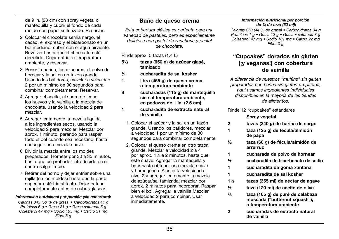de 9 in. (23 cm) con spray vegetal o mantequilla y cubrir el fondo de cada molde con papel sulfurizado. Reservar.

- 2. Colocar el chocolate semiamargo, el cacao, el expreso y el bicarbonato en un bol mediano; cubrir con el agua hirviente. Revolver hasta que el chocolate esté derretido. Dejar enfriar a temperatura ambiente, y reservar.
- 3. Poner la harina, los azucares, el polvo de hornear y la sal en un tazón grande. Usando los batidores, mezclar a velocidad 2 por un mínimo de 30 segundos para combinar completamente. Reservar.
- 4. Agregar el aceite, el suero de leche, los huevos y la vainilla a la mezcla de chocolate, usando la velocidad 2 para mezclar.
- 5. Agregar lentamente la mezcla líquida a los ingredientes secos, usando la velocidad 2 para mezclar. Mezclar por aprox. 1 minuto, parando para raspar todo el bol cuando sea necesario, hasta conseguir una mezcla suave.
- 6. Dividir la mezcla entre los moldes preparados. Hornear por 30 a 35 minutos, hasta que un probador introducido en el centro salga limpio.
- 7. Retirar del horno y dejar enfriar sobre una rejilla (en los moldes) hasta que la parte superior esté fría al tacto. Dejar enfriar completamente antes de cubrir/glasear.

### *Información nutricional por porción (sin cobertura):*

*Calorías 345 (50 % de grasa) • Carbohidratos 41 g Proteínas 6 g • Grasa 21 g • Grasa saturada 5 g Colesterol 47 mg • Sodio 195 mg • Calcio 31 mg Fibra 3 g*

## Baño de queso crema

*Esta cobertura clásica es perfecta para una variedad de pasteles, pero es especialmente deliciosa con pastel de zanahoria y pastel de chocolate.*

Rinde aprox. 5 tazas (1.4 L)

- 5½ tazas (650 g) de azúcar glasé, tamizado
- ¼ cucharadita de sal kosher
- 1 libra (455 g) de queso crema. a temperatura ambiente
- 8 cucharadas (115 g) de mantequilla sin sal temperatura ambiente, en pedazos de 1 in. (2.5 cm)
- 1 cucharadita de extracto natural de vainilla
	- 1. Colocar el azúcar y la sal en un tazón grande. Usando los batidores, mezclar a velocidad 1 por un mínimo de 30 segundos para combinar completamente.
	- 2. Colocar el queso crema en otro tazón grande. Mezclar a velocidad 2 a 4 por aprox. 1½ a 2 minutos, hasta que esté suave. Agregar la mantequilla y batir hasta obtener una mezcla suave y homogénea. Ajustar la velocidad al nivel 2 y agregar lentamente la mezcla de azúcar/sal tamizada; mezclar por aprox. 2 minutos para incorporar. Raspar bien el bol. Agregar la vainilla Mezclar a velocidad 2 para combinar. Usar inmediatamente.

#### *Información nutricional por porción de ¼ de taza (60 ml):*

*Calorías 250 (44 % de grasa) • Carbohidratos 34 g Proteínas 1 g • Grasa 12 g • Grasa • saturada 8 g Colesterol 47 mg • Sodio 101 mg • Calcio 22 mg Fibra 0 g*

## "Cupcakes" dorados sin gluten (¡y veganas!) con cobertura de vainilla

*A diferencia de nuestros "muffins" sin gluten preparados con harina sin gluten preparada, aquí usamos ingredientes individuales disponibles en la mayoría de las tiendas de alimentos.*

Rinde 12 "cupcakes" estándares

### Spray vegetal

- 2 tazas (240 g) de harina de sorgo
- 1 taza (125 g) de fécula/almidón de papa
- ½ taza (60 g) de fécula/almidón de arrurruz
- 1 cucharada de polvo de hornear
- ½ cucharadita de bicarbonato de sodio
- 1 cucharadita de goma xantana
- 1 cucharadita de sal kosher
- 1½ tazas (355 ml) de néctar de agave
- ½ taza (120 ml) de aceite de oliva
- ¾ taza (165 g) de puré de calabaza moscada ("butternut squash"), a temperatura ambiente
- 2 cucharadas de extracto natural de vainilla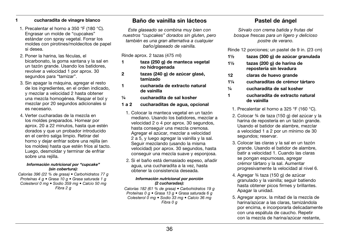### 1 cucharadita de vinagre blanco

- 1. Precalentar el horno a 350 °F (180 °C). Engrasar un molde de "cupcakes" estándar con spray vegetal. Forrar los moldes con pirotines/moldecitos de papel si desea.
- 2. Poner la harina, las féculas, el bicarbonato, la goma xantana y la sal en un tazón grande. Usando los batidores, revolver a velocidad 1 por aprox. 30 segundos para "tamizar".
- 3. Sin apagar la máquina, agregar el resto de los ingredientes, en el orden indicado, y mezclar a velocidad 2 hasta obtener una mezcla homogénea. Raspar el bol y mezclar por 20 segundos adicionales si es necesario.
- 4. Verter cucharadas de la mezcla en los moldes preparados. Hornear por aprox. 20 a 22 minutos, hasta que estén dorados y que un probador introducido en el centro salga limpio. Retirar del horno y dejar enfriar sobre una rejilla (en los moldes) hasta que estén fríos al tacto. Luego, desmoldar y terminar de enfriar sobre una reiilla.

#### *Información nutricional por "cupcake" (sin cobertura):*

*Calorías 396 (22 % de grasa) • Carbohidratos 77 g Proteínas 4 g • Grasa 10 g • Grasa saturada 1 g Colesterol 0 mg • Sodio 359 mg • Calcio 50 mg Fibra 2 g*

## Baño de vainilla sin lácteos

*Este glaseado se combina muy bien con nuestros "cupcakes" dorados sin gluten, pero también es una gran alternativa a cualquier baño/glaseado de vainilla.*

Rinde aprox. 2 tazas (475 ml)

- 1 taza (250 g) de manteca vegetal no hidrogenada
- 2 tazas (240 g) de azúcar glasé, tamizado
- 1 cucharada de extracto natural de vainilla
- ¼ cucharadita de sal kosher

## 1 a 2 cucharaditas de agua, opcional

- 1. Colocar la manteca vegetal en un tazón mediano. Usando los batidores, mezclar a velocidad 2 o 4 por aprox. 30 segundos, hasta conseguir una mezcla cremosa. Agregar el azúcar, mezclar a velocidad 2 a 5, y luego agregar la vainilla y la sal. Seguir mezclando (usando la misma velocidad) por aprox. 30 segundos, hasta conseguir una mezcla suave y esponjosa.
- 2. Si el baño está demasiado espeso, añadir agua, una cucharadita a la vez, hasta obtener la consistencia deseada.

#### *Información nutricional por porción (2 cucharadas):*

*Calorías 182 (61 % de grasa) • Carbohidratos 19 g Proteínas 0 g • Grasa 13 g • Grasa saturada 6 g Colesterol 0 mg • Sodio 33 mg • Calcio 36 mg Fibra 0 g*

# Pastel de ángel

*Sírvalo con crema batida y frutas del bosque frescas para un ligero y delicioso postre de verano.*

Rinde 12 porciones; un pastel de 9 in. (23 cm)

- 1½ tazas (300 g) de azúcar granulada
- 1½ tazas (200 g) de harina de repostería sin levadura
- 12 claras de huevo grande
- 1¼ cucharaditas de crémor tártaro
- ¼ cucharadita de sal kosher
- 1 cucharadita de extracto natural de vainilla
	- 1. Precalentar el horno a 325 °F (160 °C).
	- 2. Colocar ¾ de taza (150 g) del azúcar y la harina de repostería en un tazón grande. Usando el batidor de alambre, mezclar a velocidad 1 a 2 por un mínimo de 30 segundos; reservar.
	- 3. Colocar las claras y la sal en un tazón grande. Usando el batidor de alambre, batir a velocidad 1. Cuando las claras se pongan espumosas, agregar crémor tártaro y la sal. Aumentar progresivamente la velocidad al nivel 6.
	- 4. Agregar ¾ taza (150 g) de azúcar granulado y la vainilla; seguir batiendo hasta obtener picos firmes y brillantes. Apagar la unidad.
	- 5. Agregar aprox. la mitad de la mezcla de harina/azúcar a las claras, tamizándola por encima, e incorporarla delicadamente con una espátula de caucho. Repetir con la mezcla de harina/azúcar restante,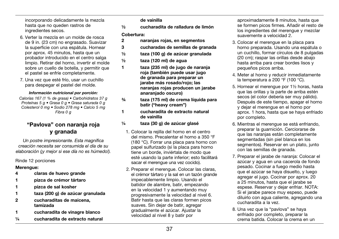incorporando delicadamente la mezcla hasta que no queden rastros de ingredientes secos.

- 6. Verter la mezcla en un molde de rosca de 9 in. (23 cm) no engrasado. Suavizar la superficie con una espátula. Hornear por aprox. 45 minutos, hasta que un probador introducido en el centro salga limpio. Retirar del horno, invertir el molde sobre un cuello de botella, y permitir que el pastel se enfríe completamente.
- 7. Una vez que esté frío, usar un cuchillo para despegar el pastel del molde.

### *Información nutricional por porción:*

*Calorías 167 (1 % de grasa) • Carbohidratos 37 g Proteínas 5 g • Grasa 0 g • Grasa saturada 0 g Colesterol 0 mg • Sodio 278 mg • Calcio 5 mg Fibra 0 g*

# "Pavlova" con naranja roja y granada

*Un postre impresionante. Esta magnífica creación necesita ser consumida el día de su elaboración (¡y mejor si ese día no es húmedo!).*

## Rinde 12 porciones

## Merengue:

- 4 claras de huevo grande
- 1 pizca de crémor tártaro
- 1 pizca de sal kosher
- 1 taza (200 g) de azúcar granulada
- 2 cucharaditas de maicena, tamizada
- 1 cucharadita de vinagre blanco
- ¼ cucharadita de extracto natural

## de vainilla

½ cucharadita de ralladura de limón

## Cobertura:

- 2 naranjas rojas, en segmentos
- 3 cucharadas de semillas de granada
- ½ taza (100 g) de azúcar granulada
- $\frac{1}{2}$  taza (120 ml) de agua
- 1 taza (235 ml) de jugo de naranja roja (también puede usar jugo de granada para preparar un jarabe más rosado/rojo; las naranjas rojas producen un jarabe anaranjado oscuro)
- ¾ taza (175 ml) de crema líquida para batir ("heavy cream")
- 1 cucharadita de extracto natural de vainilla
- ¼ taza (30 g) de azúcar glasé
	- 1. Colocar la rejilla del horno en el centro del mismo. Precalentar el horno a 350 °F (180 °C). Forrar una placa para horno con papel sulfurizado (si la placa para horno tiene un borde, inviértala de modo que esté usando la parte inferior; esto facilitará sacar el merengue una vez cocido).
	- 2. Preparar el merengue. Colocar las claras, el crémor tártaro y la sal en un tazón grande impecablemente limpio. Usando el batidor de alambre, batir, empezando en la velocidad 1 y aumentando muy progresivamente la velocidad al nivel 6. Batir hasta que las claras formen picos suaves. Sin dejar de batir, agregar gradualmente el azúcar. Ajustar la velocidad al nivel 8 y batir por

aproximadamente 8 minutos, hasta que se formen picos firmes. Añadir el resto de los ingredientes del merengue y mezclar suavemente a velocidad 2.

- 3. Colocar el merengue en la placa para horno preparada. Usando una espátula o un cuchillo, formar círculos de 8 pulgadas (20 cm); raspar las orillas desde abajo hasta arriba para crear bordes lisos y pequeños picos arriba.
- 4. Meter al horno y reducir inmediatamente la temperatura a 200 °F (100 °C).
- 5. Hornear el merengue por 1½ horas, hasta que las orillas y la parte de arriba estén secos (el color debería ser muy pálido). Después de este tiempo, apagar el horno y dejar el merengue en el horno por aprox. 1 hora, hasta que se haya enfriado por completo.
- 6. Mientras el merengue se está enfriando, preparar la guarnición. Cerciorarse de que las naranjas están completamente segmentadas (sin piel blanca en los segmentos). Reservar en un plato, junto con las semillas de granada.
- 7. Preparar el jarabe de naranja: Colocar el azúcar y agua en una cacerola de fondo pesado. Cocinar a fuego medio hasta que el azúcar se haya disuelto, y luego agregar el jugo. Cocinar por aprox. 20 a 25 minutos, hasta que el jarabe se espese. Reservar y dejar enfriar. NOTA: Si el jarabe parece muy espeso, puede diluirlo con agua caliente, agregando una cucharadita a la vez.
- 8. Una vez que la "pavlova" se haya enfriado por completo, preparar la crema batida. Colocar la crema en un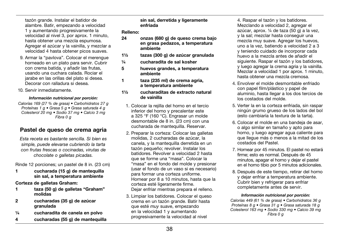tazón grande. Instalar el batidor de alambre. Batir, empezando a velocidad 1 y aumentando progresivamente la velocidad al nivel 3, por aprox. 1 minuto, hasta obtener una mezcla espumosa. Agregar el azúcar y la vainilla, y mezclar a velocidad 4 hasta obtener picos suaves.

- 9. Armar la "pavlova". Colocar el merengue horneado en un plato para servir. Cubrir con crema batida, y añadir las frutas, usando una cuchara calada. Rociar el jarabe en las orillas del plato si desea. Decorar con ralladura si desea.
- 10. Servir inmediatamente.

## *Información nutricional por porción:*

*Calorías 169 (27 % de grasa) • Carbohidratos 27 g Proteínas 1 g • Grasa 5 g • Grasa saturada 4 g Colesterol 20 mg • Sodio 37 mg • Calcio 3 mg Fibra 0 g*

# Pastel de queso de crema agria

*Esta receta es bastante sencilla. Si bien es simple, puede elevarse cubriendo la tarta con frutas frescas o cocinadas, virutas de chocolate o galletas picadas.* 

Rinde 12 porciones; un pastel de 8 in. (23 cm)

1 cucharada (15 g) de mantequilla sin sal, a temperatura ambiente

Corteza de galletas Graham:

- 1 taza (50 g) de galletas "Graham" molidas
- 2 cucharadas (35 g) de azúcar granulada
- ¼ cucharadita de canela en polvo
- 4 cucharadas (55 g) de mantequilla

sin sal, derretida y ligeramente enfriada

## Relleno:

- 24 onzas (680 g) de queso crema bajo en grasa pedazos, a temperatura ambiente
- 1½ tazas (300 g) de azúcar granulada
- ¼ cucharadita de sal kosher
- 5 huevos grandes, a temperatura ambiente
- 1 taza (235 ml) de crema agria, a temperatura ambiente
- 1½ cucharaditas de extracto natural de vainilla
	- 1. Colocar la rejilla del horno en el tercio inferior del horno y precalentar este a 325 °F (160 °C). Engrasar un molde desmontable de 8 in. (23 cm) con una cucharada de mantequilla. Reservar.
	- 2. Preparar la corteza: Colocar las galletas molidas, 2 cucharadas de azúcar, la canela, y la mantequilla derretida en un tazón pequeño; revolver. Instalar los batidores. Revolver a velocidad 2 hasta que se forme una "masa". Colocar la "masa" en el fondo del molde y presionar (usar el fondo de un vaso si es necesario) para formar una corteza uniforme. Hornear por 8 a 10 minutos, hasta que la corteza esté ligeramente firme. Dejar enfriar mientras prepara el relleno.
	- 3. Limpiar los batidores. Colocar el queso crema en un tazón grande. Batir hasta que esté *muy* suave, empezando en la velocidad 1 y aumentando progresivamente la velocidad al nivel

4. Raspar el tazón y los batidores. Mezclando a velocidad 2, agregar el azúcar, aprox. ¼ de taza (50 g) a la vez, y la sal; mezclar hasta conseguir una mezcla muy suave. Agregar los huevos. uno a la vez, batiendo a velocidad 2 a 3 y teniendo cuidado de incorporar cada huevo a la mezcla antes de añadir el siguiente. Raspar el tazón y los batidores, y luego agregar la crema agria y la vainilla. Mezclar a velocidad 1 por aprox. 1 minuto, hasta obtener una mezcla cremosa.

- 4. Envolver el molde desmontable enfriado con papel film/plástico y papel de aluminio, hasta llegar a los dos tercios de los costados del molde.
- 5. Verter la en la corteza enfriada, sin raspar ningún grumo grueso de los lados del bol (esto cambiaría la textura de la tarta).
- 6. Colocar el molde en una bandeja de asar, o algo similar en tamaño y apto para horno, y luego agregar agua caliente para que llegue más o menos a la mitad de los costados del Pastel.
- 7. Hornear por 45 minutos. El pastel no estará firme; esto es normal. Después de 45 minutos, apagar el horno y dejar el pastel en el horno tibio por 5 minutos adicionales.
- 8. Después de este tiempo, retirar del horno y dejar enfriar a temperatura ambiente. Cubrir bien y refrigerar para enfriar completamente antes de servir.

## *Información nutricional por porción:*

*Calorías 449 (61 % de grasa) • Carbohidratos 36 g Proteínas 8 g • Grasa 31 g • Grasa saturada 18 g Colesterol 163 mg • Sodio 330 mg • Calcio 39 mg Fibra 0 g*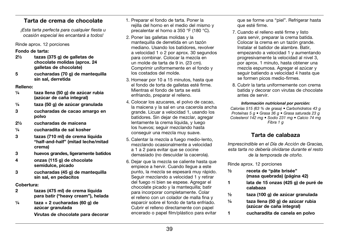## Tarta de crema de chocolate

*¡Esta tarta perfecta para cualquier fiesta u ocasión especial les encantará a todos!*

## Rinde aprox. 12 porciones

## Fondo de tarta:

- 2½ tazas (375 g) de galletas de chocolate molidas (aprox. 24 galletas de chocolate)
- 5 cucharadas (70 g) de mantequilla sin sal, derretida

## Relleno:

- ¼ taza llena (50 g) de azúcar rubia (azúcar de caña integral)
- ¼ taza (50 g) de azúcar granulada
- 3 cucharadas de cacao amargo en polvo
- 2½ cucharadas de maicena
- ¼ cucharadita de sal kosher
- 3 tazas (710 ml) de crema líquida "half-and-half" (mitad leche/mitad crema)
- 3 huevos grandes, ligeramente batidos
- 4 onzas (115 g) de chocolate semidulce, picado
- 3 cucharadas (45 g) de mantequilla sin sal, en pedacitos

## Cobertura:

- 2 tazas (475 ml) de crema líquida para batir ("heavy cream"), helada
- $\frac{1}{4}$  taza + 2 cucharadas (60 g) de azúcar granulada

Virutas de chocolate para decorar

- 1. Preparar el fondo de tarta. Poner la rejilla del horno en el medio del mismo y precalentar el horno a 350 °F (180 °C).
- 2. Poner las galletas molidas y la mantequilla de derretida en un tazón mediano. Usando los batidores, revolver a velocidad 1 o 2 por aprox. 30 segundos para combinar. Colocar la mezcla en un molde de tarta de 9 in. (23 cm). Comprimir uniformemente en el fondo y los costados del molde.
- 3. Hornear por 10 a 15 minutos, hasta que el fondo de torta de galletas esté firme. Mientras el fondo de tarta se está enfriando, preparar el relleno.
- 4. Colocar los azucares, el polvo de cacao, la maicena y la sal en una cacerola ancha grande. Licuar a velocidad 1, usando los batidores. Sin dejar de mezclar, agregar lentamente la crema líquida, y luego los huevos; seguir mezclando hasta conseguir una mezcla muy suave.
- 5. Calentar la mezcla a fuego medio-lento, mezclando ocasionalmente a velocidad a 1 a 2 para evitar que se cocine demasiado (no descuidar la cacerola).
- 6. Dejar que la mezcla se caliente hasta que empiece a hervir. Cuando llegue a este punto, la mezcla se espesará muy rápido. Seguir mezclando a velocidad 1 y retirar del fuego ni bien se espese. Agregar el chocolate picado y la mantequilla; batir para incorporar completamente. Colar el relleno con un colador de malla fina y esparcir sobre el fondo de tarta enfriado. Cubrir el relleno directamente con papel encerado o papel film/plástico para evitar

que se forme una "piel". Refrigerar hasta que esté firme.

- 7. Cuando el relleno esté firme y listo para servir, preparar la crema batida. Colocar la crema en un tazón grande. Instalar el batidor de alambre. Batir, empezando a velocidad 1 y aumentando progresivamente la velocidad al nivel 3, por aprox. 1 minuto, hasta obtener una mezcla espumosa. Agregar el azúcar y seguir batiendo a velocidad 4 hasta que se formen picos medio-firmes.
- 8. Cubrir la tarta uniformemente con crema batida y decorar con virutas de chocolate antes de servir.

### *Información nutricional por porción:*

*Calorías 515 (63 % de grasa) • Carbohidratos 43 g Proteínas 5 g • Grasa 36 g • Grasa saturada 23 g Colesterol 142 mg • Sodio 231 mg • Calcio 74 mg Fibra 1 g*

## Tarta de calabaza

*Imprescindible en el Día de Acción de Gracias, esta tarta no debería olvidarse durante el resto de la temporada de otoño.*

Rinde aprox. 12 porciones

- ½ receta de "pâte brisée" (masa quebrada) (página 42)
- 1 lata de 15 onzas (425 g) de puré de calabaza
- ½ taza (100 g) de azúcar granulada
- ¼ taza llena (50 g) de azúcar rubia (azúcar de caña integral)
- 1 cucharadita de canela en polvo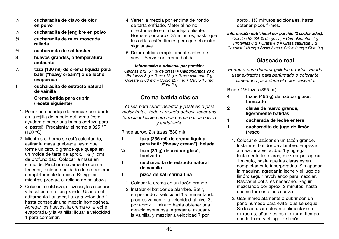- ¼ cucharadita de clavo de olor en polvo
- ¼ cucharadita de jengibre en polvo
- ¹⁄8 cucharadita de nuez moscada rallada
- ¾ cucharadita de sal kosher
- 3 huevos grandes, a temperatura ambiente
- ½ taza (120 ml) de crema líquida para batir ("heavy cream") o de leche evaporada
- 1 cucharadita de extracto natural de vainilla

## Crema batida para cubrir (receta siguiente)

- 1. Poner una bandeja de hornear con borde en la rejilla del medio del horno (esto ayudará a hacer una buena corteza para el pastel). Precalentar el horno a 325 °F (160 °C).
- 2. Mientras el horno se está calentando, estirar la masa quebrada hasta que forme un círculo grande que quepa en un molde de tarta de aprox. 1½ (4 cm) de profundidad. Colocar la masa en el molde. Pinchar suavemente con un tenedor, teniendo cuidado de no perforar completamente la masa. Refrigerar mientras prepara el relleno de calabaza.
- 3. Colocar la calabaza, el azúcar, las especias y la sal en un tazón grande. Usando el aditamento licuador, licuar a velocidad 1 hasta conseguir una mezcla homogénea. Agregar los huevos, la crema (o la leche evaporada) y la vainilla; licuar a velocidad 1 para combinar.
- 4. Verter la mezcla por encima del fondo de tarta enfriado. Meter al horno, directamente en la bandeja caliente. Hornear por aprox. 35 minutos, hasta que las orillas estén firmes pero que el centro siga suave.
- 5. Dejar enfriar completamente antes de servir. Servir con crema batida.

### *Información nutricional por porción:*

*Calorías 212 (51 % de grasa) • Carbohidratos 23 g Proteínas 3 g • Grasa 12 g • Grasa saturada 7 g Colesterol 80 mg • Sodio 257 mg • Calcio 15 mg Fibra 2 g*

## Crema batida clásica

*Ya sea para cubrir helados y pasteles o para mojar frutas, todo el mundo debería tener una fórmula infalible para una crema batida básica y endulzada.*

Rinde aprox. 2¼ tazas (530 ml)

- 1 taza (235 ml) de crema líquida para batir ("heavy cream"), helada
- ¼ taza (30 g) de azúcar glasé, tamizado
- 1 cucharadita de extracto natural de vainilla
- 1 pizca de sal marina fina
	- 1. Colocar la crema en un tazón grande.
	- 2. Instalar el batidor de alambre. Batir, empezando a velocidad 1 y aumentando progresivamente la velocidad al nivel 3, por aprox. 1 minuto hasta obtener una mezcla espumosa. Agregar el azúcar y la vainilla, y mezclar a velocidad 7 por

aprox. 1½ minutos adicionales, hasta obtener picos firmes.

*Información nutricional por porción (2 cucharadas): Calorías 52 (84 % de grasa) • Carbohidratos 2 g Proteínas 0 g • Grasa 4 g • Grasa saturada 3 g* 

*Colesterol 18 mg • Sodio 8 mg • Calcio 0 mg • Fibra 0 g*

# Glaseado real

*Perfecto para decorar galletas o tortas. Puede usar extractos para perfumarlo o colorante alimentario para darle el color deseado.*

Rinde 1½ tazas (355 ml)

- 4 tazas (455 g) de azúcar glasé, tamizado
- 2 claras de huevo grande, ligeramente batidas
- 1 cucharada de leche entera
- 1 cucharadita de jugo de limón fresco
- 1. Colocar el azúcar en un tazón grande. Instalar el batidor de alambre. Empezar a mezclar a velocidad 1 y agregar lentamente las claras; mezclar por aprox. 1 minuto, hasta que las claras estén completamente incorporadas. Sin apagar la máquina, agregar la leche y el jugo de limón; seguir revolviendo para mezclar. Raspar el bol si es necesario. Seguir mezclando por aprox. 2 minutos, hasta que se formen picos suaves.
- 2. Usar inmediatamente o cubrir con un paño húmedo para evitar que se seque. Si desea usar colorante alimentario o extractos, añadir estos al mismo tiempo que la leche y el jugo de limón.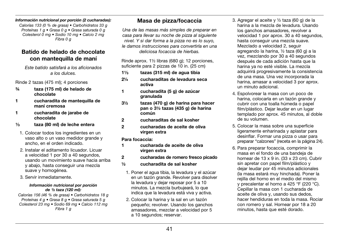#### *Información nutricional por porción (2 cucharadas):*

*Calorías 133 (0 % de grasa) • Carbohidratos 33 g Proteínas 1 g • Grasa 0 g • Grasa saturada 0 g Colesterol 0 mg • Sodio 10 mg • Calcio 2 mg Fibra 0 g*

## Batido de helado de chocolate con mantequilla de maní

*Este batido satisfará a los aficionados a los dulces.* 

Rinde 2 tazas (475 ml); 4 porciones

- ¾ taza (175 ml) de helado de chocolate
- 1 cucharadita de mantequilla de maní cremosa
- 1 cucharadita de jarabe de chocolate
- ¹∕³ taza (80 ml) de leche entera
- 1. Colocar todos los ingredientes en un vaso alto o un vaso medidor grande y ancho, en el orden indicado.
- 2. Instalar el aditamento licuador. Licuar a velocidad 1 por 30 a 40 segundos, usando un movimiento suave hacia arriba y abajo, hasta conseguir una mezcla suave y homogénea.
- 3. Servir inmediatamente.

#### *Información nutricional por porción de ½ taza (120 ml):*

*Calorías 156 (46 % de grasa) • Carbohidratos 18 g Proteínas 4 g • Grasa 8 g • Grasa saturada 5 g Colesterol 23 mg • Sodio 69 mg • Calcio 112 mg Fibra 1 g*

## Masa de pizza/focaccia

*Una de las masas más simples de preparar en casa para llevar su noche de pizza al siguiente nivel. Y si dar forma a la pizza no es lo suyo, le damos instrucciones para convertirla en una deliciosa focaccia de hierbas.*

Rinde aprox. 1½ libras (680 g); 12 porciones, suficiente para 2 pizzas de 10 in. (25 cm)

- $1\frac{1}{3}$  tazas (315 ml) de agua tibia
- 2¼ cucharaditas de levadura seca activa
- 1 cucharadita (5 g) de azúcar granulada
- 3½ tazas (470 g) de harina para hacer pan o 3½ tazas (435 g) de harina común
- 2 cucharaditas de sal kosher
- 2 cucharadas de aceite de oliva virgen extra

### Para focaccia:

- 1 cucharada de aceite de oliva virgen extra
- 2 cucharadas de romero fresco picado
- ½ cucharadita de sal kosher
	- 1. Poner el agua tibia, la levadura y el azúcar en un tazón grande. Revolver para disolver la levadura y dejar reposar por 5 a 10 minutos. La mezcla burbujeará, lo que indica que la levadura está viva y activa.
	- 2. Colocar la harina y la sal en un tazón pequeño; revolver. Usando los ganchos amasadores, mezclar a velocidad por 5 a 10 segundos; reservar.
- 3. Agregar el aceite y ½ taza (60 g) de la harina a la mezcla de levadura. Usando los ganchos amasadores, revolver a velocidad 1 por aprox. 30 a 40 segundos, hasta conseguir una mezcla suave. Mezclado a velocidad 2, seguir agregando la harina, ½ taza (60 g) a la vez, mezclando por 30 a 40 segundos después de cada adición hasta que la harina ya no esté visible. La mezcla adquirirá progresivamente la consistencia de una masa. Una vez incorporada la harina, amasar a velocidad 3 por aprox. un minuto adicional.
- 4. Espolvorear la masa con un poco de harina, colocarla en un tazón grande y cubrir con una toalla húmeda o papel film/plástico. Dejar leudar en un lugar templado por aprox. 45 minutos, al doble de su volumen.
- 5. Colocar la masa sobre una superficie ligeramente enharinada y aplastar para desinflar. Formar una pizza o usar para preparar "calzones" (receta en la página 24).
- 6. Para preparar focaccia, comprimir la masa en el fondo de una bandeja de hornear de 13 x 9 in. (33 x 23 cm). Cubrir sin apretar con papel film/plástico y dejar leudar por 45 minutos adicionales (la masa estará muy hinchada). Poner la rejilla del horno en el medio del mismo y precalentar el horno a 425 °F (220 °C). Cepillar la masa con 1 cucharada de aceite de oliva y, usando sus dedos, hacer hendiduras en toda la masa. Rociar con romero y sal. Hornear por 18 a 20 minutos, hasta que esté dorado.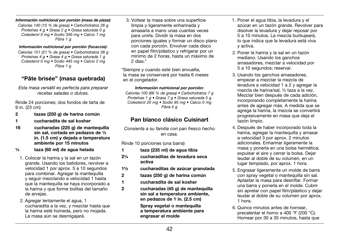#### *Información nutricional por porción (masa de pizza):*

*Calorías 140 (15 % de grasa) • Carbohidratos 26 g Proteínas 4 g • Grasa 2 g • Grasa saturada 0 g Colesterol 0 mg • Sodio 356 mg • Calcio 1 mg Fibra 1 g* 

#### *Información nutricional por porción (focaccia):*

*Calorías 151 (21 % de grasa) • Carbohidratos 26 g Proteínas 4 g • Grasa 4 g • Grasa saturada 1 g Colesterol 0 mg • Sodio 445 mg • Calcio 2 mg Fibra 1 g*

# "Pâte brisée" (masa quebrada)

*Esta masa versátil es perfecta para preparar recetas saladas o dulces.*

Rinde 24 porciones; dos fondos de tarta de 9 in. (23 cm)

- 2 tazas (250 g) de harina común
- 1 cucharadita de sal kosher
- 16 cucharadas (225 g) de mantequilla sin sal, cortada en pedazos de ½ in. (1.5 cm) y dejada a temperatura ambiente por 15 minutos
- ¼ taza (60 ml) de agua helada
- 1. Colocar la harina y la sal en un tazón grande. Usando los batidores, revolver a velocidad 1 por aprox. 5 a 10 segundos para combinar. Agregar la mantequilla y seguir mezclando a velocidad 1 hasta que la mantequilla se haya incorporado a la harina y que forme bolitas del tamaño de arvejas.
- 2. Agregar lentamente el agua, 1 cucharadita a la vez, y mezclar hasta que la harina esté húmeda, pero no mojada. La masa aún se desmigajará.

3. Voltear la masa sobre una superficie limpia y ligeramente enharinada y amasarla a mano unas cuantas veces para unirla. Dividir la masa en dos porciones iguales y formar un disco plano con cada porción. Envolver cada disco en papel film/plástico y refrigerar por un mínimo de 2 horas, hasta un máximo de 2 días $*$ 

\*Siempre y cuando esté bien envuelta, la masa se conservará por hasta 6 meses en el congelador.

#### *Información nutricional por porción:*

*Calorías 100 (66 % de grasa) • Carbohidratos 7 g Proteínas 1 g • Grasa 7 g • Grasa saturada 5 g Colesterol 20 mg • Sodio 95 mg • Calcio 0 mg Fibra 0 g*

## Pan blanco clásico Cuisinart

*Consienta a su familia con pan fresco hecho en casa.*

Rinde 10 porciones (una barra)

- 1 taza (235 ml) de agua tibia
- 2¼ cucharaditas de levadura seca activa
- 1½ cucharaditas de azúcar granulada
- 2 tazas (250 g) de harina común
- 1 cucharadita de sal kosher
- 2 cucharadas (45 g) de mantequilla sin sal a temperatura ambiente, en pedazos de 1 in. (2.5 cm)

Spray vegetal o mantequilla a temperatura ambiente para engrasar el molde

- 1. Poner el agua tibia, la levadura y el azúcar en un tazón grande. Revolver para disolver la levadura y dejar reposar por 5 a 10 minutos. La mezcla burbujeará, lo que indica que la levadura está viva y activa.
- 2. Poner la harina y la sal en un tazón mediano. Usando los ganchos amasadores, mezclar a velocidad por 5 a 10 segundos; reservar.
- 3. Usando los ganchos amasadores, empezar a mezclar la mezcla de levadura a velocidad 1 a 2 y agregar la mezcla de harina/sal, ½ taza a la vez. Mezclar bien después de cada adición, incorporando completamente la harina antes de agregar más. A medida que se agrega la harina, la mezcla se convertirá progresivamente en masa que deja el tazón limpio.
- 4. Después de haber incorporado toda la harina, agregar la mantequilla y amasar a velocidad 3 por aprox. 2 minutos adicionales. Enharinar ligeramente la masa y ponerla en una bolsa hermética; expulsar el aire y cerrar la bolsa. Dejar leudar al doble de su volumen, en un lugar templado, por aprox. 1 hora.
- 5. Engrasar ligeramente un molde de barra con spray vegetal o mantequilla sin sal. Aplastar la masa para desinflar. Formar una barra y ponerla en el molde. Cubrir sin apretar con papel film/plástico y dejar leudar al doble de su volumen por aprox. 1 hora.
- 6. Quince minutos antes de hornear, precalentar el horno a 400 °F (200 °C). Hornear por 30 a 35 minutos, hasta que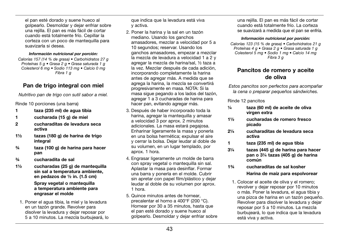el pan esté dorado y suene hueco al golpearlo. Desmoldar y dejar enfriar sobre una rejilla. El pan es más fácil de cortar cuando está totalmente frío. Cepillar la corteza con un poco de mantequilla para suavizarla si desea.

#### *Información nutricional por porción:*

*Calorías 157 (14 % de grasa) • Carbohidratos 27 g Proteínas 5 g • Grasa 2 g • Grasa saturada 1 g Colesterol 6 mg • Sodio 113 mg • Calcio 0 mg Fibra 1 g*

# Pan de trigo integral con miel

*Nutritivo pan de trigo con sutil sabor a miel.*

Rinde 10 porciones (una barra)

- 1 taza (235 ml) de agua tibia
- 1 cucharada (15 g) de miel
- 2 cucharaditas de levadura seca activa
- 1½ tazas (180 g) de harina de trigo integral
- ¾ taza (100 g) de harina para hacer pan
- ¾ cucharadita de sal
- 1½ cucharadas (25 g) de mantequilla sin sal a temperatura ambiente, en pedazos de ½ in. (1.5 cm)

### Spray vegetal o mantequilla a temperatura ambiente para engrasar el molde

1. Poner el agua tibia, la miel y la levadura en un tazón grande. Revolver para disolver la levadura y dejar reposar por 5 a 10 minutos. La mezcla burbujeará, lo que indica que la levadura está viva y activa.

- 2. Poner la harina y la sal en un tazón mediano. Usando los ganchos amasadores, mezclar a velocidad por 5 a 10 segundos; reservar. Usando los ganchos amasadores, empezar a mezclar la mezcla de levadura a velocidad 1 a 2 y agregar la mezcla de harina/sal, ½ taza a la vez. Mezclar después de cada adición, incorporando completamente la harina antes de agregar más. A medida que se agrega la harina, la mezcla se convertirá progresivamente en masa. NOTA: Si la masa sigue pegando a los lados del tazón, agregar 1 a 3 cucharadas de harina para hacer pan, evitando agregar más.
- 3. Después de haber incorporado toda la harina, agregar la mantequilla y amasar a velocidad 3 por aprox. 2 minutos adicionales. La masa estará pegajosa. Enharinar ligeramente la masa y ponerla en una bolsa hermética; expulsar el aire y cerrar la bolsa. Dejar leudar al doble de su volumen, en un lugar templado, por aprox. 1 hora.
- 4. Engrasar ligeramente un molde de barra con spray vegetal o mantequilla sin sal. Aplastar la masa para desinflar. Formar una barra y ponerla en el molde. Cubrir sin apretar con papel film/plástico y dejar leudar al doble de su volumen por aprox. 1 hora.
- 5. Quince minutos antes de hornear, precalentar el horno a 400°F (200 °C). Hornear por 30 a 35 minutos, hasta que el pan esté dorado y suene hueco al golpearlo. Desmoldar y dejar enfriar sobre

una rejilla. El pan es más fácil de cortar cuando está totalmente frío. La corteza se suavizará a medida que el pan se enfría.

#### *Información nutricional por porción:*

*Calorías 123 (15 % de grasa) • Carbohidratos 21 g Proteínas 4 g • Grasa 2 g • Grasa saturada 1 g Colesterol 5 mg • Sodio 1 mg • Calcio 14 mg Fibra 3 g*

## Pancitos de romero y aceite de oliva

*Estos pancitos son perfectos para acompañar la cena o preparar pequeños sándwiches.*

Rinde 12 pancitos

- ¼ taza (60 ml) de aceite de oliva virgen extra
- 1½ cucharadas de romero fresco picado
- 2¼ cucharaditas de levadura seca activa
- 1 taza (235 ml) de agua tibia
- 3¼ tazas (445 g) de harina para hacer pan o 3¼ tazas (405 g) de harina común
- 1¾ cucharaditas de sal kosher Harina de maíz para espolvorear
	- 1. Colocar el aceite de oliva y el romero; revolver y dejar reposar por 10 minutos o más. Poner la levadura, el agua tibia y una pizca de harina en un tazón pequeño. Revolver para disolver la levadura y dejar reposar por 5 a 10 minutos. La mezcla burbujeará, lo que indica que la levadura está viva y activa.